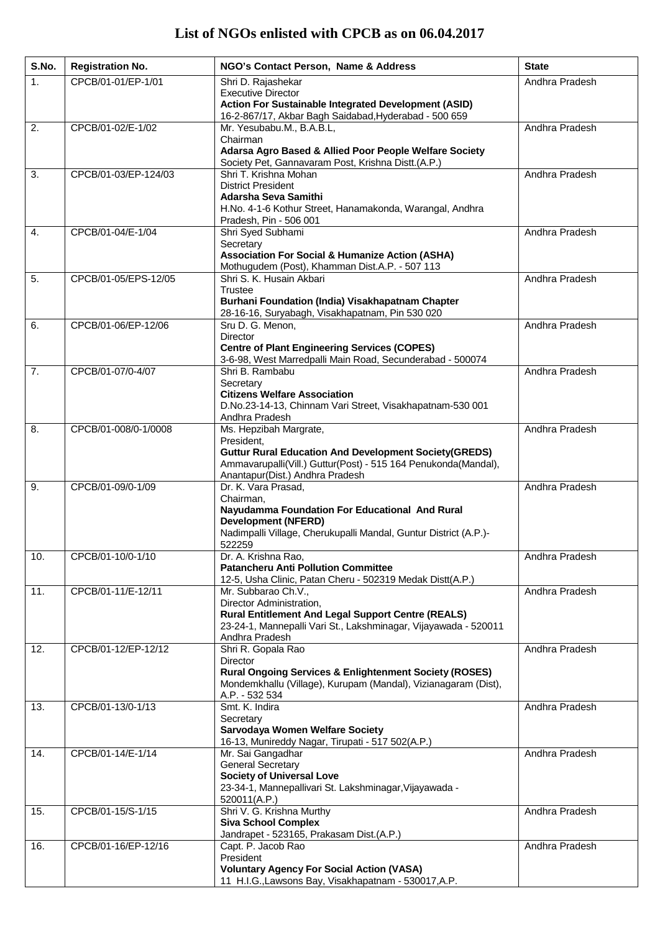| S.No. | <b>Registration No.</b> | NGO's Contact Person, Name & Address                                                                                                                                                                      | <b>State</b>   |
|-------|-------------------------|-----------------------------------------------------------------------------------------------------------------------------------------------------------------------------------------------------------|----------------|
| 1.    | CPCB/01-01/EP-1/01      | Shri D. Rajashekar<br><b>Executive Director</b><br>Action For Sustainable Integrated Development (ASID)<br>16-2-867/17, Akbar Bagh Saidabad, Hyderabad - 500 659                                          | Andhra Pradesh |
| 2.    | CPCB/01-02/E-1/02       | Mr. Yesubabu.M., B.A.B.L,<br>Chairman<br>Adarsa Agro Based & Allied Poor People Welfare Society<br>Society Pet, Gannavaram Post, Krishna Distt.(A.P.)                                                     | Andhra Pradesh |
| 3.    | CPCB/01-03/EP-124/03    | Shri T. Krishna Mohan<br><b>District President</b><br>Adarsha Seva Samithi<br>H.No. 4-1-6 Kothur Street, Hanamakonda, Warangal, Andhra<br>Pradesh, Pin - 506 001                                          | Andhra Pradesh |
| 4.    | CPCB/01-04/E-1/04       | Shri Syed Subhami<br>Secretary<br><b>Association For Social &amp; Humanize Action (ASHA)</b><br>Mothugudem (Post), Khamman Dist.A.P. - 507 113                                                            | Andhra Pradesh |
| 5.    | CPCB/01-05/EPS-12/05    | Shri S. K. Husain Akbari<br>Trustee<br>Burhani Foundation (India) Visakhapatnam Chapter<br>28-16-16, Suryabagh, Visakhapatnam, Pin 530 020                                                                | Andhra Pradesh |
| 6.    | CPCB/01-06/EP-12/06     | Sru D. G. Menon,<br><b>Director</b><br><b>Centre of Plant Engineering Services (COPES)</b><br>3-6-98, West Marredpalli Main Road, Secunderabad - 500074                                                   | Andhra Pradesh |
| 7.    | CPCB/01-07/0-4/07       | Shri B. Rambabu<br>Secretary<br><b>Citizens Welfare Association</b><br>D.No.23-14-13, Chinnam Vari Street, Visakhapatnam-530 001<br>Andhra Pradesh                                                        | Andhra Pradesh |
| 8.    | CPCB/01-008/0-1/0008    | Ms. Hepzibah Margrate,<br>President,<br><b>Guttur Rural Education And Development Society(GREDS)</b><br>Ammavarupalli(Vill.) Guttur(Post) - 515 164 Penukonda(Mandal),<br>Anantapur(Dist.) Andhra Pradesh | Andhra Pradesh |
| 9.    | CPCB/01-09/0-1/09       | Dr. K. Vara Prasad,<br>Chairman.<br>Nayudamma Foundation For Educational And Rural<br><b>Development (NFERD)</b><br>Nadimpalli Village, Cherukupalli Mandal, Guntur District (A.P.)-<br>522259            | Andhra Pradesh |
| 10.   | CPCB/01-10/0-1/10       | Dr. A. Krishna Rao,<br><b>Patancheru Anti Pollution Committee</b><br>12-5, Usha Clinic, Patan Cheru - 502319 Medak Distt(A.P.)                                                                            | Andhra Pradesh |
| 11.   | CPCB/01-11/E-12/11      | Mr. Subbarao Ch.V.,<br>Director Administration,<br><b>Rural Entitlement And Legal Support Centre (REALS)</b><br>23-24-1, Mannepalli Vari St., Lakshminagar, Vijayawada - 520011<br>Andhra Pradesh         | Andhra Pradesh |
| 12.   | CPCB/01-12/EP-12/12     | Shri R. Gopala Rao<br>Director<br><b>Rural Ongoing Services &amp; Enlightenment Society (ROSES)</b><br>Mondemkhallu (Village), Kurupam (Mandal), Vizianagaram (Dist),<br>A.P. - 532 534                   | Andhra Pradesh |
| 13.   | CPCB/01-13/0-1/13       | Smt. K. Indira<br>Secretary<br>Sarvodaya Women Welfare Society<br>16-13, Munireddy Nagar, Tirupati - 517 502(A.P.)                                                                                        | Andhra Pradesh |
| 14.   | CPCB/01-14/E-1/14       | Mr. Sai Gangadhar<br><b>General Secretary</b><br><b>Society of Universal Love</b><br>23-34-1, Mannepallivari St. Lakshminagar, Vijayawada -<br>520011(A.P.)                                               | Andhra Pradesh |
| 15.   | CPCB/01-15/S-1/15       | Shri V. G. Krishna Murthy<br><b>Siva School Complex</b><br>Jandrapet - 523165, Prakasam Dist.(A.P.)                                                                                                       | Andhra Pradesh |
| 16.   | CPCB/01-16/EP-12/16     | Capt. P. Jacob Rao<br>President<br><b>Voluntary Agency For Social Action (VASA)</b><br>11 H.I.G., Lawsons Bay, Visakhapatnam - 530017, A.P.                                                               | Andhra Pradesh |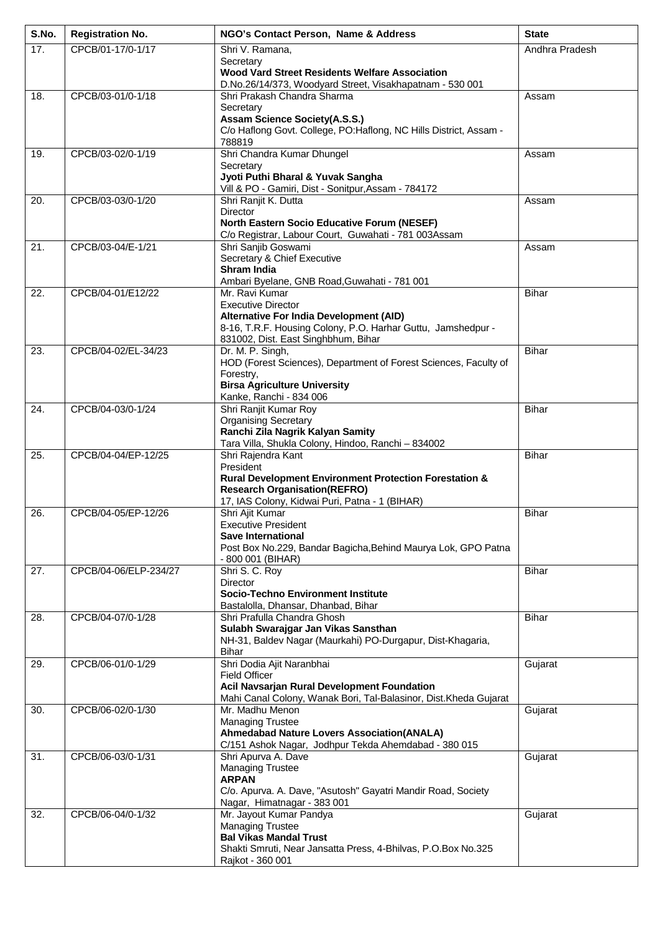| S.No.             | <b>Registration No.</b> | NGO's Contact Person, Name & Address                                                                            | <b>State</b>   |
|-------------------|-------------------------|-----------------------------------------------------------------------------------------------------------------|----------------|
| 17.               | CPCB/01-17/0-1/17       | Shri V. Ramana,                                                                                                 | Andhra Pradesh |
|                   |                         | Secretary<br><b>Wood Vard Street Residents Welfare Association</b>                                              |                |
|                   |                         | D.No.26/14/373, Woodyard Street, Visakhapatnam - 530 001                                                        |                |
| 18.               | CPCB/03-01/0-1/18       | Shri Prakash Chandra Sharma                                                                                     | Assam          |
|                   |                         | Secretary<br><b>Assam Science Society(A.S.S.)</b>                                                               |                |
|                   |                         | C/o Haflong Govt. College, PO: Haflong, NC Hills District, Assam -                                              |                |
| 19.               | CPCB/03-02/0-1/19       | 788819<br>Shri Chandra Kumar Dhungel                                                                            | Assam          |
|                   |                         | Secretary                                                                                                       |                |
|                   |                         | Jyoti Puthi Bharal & Yuvak Sangha<br>Vill & PO - Gamiri, Dist - Sonitpur, Assam - 784172                        |                |
| 20.               | CPCB/03-03/0-1/20       | Shri Ranjit K. Dutta                                                                                            | Assam          |
|                   |                         | Director                                                                                                        |                |
|                   |                         | <b>North Eastern Socio Educative Forum (NESEF)</b><br>C/o Registrar, Labour Court, Guwahati - 781 003Assam      |                |
| 21.               | CPCB/03-04/E-1/21       | Shri Sanjib Goswami                                                                                             | Assam          |
|                   |                         | Secretary & Chief Executive<br><b>Shram India</b>                                                               |                |
|                   |                         | Ambari Byelane, GNB Road, Guwahati - 781 001                                                                    |                |
| 22.               | CPCB/04-01/E12/22       | Mr. Ravi Kumar<br><b>Executive Director</b>                                                                     | <b>Bihar</b>   |
|                   |                         | Alternative For India Development (AID)                                                                         |                |
|                   |                         | 8-16, T.R.F. Housing Colony, P.O. Harhar Guttu, Jamshedpur -                                                    |                |
| $\overline{23}$ . | CPCB/04-02/EL-34/23     | 831002, Dist. East Singhbhum, Bihar<br>Dr. M. P. Singh,                                                         | Bihar          |
|                   |                         | HOD (Forest Sciences), Department of Forest Sciences, Faculty of                                                |                |
|                   |                         | Forestry,<br><b>Birsa Agriculture University</b>                                                                |                |
|                   |                         | Kanke, Ranchi - 834 006                                                                                         |                |
| 24.               | CPCB/04-03/0-1/24       | Shri Ranjit Kumar Roy                                                                                           | <b>Bihar</b>   |
|                   |                         | <b>Organising Secretary</b><br>Ranchi Zila Nagrik Kalyan Samity                                                 |                |
|                   |                         | Tara Villa, Shukla Colony, Hindoo, Ranchi - 834002                                                              |                |
| 25.               | CPCB/04-04/EP-12/25     | Shri Rajendra Kant<br>President                                                                                 | <b>Bihar</b>   |
|                   |                         | <b>Rural Development Environment Protection Forestation &amp;</b>                                               |                |
|                   |                         | <b>Research Organisation (REFRO)</b><br>17, IAS Colony, Kidwai Puri, Patna - 1 (BIHAR)                          |                |
| 26.               | CPCB/04-05/EP-12/26     | Shri Ajit Kumar                                                                                                 | <b>Bihar</b>   |
|                   |                         | <b>Executive President</b><br>Save International                                                                |                |
|                   |                         | Post Box No.229, Bandar Bagicha, Behind Maurya Lok, GPO Patna                                                   |                |
|                   |                         | - 800 001 (BIHAR)                                                                                               |                |
| 27.               | CPCB/04-06/ELP-234/27   | Shri S. C. Roy<br><b>Director</b>                                                                               | <b>Bihar</b>   |
|                   |                         | <b>Socio-Techno Environment Institute</b>                                                                       |                |
| 28.               | CPCB/04-07/0-1/28       | Bastalolla, Dhansar, Dhanbad, Bihar<br>Shri Prafulla Chandra Ghosh                                              | <b>Bihar</b>   |
|                   |                         | Sulabh Swarajgar Jan Vikas Sansthan                                                                             |                |
|                   |                         | NH-31, Baldev Nagar (Maurkahi) PO-Durgapur, Dist-Khagaria,<br><b>Bihar</b>                                      |                |
| 29.               | CPCB/06-01/0-1/29       | Shri Dodia Ajit Naranbhai                                                                                       | Gujarat        |
|                   |                         | <b>Field Officer</b>                                                                                            |                |
|                   |                         | Acil Navsarjan Rural Development Foundation<br>Mahi Canal Colony, Wanak Bori, Tal-Balasinor, Dist.Kheda Gujarat |                |
| 30.               | CPCB/06-02/0-1/30       | Mr. Madhu Menon                                                                                                 | Gujarat        |
|                   |                         | <b>Managing Trustee</b><br><b>Ahmedabad Nature Lovers Association(ANALA)</b>                                    |                |
|                   |                         | C/151 Ashok Nagar, Jodhpur Tekda Ahemdabad - 380 015                                                            |                |
| 31.               | CPCB/06-03/0-1/31       | Shri Apurva A. Dave<br><b>Managing Trustee</b>                                                                  | Gujarat        |
|                   |                         | <b>ARPAN</b>                                                                                                    |                |
|                   |                         | C/o. Apurva. A. Dave, "Asutosh" Gayatri Mandir Road, Society                                                    |                |
| 32.               | CPCB/06-04/0-1/32       | Nagar, Himatnagar - 383 001<br>Mr. Jayout Kumar Pandya                                                          | Gujarat        |
|                   |                         | <b>Managing Trustee</b>                                                                                         |                |
|                   |                         | <b>Bal Vikas Mandal Trust</b><br>Shakti Smruti, Near Jansatta Press, 4-Bhilvas, P.O.Box No.325                  |                |
|                   |                         | Rajkot - 360 001                                                                                                |                |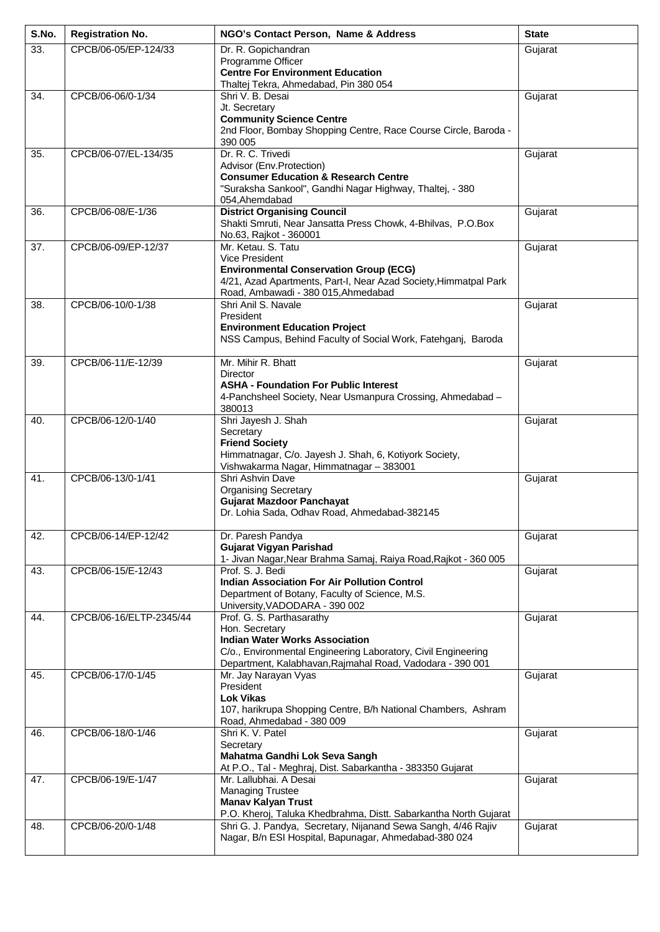| S.No. | <b>Registration No.</b> | NGO's Contact Person, Name & Address                                                                                       | <b>State</b> |
|-------|-------------------------|----------------------------------------------------------------------------------------------------------------------------|--------------|
| 33.   | CPCB/06-05/EP-124/33    | Dr. R. Gopichandran<br>Programme Officer                                                                                   | Gujarat      |
|       |                         | <b>Centre For Environment Education</b>                                                                                    |              |
|       |                         | Thaltej Tekra, Ahmedabad, Pin 380 054                                                                                      |              |
| 34.   | CPCB/06-06/0-1/34       | Shri V. B. Desai<br>Jt. Secretary                                                                                          | Gujarat      |
|       |                         | <b>Community Science Centre</b>                                                                                            |              |
|       |                         | 2nd Floor, Bombay Shopping Centre, Race Course Circle, Baroda -<br>390 005                                                 |              |
| 35.   | CPCB/06-07/EL-134/35    | Dr. R. C. Trivedi                                                                                                          | Gujarat      |
|       |                         | Advisor (Env.Protection)<br><b>Consumer Education &amp; Research Centre</b>                                                |              |
|       |                         | "Suraksha Sankool", Gandhi Nagar Highway, Thaltej, - 380                                                                   |              |
|       |                         | 054, Ahemdabad                                                                                                             |              |
| 36.   | CPCB/06-08/E-1/36       | <b>District Organising Council</b><br>Shakti Smruti, Near Jansatta Press Chowk, 4-Bhilvas, P.O.Box                         | Gujarat      |
|       |                         | No.63, Rajkot - 360001                                                                                                     |              |
| 37.   | CPCB/06-09/EP-12/37     | Mr. Ketau, S. Tatu<br>Vice President                                                                                       | Gujarat      |
|       |                         | <b>Environmental Conservation Group (ECG)</b>                                                                              |              |
|       |                         | 4/21, Azad Apartments, Part-I, Near Azad Society, Himmatpal Park<br>Road, Ambawadi - 380 015, Ahmedabad                    |              |
| 38.   | CPCB/06-10/0-1/38       | Shri Anil S. Navale                                                                                                        | Gujarat      |
|       |                         | President                                                                                                                  |              |
|       |                         | <b>Environment Education Project</b><br>NSS Campus, Behind Faculty of Social Work, Fatehganj, Baroda                       |              |
|       |                         |                                                                                                                            |              |
| 39.   | CPCB/06-11/E-12/39      | Mr. Mihir R. Bhatt<br>Director                                                                                             | Gujarat      |
|       |                         | <b>ASHA - Foundation For Public Interest</b>                                                                               |              |
|       |                         | 4-Panchsheel Society, Near Usmanpura Crossing, Ahmedabad -<br>380013                                                       |              |
| 40.   | CPCB/06-12/0-1/40       | Shri Jayesh J. Shah                                                                                                        | Gujarat      |
|       |                         | Secretary<br><b>Friend Society</b>                                                                                         |              |
|       |                         | Himmatnagar, C/o. Jayesh J. Shah, 6, Kotiyork Society,                                                                     |              |
| 41.   | CPCB/06-13/0-1/41       | Vishwakarma Nagar, Himmatnagar - 383001<br>Shri Ashvin Dave                                                                | Gujarat      |
|       |                         | <b>Organising Secretary</b>                                                                                                |              |
|       |                         | <b>Gujarat Mazdoor Panchayat</b><br>Dr. Lohia Sada, Odhav Road, Ahmedabad-382145                                           |              |
|       |                         |                                                                                                                            |              |
| 42.   | CPCB/06-14/EP-12/42     | Dr. Paresh Pandya<br><b>Gujarat Vigyan Parishad</b>                                                                        | Gujarat      |
|       |                         | 1- Jivan Nagar, Near Brahma Samaj, Raiya Road, Rajkot - 360 005                                                            |              |
| 43.   | CPCB/06-15/E-12/43      | Prof. S. J. Bedi                                                                                                           | Gujarat      |
|       |                         | <b>Indian Association For Air Pollution Control</b><br>Department of Botany, Faculty of Science, M.S.                      |              |
|       |                         | University, VADODARA - 390 002                                                                                             |              |
| 44.   | CPCB/06-16/ELTP-2345/44 | Prof. G. S. Parthasarathy<br>Hon. Secretary                                                                                | Gujarat      |
|       |                         | <b>Indian Water Works Association</b>                                                                                      |              |
|       |                         | C/o., Environmental Engineering Laboratory, Civil Engineering<br>Department, Kalabhavan, Rajmahal Road, Vadodara - 390 001 |              |
| 45.   | CPCB/06-17/0-1/45       | Mr. Jay Narayan Vyas                                                                                                       | Gujarat      |
|       |                         | President<br><b>Lok Vikas</b>                                                                                              |              |
|       |                         | 107, harikrupa Shopping Centre, B/h National Chambers, Ashram                                                              |              |
|       |                         | Road, Ahmedabad - 380 009                                                                                                  |              |
| 46.   | CPCB/06-18/0-1/46       | Shri K. V. Patel<br>Secretary                                                                                              | Gujarat      |
|       |                         | Mahatma Gandhi Lok Seva Sangh                                                                                              |              |
| 47.   | CPCB/06-19/E-1/47       | At P.O., Tal - Meghraj, Dist. Sabarkantha - 383350 Gujarat<br>Mr. Lallubhai. A Desai                                       | Gujarat      |
|       |                         | <b>Managing Trustee</b>                                                                                                    |              |
|       |                         | <b>Manav Kalyan Trust</b><br>P.O. Kheroj, Taluka Khedbrahma, Distt. Sabarkantha North Gujarat                              |              |
| 48.   | CPCB/06-20/0-1/48       | Shri G. J. Pandya, Secretary, Nijanand Sewa Sangh, 4/46 Rajiv                                                              | Gujarat      |
|       |                         | Nagar, B/n ESI Hospital, Bapunagar, Ahmedabad-380 024                                                                      |              |
|       |                         |                                                                                                                            |              |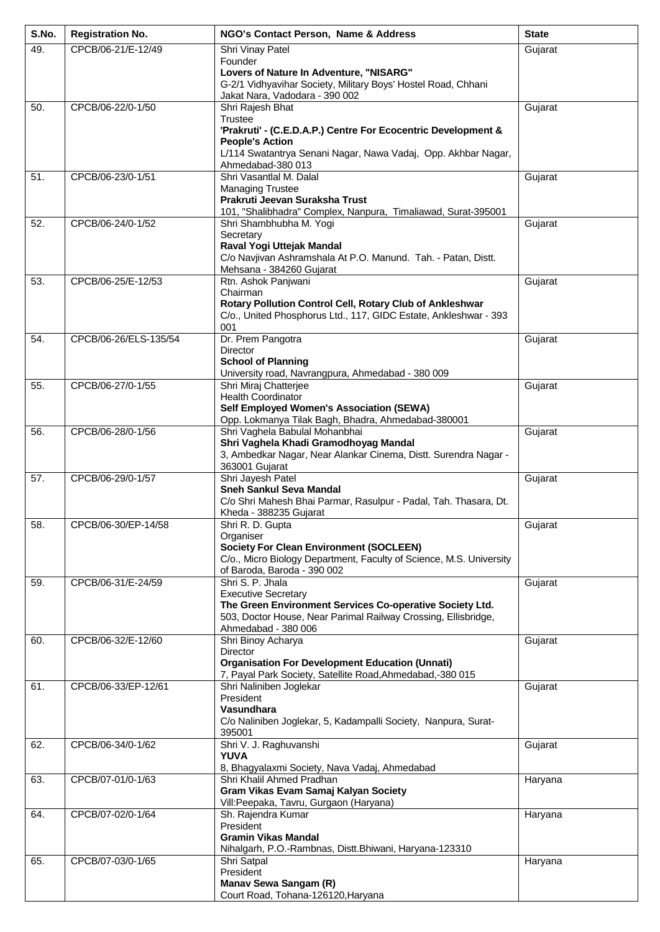| S.No. | <b>Registration No.</b> | NGO's Contact Person, Name & Address                                                                                                                                                                | <b>State</b> |
|-------|-------------------------|-----------------------------------------------------------------------------------------------------------------------------------------------------------------------------------------------------|--------------|
| 49.   | CPCB/06-21/E-12/49      | Shri Vinay Patel                                                                                                                                                                                    | Gujarat      |
|       |                         | Founder<br>Lovers of Nature In Adventure, "NISARG"<br>G-2/1 Vidhyavihar Society, Military Boys' Hostel Road, Chhani<br>Jakat Nara, Vadodara - 390 002                                               |              |
| 50.   | CPCB/06-22/0-1/50       | Shri Rajesh Bhat                                                                                                                                                                                    | Gujarat      |
|       |                         | Trustee<br>'Prakruti' - (C.E.D.A.P.) Centre For Ecocentric Development &<br><b>People's Action</b><br>L/114 Swatantrya Senani Nagar, Nawa Vadaj, Opp. Akhbar Nagar,<br>Ahmedabad-380 013            |              |
| 51.   | CPCB/06-23/0-1/51       | Shri Vasantlal M. Dalal<br><b>Managing Trustee</b><br>Prakruti Jeevan Suraksha Trust<br>101, "Shalibhadra" Complex, Nanpura, Timaliawad, Surat-395001                                               | Gujarat      |
| 52.   | CPCB/06-24/0-1/52       | Shri Shambhubha M. Yogi<br>Secretary<br>Raval Yogi Uttejak Mandal<br>C/o Navjivan Ashramshala At P.O. Manund. Tah. - Patan, Distt.<br>Mehsana - 384260 Gujarat                                      | Gujarat      |
| 53.   | CPCB/06-25/E-12/53      | Rtn. Ashok Panjwani                                                                                                                                                                                 | Gujarat      |
|       |                         | Chairman<br>Rotary Pollution Control Cell, Rotary Club of Ankleshwar<br>C/o., United Phosphorus Ltd., 117, GIDC Estate, Ankleshwar - 393<br>001                                                     |              |
| 54.   | CPCB/06-26/ELS-135/54   | Dr. Prem Pangotra<br><b>Director</b><br><b>School of Planning</b><br>University road, Navrangpura, Ahmedabad - 380 009                                                                              | Gujarat      |
| 55.   | CPCB/06-27/0-1/55       | Shri Miraj Chatterjee<br><b>Health Coordinator</b><br>Self Employed Women's Association (SEWA)<br>Opp. Lokmanya Tilak Bagh, Bhadra, Ahmedabad-380001                                                | Gujarat      |
| 56.   | CPCB/06-28/0-1/56       | Shri Vaghela Babulal Mohanbhai<br>Shri Vaghela Khadi Gramodhoyag Mandal<br>3, Ambedkar Nagar, Near Alankar Cinema, Distt. Surendra Nagar -<br>363001 Gujarat                                        | Gujarat      |
| 57.   | CPCB/06-29/0-1/57       | Shri Jayesh Patel<br><b>Sneh Sankul Seva Mandal</b><br>C/o Shri Mahesh Bhai Parmar, Rasulpur - Padal, Tah. Thasara, Dt.<br>Kheda - 388235 Gujarat                                                   | Gujarat      |
| 58.   | CPCB/06-30/EP-14/58     | Shri R. D. Gupta<br>Organiser<br><b>Society For Clean Environment (SOCLEEN)</b><br>C/o., Micro Biology Department, Faculty of Science, M.S. University<br>of Baroda, Baroda - 390 002               | Gujarat      |
| 59.   | CPCB/06-31/E-24/59      | Shri S. P. Jhala<br><b>Executive Secretary</b><br>The Green Environment Services Co-operative Society Ltd.<br>503, Doctor House, Near Parimal Railway Crossing, Ellisbridge,<br>Ahmedabad - 380 006 | Gujarat      |
| 60.   | CPCB/06-32/E-12/60      | Shri Binoy Acharya<br>Director<br><b>Organisation For Development Education (Unnati)</b><br>7, Payal Park Society, Satellite Road, Ahmedabad, -380 015                                              | Gujarat      |
| 61.   | CPCB/06-33/EP-12/61     | Shri Naliniben Joglekar<br>President<br>Vasundhara<br>C/o Naliniben Joglekar, 5, Kadampalli Society, Nanpura, Surat-<br>395001                                                                      | Gujarat      |
| 62.   | CPCB/06-34/0-1/62       | Shri V. J. Raghuvanshi<br><b>YUVA</b><br>8, Bhagyalaxmi Society, Nava Vadaj, Ahmedabad                                                                                                              | Gujarat      |
| 63.   | CPCB/07-01/0-1/63       | Shri Khalil Ahmed Pradhan<br>Gram Vikas Evam Samaj Kalyan Society<br>Vill: Peepaka, Tavru, Gurgaon (Haryana)                                                                                        | Haryana      |
| 64.   | CPCB/07-02/0-1/64       | Sh. Rajendra Kumar<br>President<br><b>Gramin Vikas Mandal</b><br>Nihalgarh, P.O.-Rambnas, Distt.Bhiwani, Haryana-123310                                                                             | Haryana      |
| 65.   | CPCB/07-03/0-1/65       | Shri Satpal<br>President<br>Manav Sewa Sangam (R)<br>Court Road, Tohana-126120, Haryana                                                                                                             | Haryana      |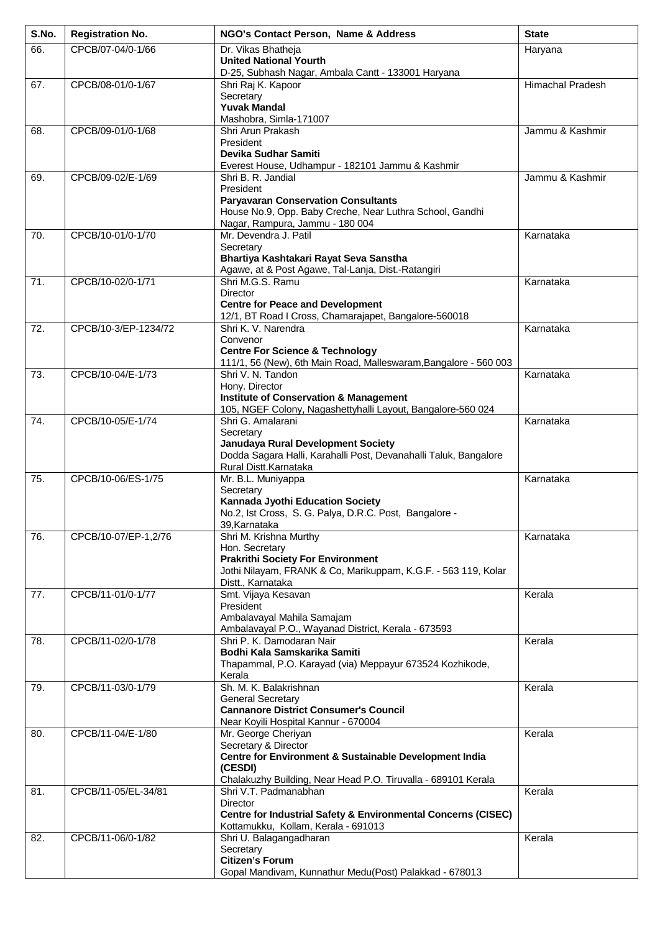| S.No. | <b>Registration No.</b> | NGO's Contact Person, Name & Address                                                                                                                                              | <b>State</b>            |
|-------|-------------------------|-----------------------------------------------------------------------------------------------------------------------------------------------------------------------------------|-------------------------|
| 66.   | CPCB/07-04/0-1/66       | Dr. Vikas Bhatheja<br><b>United National Yourth</b><br>D-25, Subhash Nagar, Ambala Cantt - 133001 Haryana                                                                         | Haryana                 |
| 67.   | CPCB/08-01/0-1/67       | Shri Raj K. Kapoor<br>Secretary<br><b>Yuvak Mandal</b><br>Mashobra, Simla-171007                                                                                                  | <b>Himachal Pradesh</b> |
| 68.   | CPCB/09-01/0-1/68       | Shri Arun Prakash<br>President<br>Devika Sudhar Samiti<br>Everest House, Udhampur - 182101 Jammu & Kashmir                                                                        | Jammu & Kashmir         |
| 69.   | CPCB/09-02/E-1/69       | Shri B. R. Jandial<br>President<br><b>Paryavaran Conservation Consultants</b><br>House No.9, Opp. Baby Creche, Near Luthra School, Gandhi<br>Nagar, Rampura, Jammu - 180 004      | Jammu & Kashmir         |
| 70.   | CPCB/10-01/0-1/70       | Mr. Devendra J. Patil<br>Secretary<br>Bhartiya Kashtakari Rayat Seva Sanstha<br>Agawe, at & Post Agawe, Tal-Lanja, Dist.-Ratangiri                                                | Karnataka               |
| 71.   | CPCB/10-02/0-1/71       | Shri M.G.S. Ramu<br><b>Director</b><br><b>Centre for Peace and Development</b><br>12/1, BT Road I Cross, Chamarajapet, Bangalore-560018                                           | Karnataka               |
| 72.   | CPCB/10-3/EP-1234/72    | Shri K. V. Narendra<br>Convenor<br><b>Centre For Science &amp; Technology</b><br>111/1, 56 (New), 6th Main Road, Malleswaram, Bangalore - 560 003                                 | Karnataka               |
| 73.   | CPCB/10-04/E-1/73       | Shri V. N. Tandon<br>Hony. Director<br><b>Institute of Conservation &amp; Management</b><br>105, NGEF Colony, Nagashettyhalli Layout, Bangalore-560 024                           | Karnataka               |
| 74.   | CPCB/10-05/E-1/74       | Shri G. Amalarani<br>Secretary<br>Janudaya Rural Development Society<br>Dodda Sagara Halli, Karahalli Post, Devanahalli Taluk, Bangalore<br>Rural Distt.Karnataka                 | Karnataka               |
| 75.   | CPCB/10-06/ES-1/75      | Mr. B.L. Muniyappa<br>Secretary<br>Kannada Jyothi Education Society<br>No.2, Ist Cross, S. G. Palya, D.R.C. Post, Bangalore -<br>39, Karnataka                                    | Karnataka               |
| 76.   | CPCB/10-07/EP-1,2/76    | Shri M. Krishna Murthy<br>Hon. Secretary<br><b>Prakrithi Society For Environment</b><br>Jothi Nilayam, FRANK & Co, Marikuppam, K.G.F. - 563 119, Kolar<br>Distt., Karnataka       | Karnataka               |
| 77.   | CPCB/11-01/0-1/77       | Smt. Vijaya Kesavan<br>President<br>Ambalavayal Mahila Samajam<br>Ambalavayal P.O., Wayanad District, Kerala - 673593                                                             | Kerala                  |
| 78.   | CPCB/11-02/0-1/78       | Shri P. K. Damodaran Nair<br>Bodhi Kala Samskarika Samiti<br>Thapammal, P.O. Karayad (via) Meppayur 673524 Kozhikode,<br>Kerala                                                   | Kerala                  |
| 79.   | CPCB/11-03/0-1/79       | Sh. M. K. Balakrishnan<br><b>General Secretary</b><br><b>Cannanore District Consumer's Council</b><br>Near Koyili Hospital Kannur - 670004                                        | Kerala                  |
| 80.   | CPCB/11-04/E-1/80       | Mr. George Cheriyan<br>Secretary & Director<br>Centre for Environment & Sustainable Development India<br>(CESDI)<br>Chalakuzhy Building, Near Head P.O. Tiruvalla - 689101 Kerala | Kerala                  |
| 81.   | CPCB/11-05/EL-34/81     | Shri V.T. Padmanabhan<br>Director<br>Centre for Industrial Safety & Environmental Concerns (CISEC)<br>Kottamukku, Kollam, Kerala - 691013                                         | Kerala                  |
| 82.   | CPCB/11-06/0-1/82       | Shri U. Balagangadharan<br>Secretary<br><b>Citizen's Forum</b><br>Gopal Mandivam, Kunnathur Medu(Post) Palakkad - 678013                                                          | Kerala                  |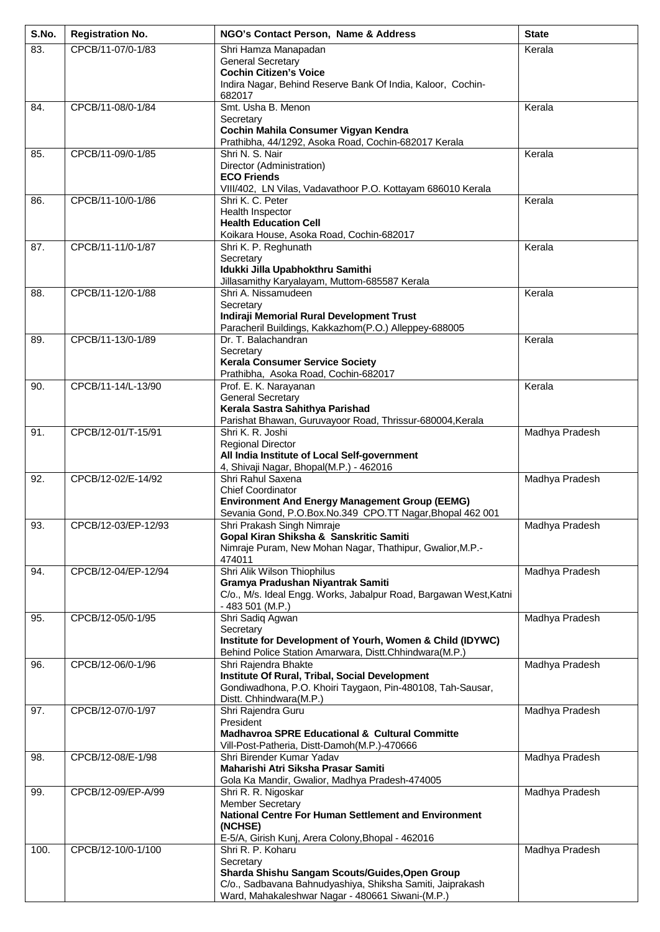| S.No. | <b>Registration No.</b> | NGO's Contact Person, Name & Address                                                                                | <b>State</b>   |
|-------|-------------------------|---------------------------------------------------------------------------------------------------------------------|----------------|
| 83.   | CPCB/11-07/0-1/83       | Shri Hamza Manapadan                                                                                                | Kerala         |
|       |                         | <b>General Secretary</b><br><b>Cochin Citizen's Voice</b>                                                           |                |
|       |                         | Indira Nagar, Behind Reserve Bank Of India, Kaloor, Cochin-                                                         |                |
|       |                         | 682017                                                                                                              |                |
| 84.   | CPCB/11-08/0-1/84       | Smt. Usha B. Menon<br>Secretary                                                                                     | Kerala         |
|       |                         | Cochin Mahila Consumer Vigyan Kendra                                                                                |                |
|       |                         | Prathibha, 44/1292, Asoka Road, Cochin-682017 Kerala                                                                |                |
| 85.   | CPCB/11-09/0-1/85       | Shri N. S. Nair<br>Director (Administration)                                                                        | Kerala         |
|       |                         | <b>ECO Friends</b>                                                                                                  |                |
|       |                         | VIII/402, LN Vilas, Vadavathoor P.O. Kottayam 686010 Kerala                                                         |                |
| 86.   | CPCB/11-10/0-1/86       | Shri K. C. Peter<br>Health Inspector                                                                                | Kerala         |
|       |                         | <b>Health Education Cell</b>                                                                                        |                |
|       |                         | Koikara House, Asoka Road, Cochin-682017                                                                            |                |
| 87.   | CPCB/11-11/0-1/87       | Shri K. P. Reghunath                                                                                                | Kerala         |
|       |                         | Secretary<br>Idukki Jilla Upabhokthru Samithi                                                                       |                |
|       |                         | Jillasamithy Karyalayam, Muttom-685587 Kerala                                                                       |                |
| 88.   | CPCB/11-12/0-1/88       | Shri A. Nissamudeen                                                                                                 | Kerala         |
|       |                         | Secretary<br>Indiraji Memorial Rural Development Trust                                                              |                |
|       |                         | Paracheril Buildings, Kakkazhom(P.O.) Alleppey-688005                                                               |                |
| 89.   | CPCB/11-13/0-1/89       | Dr. T. Balachandran                                                                                                 | Kerala         |
|       |                         | Secretary<br><b>Kerala Consumer Service Society</b>                                                                 |                |
|       |                         | Prathibha, Asoka Road, Cochin-682017                                                                                |                |
| 90.   | CPCB/11-14/L-13/90      | Prof. E. K. Narayanan                                                                                               | Kerala         |
|       |                         | <b>General Secretary</b><br>Kerala Sastra Sahithya Parishad                                                         |                |
|       |                         | Parishat Bhawan, Guruvayoor Road, Thrissur-680004, Kerala                                                           |                |
| 91.   | CPCB/12-01/T-15/91      | Shri K. R. Joshi                                                                                                    | Madhya Pradesh |
|       |                         | <b>Regional Director</b><br>All India Institute of Local Self-government                                            |                |
|       |                         | 4, Shivaji Nagar, Bhopal(M.P.) - 462016                                                                             |                |
| 92.   | CPCB/12-02/E-14/92      | Shri Rahul Saxena                                                                                                   | Madhya Pradesh |
|       |                         | <b>Chief Coordinator</b>                                                                                            |                |
|       |                         | <b>Environment And Energy Management Group (EEMG)</b><br>Sevania Gond, P.O.Box.No.349 CPO.TT Nagar, Bhopal 462 001  |                |
| 93.   | CPCB/12-03/EP-12/93     | Shri Prakash Singh Nimraje                                                                                          | Madhya Pradesh |
|       |                         | Gopal Kiran Shiksha & Sanskritic Samiti<br>Nimraje Puram, New Mohan Nagar, Thathipur, Gwalior, M.P.-                |                |
|       |                         | 474011                                                                                                              |                |
| 94.   | CPCB/12-04/EP-12/94     | Shri Alik Wilson Thiophilus                                                                                         | Madhya Pradesh |
|       |                         | Gramya Pradushan Niyantrak Samiti                                                                                   |                |
|       |                         | C/o., M/s. Ideal Engg. Works, Jabalpur Road, Bargawan West, Katni<br>$-483501$ (M.P.)                               |                |
| 95.   | CPCB/12-05/0-1/95       | Shri Sadiq Agwan                                                                                                    | Madhya Pradesh |
|       |                         | Secretary                                                                                                           |                |
|       |                         | Institute for Development of Yourh, Women & Child (IDYWC)<br>Behind Police Station Amarwara, Distt.Chhindwara(M.P.) |                |
| 96.   | CPCB/12-06/0-1/96       | Shri Rajendra Bhakte                                                                                                | Madhya Pradesh |
|       |                         | Institute Of Rural, Tribal, Social Development                                                                      |                |
|       |                         | Gondiwadhona, P.O. Khoiri Taygaon, Pin-480108, Tah-Sausar,<br>Distt. Chhindwara(M.P.)                               |                |
| 97.   | CPCB/12-07/0-1/97       | Shri Rajendra Guru                                                                                                  | Madhya Pradesh |
|       |                         | President<br><b>Madhavroa SPRE Educational &amp; Cultural Committe</b>                                              |                |
|       |                         | Vill-Post-Patheria, Distt-Damoh(M.P.)-470666                                                                        |                |
| 98.   | CPCB/12-08/E-1/98       | Shri Birender Kumar Yadav                                                                                           | Madhya Pradesh |
|       |                         | Maharishi Atri Siksha Prasar Samiti                                                                                 |                |
| 99.   | CPCB/12-09/EP-A/99      | Gola Ka Mandir, Gwalior, Madhya Pradesh-474005<br>Shri R. R. Nigoskar                                               | Madhya Pradesh |
|       |                         | <b>Member Secretary</b>                                                                                             |                |
|       |                         | <b>National Centre For Human Settlement and Environment</b>                                                         |                |
|       |                         | (NCHSE)<br>E-5/A, Girish Kunj, Arera Colony, Bhopal - 462016                                                        |                |
| 100.  | CPCB/12-10/0-1/100      | Shri R. P. Koharu                                                                                                   | Madhya Pradesh |
|       |                         | Secretary                                                                                                           |                |
|       |                         | Sharda Shishu Sangam Scouts/Guides, Open Group<br>C/o., Sadbavana Bahnudyashiya, Shiksha Samiti, Jaiprakash         |                |
|       |                         | Ward, Mahakaleshwar Nagar - 480661 Siwani-(M.P.)                                                                    |                |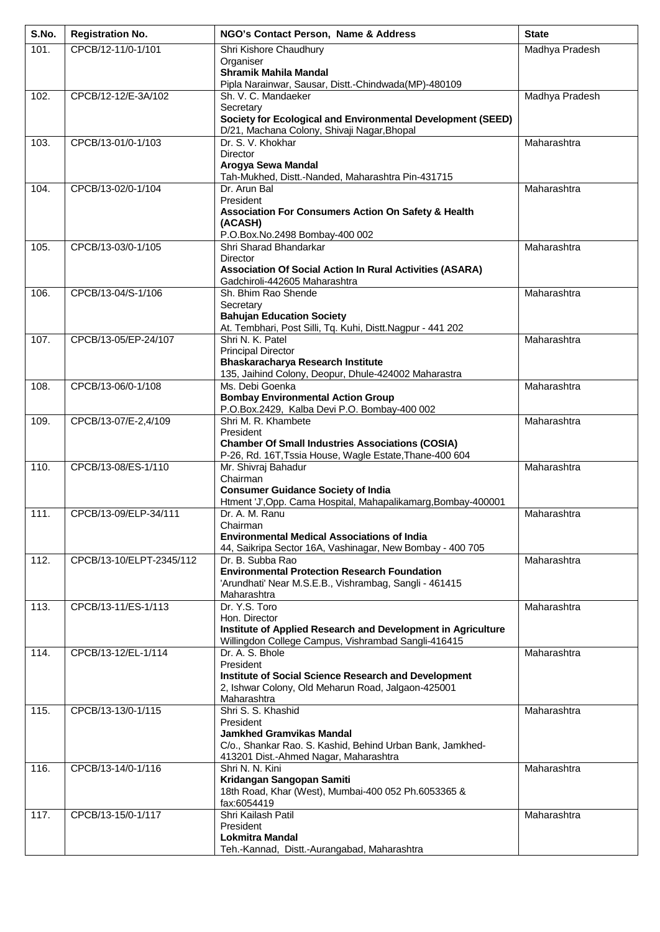| S.No. | <b>Registration No.</b>  | NGO's Contact Person, Name & Address                                                                          | <b>State</b>   |
|-------|--------------------------|---------------------------------------------------------------------------------------------------------------|----------------|
| 101.  | CPCB/12-11/0-1/101       | Shri Kishore Chaudhury                                                                                        | Madhya Pradesh |
|       |                          | Organiser<br><b>Shramik Mahila Mandal</b>                                                                     |                |
|       |                          | Pipla Narainwar, Sausar, Distt.-Chindwada(MP)-480109                                                          |                |
| 102.  | CPCB/12-12/E-3A/102      | Sh. V. C. Mandaeker                                                                                           | Madhya Pradesh |
|       |                          | Secretary                                                                                                     |                |
|       |                          | Society for Ecological and Environmental Development (SEED)<br>D/21, Machana Colony, Shivaji Nagar, Bhopal    |                |
| 103.  | CPCB/13-01/0-1/103       | Dr. S. V. Khokhar                                                                                             | Maharashtra    |
|       |                          | <b>Director</b>                                                                                               |                |
|       |                          | Arogya Sewa Mandal                                                                                            |                |
| 104.  | CPCB/13-02/0-1/104       | Tah-Mukhed, Distt.-Nanded, Maharashtra Pin-431715<br>Dr. Arun Bal                                             | Maharashtra    |
|       |                          | President                                                                                                     |                |
|       |                          | Association For Consumers Action On Safety & Health                                                           |                |
|       |                          | (ACASH)<br>P.O.Box.No.2498 Bombay-400 002                                                                     |                |
| 105.  | CPCB/13-03/0-1/105       | Shri Sharad Bhandarkar                                                                                        | Maharashtra    |
|       |                          | <b>Director</b>                                                                                               |                |
|       |                          | <b>Association Of Social Action In Rural Activities (ASARA)</b><br>Gadchiroli-442605 Maharashtra              |                |
| 106.  | CPCB/13-04/S-1/106       | Sh. Bhim Rao Shende                                                                                           | Maharashtra    |
|       |                          | Secretary                                                                                                     |                |
|       |                          | <b>Bahujan Education Society</b>                                                                              |                |
| 107.  | CPCB/13-05/EP-24/107     | At. Tembhari, Post Silli, Tq. Kuhi, Distt.Nagpur - 441 202<br>Shri N. K. Patel                                | Maharashtra    |
|       |                          | <b>Principal Director</b>                                                                                     |                |
|       |                          | Bhaskaracharya Research Institute                                                                             |                |
| 108.  | CPCB/13-06/0-1/108       | 135, Jaihind Colony, Deopur, Dhule-424002 Maharastra<br>Ms. Debi Goenka                                       | Maharashtra    |
|       |                          | <b>Bombay Environmental Action Group</b>                                                                      |                |
|       |                          | P.O.Box.2429, Kalba Devi P.O. Bombay-400 002                                                                  |                |
| 109.  | CPCB/13-07/E-2,4/109     | Shri M. R. Khambete                                                                                           | Maharashtra    |
|       |                          | President<br><b>Chamber Of Small Industries Associations (COSIA)</b>                                          |                |
|       |                          | P-26, Rd. 16T, Tssia House, Wagle Estate, Thane-400 604                                                       |                |
| 110.  | CPCB/13-08/ES-1/110      | Mr. Shivraj Bahadur                                                                                           | Maharashtra    |
|       |                          | Chairman<br><b>Consumer Guidance Society of India</b>                                                         |                |
|       |                          | Htment 'J', Opp. Cama Hospital, Mahapalikamarg, Bombay-400001                                                 |                |
| 111.  | CPCB/13-09/ELP-34/111    | Dr. A. M. Ranu                                                                                                | Maharashtra    |
|       |                          | Chairman<br><b>Environmental Medical Associations of India</b>                                                |                |
|       |                          | 44, Saikripa Sector 16A, Vashinagar, New Bombay - 400 705                                                     |                |
| 112.  | CPCB/13-10/ELPT-2345/112 | Dr. B. Subba Rao                                                                                              | Maharashtra    |
|       |                          | <b>Environmental Protection Research Foundation</b><br>'Arundhati' Near M.S.E.B., Vishrambag, Sangli - 461415 |                |
|       |                          | Maharashtra                                                                                                   |                |
| 113.  | CPCB/13-11/ES-1/113      | Dr. Y.S. Toro                                                                                                 | Maharashtra    |
|       |                          | Hon. Director<br>Institute of Applied Research and Development in Agriculture                                 |                |
|       |                          | Willingdon College Campus, Vishrambad Sangli-416415                                                           |                |
| 114.  | CPCB/13-12/EL-1/114      | Dr. A. S. Bhole                                                                                               | Maharashtra    |
|       |                          | President                                                                                                     |                |
|       |                          | Institute of Social Science Research and Development<br>2, Ishwar Colony, Old Meharun Road, Jalgaon-425001    |                |
|       |                          | Maharashtra                                                                                                   |                |
| 115.  | CPCB/13-13/0-1/115       | Shri S. S. Khashid                                                                                            | Maharashtra    |
|       |                          | President<br><b>Jamkhed Gramvikas Mandal</b>                                                                  |                |
|       |                          | C/o., Shankar Rao. S. Kashid, Behind Urban Bank, Jamkhed-                                                     |                |
|       |                          | 413201 Dist.-Ahmed Nagar, Maharashtra                                                                         |                |
| 116.  | CPCB/13-14/0-1/116       | Shri N. N. Kini<br>Kridangan Sangopan Samiti                                                                  | Maharashtra    |
|       |                          | 18th Road, Khar (West), Mumbai-400 052 Ph.6053365 &                                                           |                |
|       |                          | fax:6054419                                                                                                   |                |
| 117.  | CPCB/13-15/0-1/117       | Shri Kailash Patil                                                                                            | Maharashtra    |
|       |                          | President<br><b>Lokmitra Mandal</b>                                                                           |                |
|       |                          | Teh.-Kannad, Distt.-Aurangabad, Maharashtra                                                                   |                |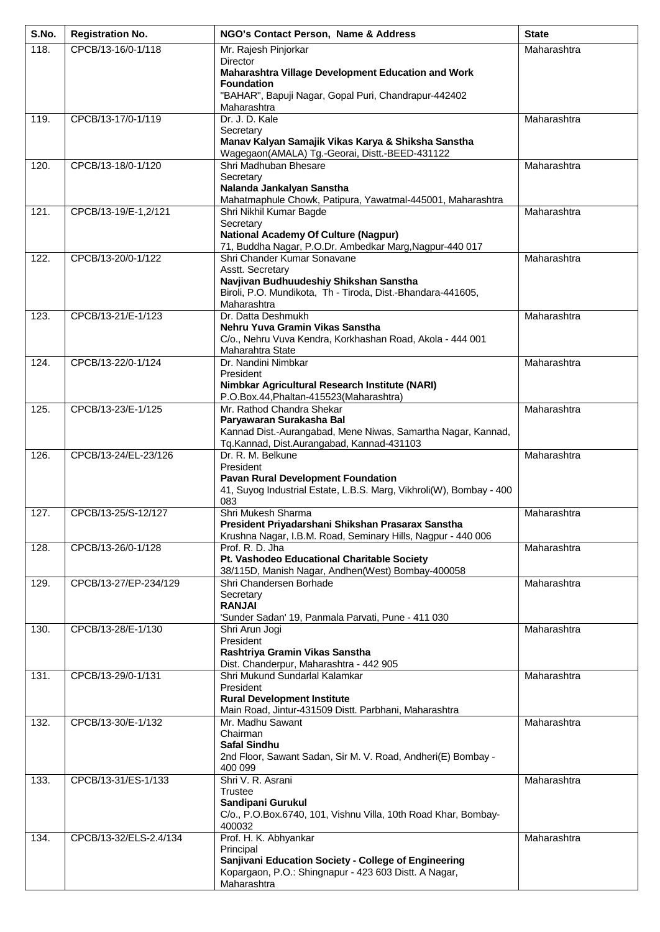| S.No. | <b>Registration No.</b> | NGO's Contact Person, Name & Address                                                                             | <b>State</b> |
|-------|-------------------------|------------------------------------------------------------------------------------------------------------------|--------------|
| 118.  | CPCB/13-16/0-1/118      | Mr. Rajesh Pinjorkar                                                                                             | Maharashtra  |
|       |                         | <b>Director</b><br>Maharashtra Village Development Education and Work                                            |              |
|       |                         | <b>Foundation</b>                                                                                                |              |
|       |                         | "BAHAR", Bapuji Nagar, Gopal Puri, Chandrapur-442402                                                             |              |
| 119.  | CPCB/13-17/0-1/119      | Maharashtra<br>Dr. J. D. Kale                                                                                    | Maharashtra  |
|       |                         | Secretary                                                                                                        |              |
|       |                         | Manav Kalyan Samajik Vikas Karya & Shiksha Sanstha                                                               |              |
| 120.  | CPCB/13-18/0-1/120      | Wagegaon(AMALA) Tg.-Georai, Distt.-BEED-431122<br>Shri Madhuban Bhesare                                          | Maharashtra  |
|       |                         | Secretary                                                                                                        |              |
|       |                         | Nalanda Jankalyan Sanstha                                                                                        |              |
| 121.  | CPCB/13-19/E-1,2/121    | Mahatmaphule Chowk, Patipura, Yawatmal-445001, Maharashtra<br>Shri Nikhil Kumar Bagde                            | Maharashtra  |
|       |                         | Secretary                                                                                                        |              |
|       |                         | <b>National Academy Of Culture (Nagpur)</b>                                                                      |              |
| 122.  | CPCB/13-20/0-1/122      | 71, Buddha Nagar, P.O.Dr. Ambedkar Marg, Nagpur-440 017<br>Shri Chander Kumar Sonavane                           | Maharashtra  |
|       |                         | Asstt. Secretary                                                                                                 |              |
|       |                         | Navjivan Budhuudeshiy Shikshan Sanstha                                                                           |              |
|       |                         | Biroli, P.O. Mundikota, Th - Tiroda, Dist.-Bhandara-441605,<br>Maharashtra                                       |              |
| 123.  | CPCB/13-21/E-1/123      | Dr. Datta Deshmukh                                                                                               | Maharashtra  |
|       |                         | Nehru Yuva Gramin Vikas Sanstha                                                                                  |              |
|       |                         | C/o., Nehru Vuva Kendra, Korkhashan Road, Akola - 444 001<br>Maharahtra State                                    |              |
| 124.  | CPCB/13-22/0-1/124      | Dr. Nandini Nimbkar                                                                                              | Maharashtra  |
|       |                         | President                                                                                                        |              |
|       |                         | Nimbkar Agricultural Research Institute (NARI)<br>P.O.Box.44, Phaltan-415523 (Maharashtra)                       |              |
| 125.  | CPCB/13-23/E-1/125      | Mr. Rathod Chandra Shekar                                                                                        | Maharashtra  |
|       |                         | Paryawaran Surakasha Bal                                                                                         |              |
|       |                         | Kannad Dist.-Aurangabad, Mene Niwas, Samartha Nagar, Kannad,<br>Tq.Kannad, Dist.Aurangabad, Kannad-431103        |              |
| 126.  | CPCB/13-24/EL-23/126    | Dr. R. M. Belkune                                                                                                | Maharashtra  |
|       |                         | President                                                                                                        |              |
|       |                         | <b>Pavan Rural Development Foundation</b><br>41, Suyog Industrial Estate, L.B.S. Marg, Vikhroli(W), Bombay - 400 |              |
|       |                         | 083                                                                                                              |              |
| 127.  | CPCB/13-25/S-12/127     | Shri Mukesh Sharma<br>President Priyadarshani Shikshan Prasarax Sanstha                                          | Maharashtra  |
|       |                         | Krushna Nagar, I.B.M. Road, Seminary Hills, Nagpur - 440 006                                                     |              |
| 128.  | CPCB/13-26/0-1/128      | Prof. R. D. Jha                                                                                                  | Maharashtra  |
|       |                         | Pt. Vashodeo Educational Charitable Society<br>38/115D, Manish Nagar, Andhen(West) Bombay-400058                 |              |
| 129.  | CPCB/13-27/EP-234/129   | Shri Chandersen Borhade                                                                                          | Maharashtra  |
|       |                         | Secretary                                                                                                        |              |
|       |                         | <b>RANJAI</b><br>'Sunder Sadan' 19, Panmala Parvati, Pune - 411 030                                              |              |
| 130.  | CPCB/13-28/E-1/130      | Shri Arun Jogi                                                                                                   | Maharashtra  |
|       |                         | President                                                                                                        |              |
|       |                         | Rashtriya Gramin Vikas Sanstha<br>Dist. Chanderpur, Maharashtra - 442 905                                        |              |
| 131.  | CPCB/13-29/0-1/131      | Shri Mukund Sundarlal Kalamkar                                                                                   | Maharashtra  |
|       |                         | President                                                                                                        |              |
|       |                         | <b>Rural Development Institute</b><br>Main Road, Jintur-431509 Distt. Parbhani, Maharashtra                      |              |
| 132.  | CPCB/13-30/E-1/132      | Mr. Madhu Sawant                                                                                                 | Maharashtra  |
|       |                         | Chairman<br><b>Safal Sindhu</b>                                                                                  |              |
|       |                         | 2nd Floor, Sawant Sadan, Sir M. V. Road, Andheri(E) Bombay -                                                     |              |
|       |                         | 400 099                                                                                                          |              |
| 133.  | CPCB/13-31/ES-1/133     | Shri V. R. Asrani<br><b>Trustee</b>                                                                              | Maharashtra  |
|       |                         | Sandipani Gurukul                                                                                                |              |
|       |                         | C/o., P.O.Box.6740, 101, Vishnu Villa, 10th Road Khar, Bombay-                                                   |              |
| 134.  | CPCB/13-32/ELS-2.4/134  | 400032<br>Prof. H. K. Abhyankar                                                                                  | Maharashtra  |
|       |                         | Principal                                                                                                        |              |
|       |                         | Sanjivani Education Society - College of Engineering                                                             |              |
|       |                         | Kopargaon, P.O.: Shingnapur - 423 603 Distt. A Nagar,                                                            |              |
|       |                         | Maharashtra                                                                                                      |              |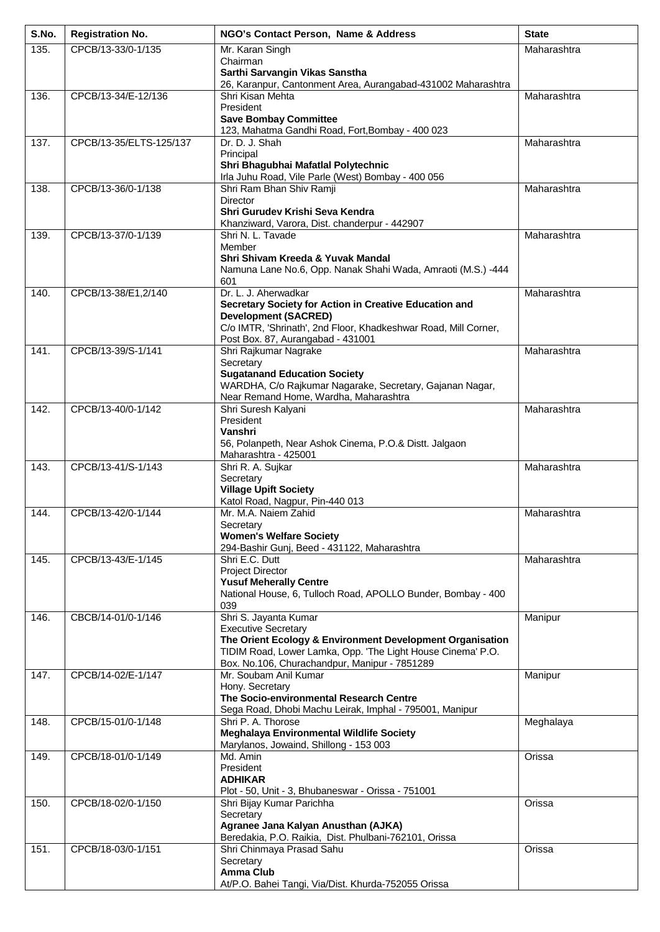| S.No. | <b>Registration No.</b> | NGO's Contact Person, Name & Address                                                                                     | <b>State</b> |
|-------|-------------------------|--------------------------------------------------------------------------------------------------------------------------|--------------|
| 135.  | CPCB/13-33/0-1/135      | Mr. Karan Singh                                                                                                          | Maharashtra  |
|       |                         | Chairman<br>Sarthi Sarvangin Vikas Sanstha                                                                               |              |
|       |                         | 26, Karanpur, Cantonment Area, Aurangabad-431002 Maharashtra                                                             |              |
| 136.  | CPCB/13-34/E-12/136     | Shri Kisan Mehta<br>President                                                                                            | Maharashtra  |
|       |                         | <b>Save Bombay Committee</b>                                                                                             |              |
|       |                         | 123, Mahatma Gandhi Road, Fort, Bombay - 400 023                                                                         |              |
| 137.  | CPCB/13-35/ELTS-125/137 | Dr. D. J. Shah<br>Principal                                                                                              | Maharashtra  |
|       |                         | Shri Bhagubhai Mafatlal Polytechnic                                                                                      |              |
| 138.  | CPCB/13-36/0-1/138      | Irla Juhu Road, Vile Parle (West) Bombay - 400 056<br>Shri Ram Bhan Shiv Ramji                                           | Maharashtra  |
|       |                         | <b>Director</b>                                                                                                          |              |
|       |                         | Shri Gurudev Krishi Seva Kendra                                                                                          |              |
| 139.  | CPCB/13-37/0-1/139      | Khanziward, Varora, Dist. chanderpur - 442907<br>Shri N. L. Tavade                                                       | Maharashtra  |
|       |                         | Member                                                                                                                   |              |
|       |                         | Shri Shivam Kreeda & Yuvak Mandal<br>Namuna Lane No.6, Opp. Nanak Shahi Wada, Amraoti (M.S.) -444                        |              |
|       |                         | 601                                                                                                                      |              |
| 140.  | CPCB/13-38/E1,2/140     | Dr. L. J. Aherwadkar<br>Secretary Society for Action in Creative Education and                                           | Maharashtra  |
|       |                         | <b>Development (SACRED)</b>                                                                                              |              |
|       |                         | C/o IMTR, 'Shrinath', 2nd Floor, Khadkeshwar Road, Mill Corner,                                                          |              |
| 141.  | CPCB/13-39/S-1/141      | Post Box. 87, Aurangabad - 431001<br>Shri Rajkumar Nagrake                                                               | Maharashtra  |
|       |                         | Secretary                                                                                                                |              |
|       |                         | <b>Sugatanand Education Society</b><br>WARDHA, C/o Rajkumar Nagarake, Secretary, Gajanan Nagar,                          |              |
|       |                         | Near Remand Home, Wardha, Maharashtra                                                                                    |              |
| 142.  | CPCB/13-40/0-1/142      | Shri Suresh Kalyani<br>President                                                                                         | Maharashtra  |
|       |                         | Vanshri                                                                                                                  |              |
|       |                         | 56, Polanpeth, Near Ashok Cinema, P.O.& Distt. Jalgaon                                                                   |              |
| 143.  | CPCB/13-41/S-1/143      | Maharashtra - 425001<br>Shri R. A. Sujkar                                                                                | Maharashtra  |
|       |                         | Secretary                                                                                                                |              |
|       |                         | <b>Village Upift Society</b><br>Katol Road, Nagpur, Pin-440 013                                                          |              |
| 144.  | CPCB/13-42/0-1/144      | Mr. M.A. Naiem Zahid                                                                                                     | Maharashtra  |
|       |                         | Secretary<br><b>Women's Welfare Society</b>                                                                              |              |
|       |                         | 294-Bashir Gunj, Beed - 431122, Maharashtra                                                                              |              |
| 145.  | CPCB/13-43/E-1/145      | Shri E.C. Dutt<br><b>Project Director</b>                                                                                | Maharashtra  |
|       |                         | <b>Yusuf Meherally Centre</b>                                                                                            |              |
|       |                         | National House, 6, Tulloch Road, APOLLO Bunder, Bombay - 400                                                             |              |
| 146.  | CBCB/14-01/0-1/146      | 039<br>Shri S. Jayanta Kumar                                                                                             | Manipur      |
|       |                         | <b>Executive Secretary</b>                                                                                               |              |
|       |                         | The Orient Ecology & Environment Development Organisation<br>TIDIM Road, Lower Lamka, Opp. 'The Light House Cinema' P.O. |              |
|       |                         | Box. No.106, Churachandpur, Manipur - 7851289                                                                            |              |
| 147.  | CPCB/14-02/E-1/147      | Mr. Soubam Anil Kumar<br>Hony. Secretary                                                                                 | Manipur      |
|       |                         | The Socio-environmental Research Centre                                                                                  |              |
|       |                         | Sega Road, Dhobi Machu Leirak, Imphal - 795001, Manipur                                                                  |              |
| 148.  | CPCB/15-01/0-1/148      | Shri P. A. Thorose<br>Meghalaya Environmental Wildlife Society                                                           | Meghalaya    |
|       |                         | Marylanos, Jowaind, Shillong - 153 003                                                                                   |              |
| 149.  | CPCB/18-01/0-1/149      | Md. Amin<br>President                                                                                                    | Orissa       |
|       |                         | <b>ADHIKAR</b>                                                                                                           |              |
| 150.  | CPCB/18-02/0-1/150      | Plot - 50, Unit - 3, Bhubaneswar - Orissa - 751001<br>Shri Bijay Kumar Parichha                                          | Orissa       |
|       |                         | Secretary                                                                                                                |              |
|       |                         | Agranee Jana Kalyan Anusthan (AJKA)<br>Beredakia, P.O. Raikia, Dist. Phulbani-762101, Orissa                             |              |
| 151.  | CPCB/18-03/0-1/151      | Shri Chinmaya Prasad Sahu                                                                                                | Orissa       |
|       |                         | Secretary                                                                                                                |              |
|       |                         | <b>Amma Club</b><br>At/P.O. Bahei Tangi, Via/Dist. Khurda-752055 Orissa                                                  |              |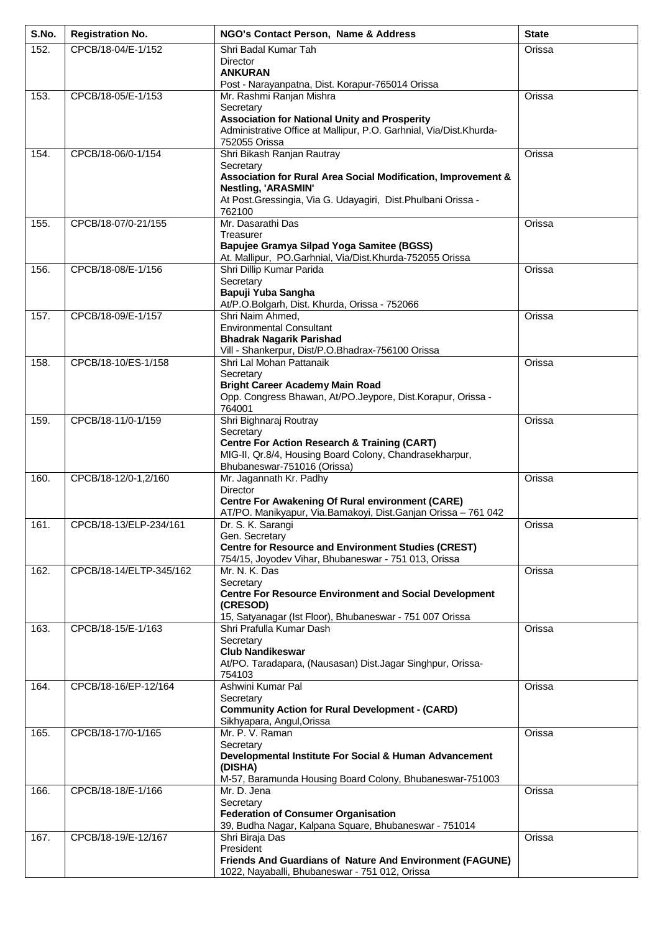| S.No. | <b>Registration No.</b> | NGO's Contact Person, Name & Address                                                   | <b>State</b> |
|-------|-------------------------|----------------------------------------------------------------------------------------|--------------|
| 152.  | CPCB/18-04/E-1/152      | Shri Badal Kumar Tah                                                                   | Orissa       |
|       |                         | Director<br><b>ANKURAN</b>                                                             |              |
|       |                         | Post - Narayanpatna, Dist. Korapur-765014 Orissa                                       |              |
| 153.  | CPCB/18-05/E-1/153      | Mr. Rashmi Ranjan Mishra                                                               | Orissa       |
|       |                         | Secretary<br><b>Association for National Unity and Prosperity</b>                      |              |
|       |                         | Administrative Office at Mallipur, P.O. Garhnial, Via/Dist.Khurda-                     |              |
|       |                         | 752055 Orissa                                                                          |              |
| 154.  | CPCB/18-06/0-1/154      | Shri Bikash Ranjan Rautray<br>Secretary                                                | Orissa       |
|       |                         | Association for Rural Area Social Modification, Improvement &                          |              |
|       |                         | Nestling, 'ARASMIN'<br>At Post.Gressingia, Via G. Udayagiri, Dist.Phulbani Orissa -    |              |
|       |                         | 762100                                                                                 |              |
| 155.  | CPCB/18-07/0-21/155     | Mr. Dasarathi Das                                                                      | Orissa       |
|       |                         | Treasurer<br>Bapujee Gramya Silpad Yoga Samitee (BGSS)                                 |              |
|       |                         | At. Mallipur, PO.Garhnial, Via/Dist.Khurda-752055 Orissa                               |              |
| 156.  | CPCB/18-08/E-1/156      | Shri Dillip Kumar Parida                                                               | Orissa       |
|       |                         | Secretary<br>Bapuji Yuba Sangha                                                        |              |
|       |                         | At/P.O.Bolgarh, Dist. Khurda, Orissa - 752066                                          |              |
| 157.  | CPCB/18-09/E-1/157      | Shri Naim Ahmed,<br><b>Environmental Consultant</b>                                    | Orissa       |
|       |                         | <b>Bhadrak Nagarik Parishad</b>                                                        |              |
|       |                         | Vill - Shankerpur, Dist/P.O.Bhadrax-756100 Orissa                                      |              |
| 158.  | CPCB/18-10/ES-1/158     | Shri Lal Mohan Pattanaik<br>Secretary                                                  | Orissa       |
|       |                         | <b>Bright Career Academy Main Road</b>                                                 |              |
|       |                         | Opp. Congress Bhawan, At/PO.Jeypore, Dist.Korapur, Orissa -                            |              |
| 159.  | CPCB/18-11/0-1/159      | 764001<br>Shri Bighnaraj Routray                                                       | Orissa       |
|       |                         | Secretary                                                                              |              |
|       |                         | <b>Centre For Action Research &amp; Training (CART)</b>                                |              |
|       |                         | MIG-II, Qr.8/4, Housing Board Colony, Chandrasekharpur,<br>Bhubaneswar-751016 (Orissa) |              |
| 160.  | CPCB/18-12/0-1,2/160    | Mr. Jagannath Kr. Padhy                                                                | Orissa       |
|       |                         | Director<br><b>Centre For Awakening Of Rural environment (CARE)</b>                    |              |
|       |                         | AT/PO. Manikyapur, Via.Bamakoyi, Dist.Ganjan Orissa - 761 042                          |              |
| 161.  | CPCB/18-13/ELP-234/161  | Dr. S. K. Sarangi<br>Gen. Secretary                                                    | Orissa       |
|       |                         | <b>Centre for Resource and Environment Studies (CREST)</b>                             |              |
|       |                         | 754/15, Joyodev Vihar, Bhubaneswar - 751 013, Orissa                                   |              |
| 162.  | CPCB/18-14/ELTP-345/162 | Mr. N. K. Das<br>Secretary                                                             | Orissa       |
|       |                         | <b>Centre For Resource Environment and Social Development</b>                          |              |
|       |                         | (CRESOD)                                                                               |              |
| 163.  | CPCB/18-15/E-1/163      | 15, Satyanagar (Ist Floor), Bhubaneswar - 751 007 Orissa<br>Shri Prafulla Kumar Dash   | Orissa       |
|       |                         | Secretary                                                                              |              |
|       |                         | <b>Club Nandikeswar</b><br>At/PO. Taradapara, (Nausasan) Dist.Jagar Singhpur, Orissa-  |              |
|       |                         | 754103                                                                                 |              |
| 164.  | CPCB/18-16/EP-12/164    | Ashwini Kumar Pal                                                                      | Orissa       |
|       |                         | Secretary<br><b>Community Action for Rural Development - (CARD)</b>                    |              |
|       |                         | Sikhyapara, Angul, Orissa                                                              |              |
| 165.  | CPCB/18-17/0-1/165      | Mr. P. V. Raman<br>Secretary                                                           | Orissa       |
|       |                         | Developmental Institute For Social & Human Advancement                                 |              |
|       |                         | (DISHA)                                                                                |              |
| 166.  | CPCB/18-18/E-1/166      | M-57, Baramunda Housing Board Colony, Bhubaneswar-751003<br>Mr. D. Jena                | Orissa       |
|       |                         | Secretary                                                                              |              |
|       |                         | <b>Federation of Consumer Organisation</b>                                             |              |
| 167.  | CPCB/18-19/E-12/167     | 39, Budha Nagar, Kalpana Square, Bhubaneswar - 751014<br>Shri Biraja Das               | Orissa       |
|       |                         | President                                                                              |              |
|       |                         | Friends And Guardians of Nature And Environment (FAGUNE)                               |              |
|       |                         | 1022, Nayaballi, Bhubaneswar - 751 012, Orissa                                         |              |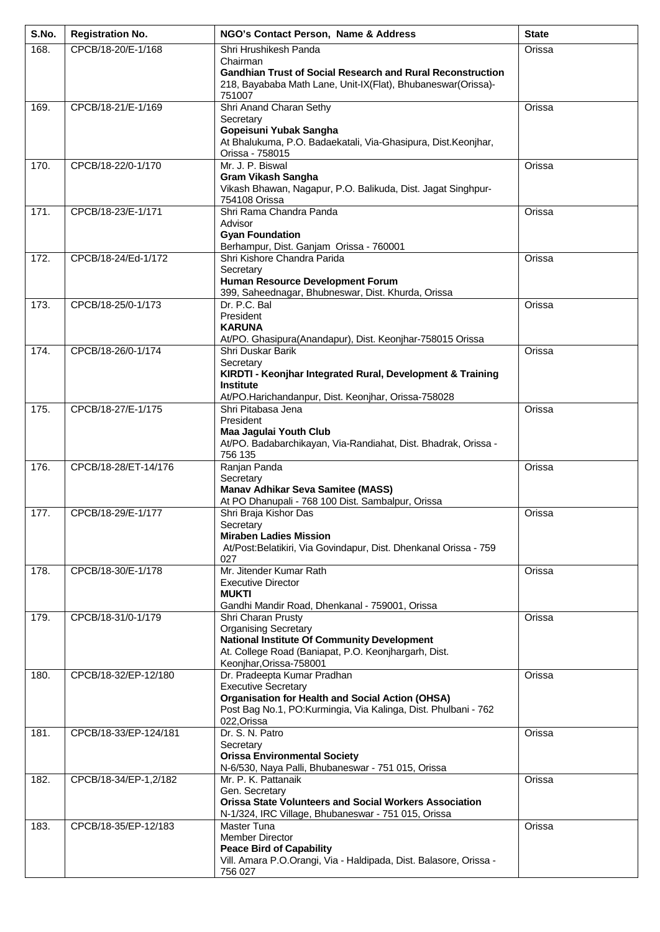| S.No. | <b>Registration No.</b> | NGO's Contact Person, Name & Address                                                                                                                                                                  | <b>State</b> |
|-------|-------------------------|-------------------------------------------------------------------------------------------------------------------------------------------------------------------------------------------------------|--------------|
| 168.  | CPCB/18-20/E-1/168      | Shri Hrushikesh Panda                                                                                                                                                                                 | Orissa       |
|       |                         | Chairman<br><b>Gandhian Trust of Social Research and Rural Reconstruction</b><br>218, Bayababa Math Lane, Unit-IX(Flat), Bhubaneswar(Orissa)-                                                         |              |
| 169.  | CPCB/18-21/E-1/169      | 751007<br>Shri Anand Charan Sethy                                                                                                                                                                     | Orissa       |
|       |                         | Secretary<br>Gopeisuni Yubak Sangha<br>At Bhalukuma, P.O. Badaekatali, Via-Ghasipura, Dist.Keonjhar,<br>Orissa - 758015                                                                               |              |
| 170.  | CPCB/18-22/0-1/170      | Mr. J. P. Biswal<br><b>Gram Vikash Sangha</b><br>Vikash Bhawan, Nagapur, P.O. Balikuda, Dist. Jagat Singhpur-<br>754108 Orissa                                                                        | Orissa       |
| 171.  | CPCB/18-23/E-1/171      | Shri Rama Chandra Panda<br>Advisor<br><b>Gyan Foundation</b><br>Berhampur, Dist. Ganjam Orissa - 760001                                                                                               | Orissa       |
| 172.  | CPCB/18-24/Ed-1/172     | Shri Kishore Chandra Parida<br>Secretary<br>Human Resource Development Forum<br>399, Saheednagar, Bhubneswar, Dist. Khurda, Orissa                                                                    | Orissa       |
| 173.  | CPCB/18-25/0-1/173      | Dr. P.C. Bal<br>President<br><b>KARUNA</b><br>At/PO. Ghasipura(Anandapur), Dist. Keonjhar-758015 Orissa                                                                                               | Orissa       |
| 174.  | CPCB/18-26/0-1/174      | Shri Duskar Barik<br>Secretary                                                                                                                                                                        | Orissa       |
|       |                         | KIRDTI - Keonjhar Integrated Rural, Development & Training<br><b>Institute</b><br>At/PO.Harichandanpur, Dist. Keonjhar, Orissa-758028                                                                 |              |
| 175.  | CPCB/18-27/E-1/175      | Shri Pitabasa Jena<br>President<br>Maa Jagulai Youth Club<br>At/PO. Badabarchikayan, Via-Randiahat, Dist. Bhadrak, Orissa -<br>756 135                                                                | Orissa       |
| 176.  | CPCB/18-28/ET-14/176    | Ranjan Panda<br>Secretary<br><b>Manav Adhikar Seva Samitee (MASS)</b><br>At PO Dhanupali - 768 100 Dist. Sambalpur, Orissa                                                                            | Orissa       |
| 177.  | CPCB/18-29/E-1/177      | Shri Braja Kishor Das<br>Secretary<br><b>Miraben Ladies Mission</b><br>At/Post:Belatikiri, Via Govindapur, Dist. Dhenkanal Orissa - 759<br>027                                                        | Orissa       |
| 178.  | CPCB/18-30/E-1/178      | Mr. Jitender Kumar Rath<br><b>Executive Director</b><br><b>MUKTI</b><br>Gandhi Mandir Road, Dhenkanal - 759001, Orissa                                                                                | Orissa       |
| 179.  | CPCB/18-31/0-1/179      | Shri Charan Prusty<br><b>Organising Secretary</b><br><b>National Institute Of Community Development</b><br>At. College Road (Baniapat, P.O. Keonjhargarh, Dist.<br>Keonjhar, Orissa-758001            | Orissa       |
| 180.  | CPCB/18-32/EP-12/180    | Dr. Pradeepta Kumar Pradhan<br><b>Executive Secretary</b><br><b>Organisation for Health and Social Action (OHSA)</b><br>Post Bag No.1, PO:Kurmingia, Via Kalinga, Dist. Phulbani - 762<br>022, Orissa | Orissa       |
| 181.  | CPCB/18-33/EP-124/181   | Dr. S. N. Patro<br>Secretary<br><b>Orissa Environmental Society</b><br>N-6/530, Naya Palli, Bhubaneswar - 751 015, Orissa                                                                             | Orissa       |
| 182.  | CPCB/18-34/EP-1,2/182   | Mr. P. K. Pattanaik<br>Gen. Secretary<br><b>Orissa State Volunteers and Social Workers Association</b><br>N-1/324, IRC Village, Bhubaneswar - 751 015, Orissa                                         | Orissa       |
| 183.  | CPCB/18-35/EP-12/183    | <b>Master Tuna</b><br><b>Member Director</b><br><b>Peace Bird of Capability</b><br>Vill. Amara P.O.Orangi, Via - Haldipada, Dist. Balasore, Orissa -<br>756 027                                       | Orissa       |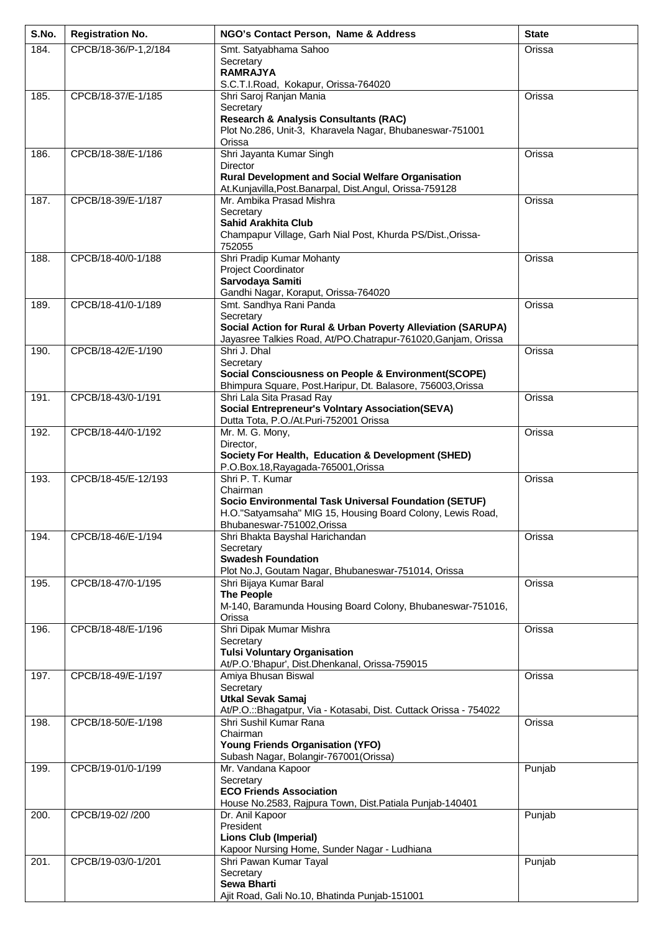| S.No. | <b>Registration No.</b> | NGO's Contact Person, Name & Address                                                        | <b>State</b> |
|-------|-------------------------|---------------------------------------------------------------------------------------------|--------------|
| 184.  | CPCB/18-36/P-1,2/184    | Smt. Satyabhama Sahoo                                                                       | Orissa       |
|       |                         | Secretary<br><b>RAMRAJYA</b>                                                                |              |
|       |                         | S.C.T.I.Road, Kokapur, Orissa-764020                                                        |              |
| 185.  | CPCB/18-37/E-1/185      | Shri Saroj Ranjan Mania<br>Secretary                                                        | Orissa       |
|       |                         | <b>Research &amp; Analysis Consultants (RAC)</b>                                            |              |
|       |                         | Plot No.286, Unit-3, Kharavela Nagar, Bhubaneswar-751001                                    |              |
| 186.  | CPCB/18-38/E-1/186      | Orissa<br>Shri Jayanta Kumar Singh                                                          | Orissa       |
|       |                         | <b>Director</b>                                                                             |              |
|       |                         | <b>Rural Development and Social Welfare Organisation</b>                                    |              |
| 187.  | CPCB/18-39/E-1/187      | At.Kunjavilla, Post.Banarpal, Dist.Angul, Orissa-759128<br>Mr. Ambika Prasad Mishra         | Orissa       |
|       |                         | Secretary                                                                                   |              |
|       |                         | <b>Sahid Arakhita Club</b><br>Champapur Village, Garh Nial Post, Khurda PS/Dist., Orissa-   |              |
|       |                         | 752055                                                                                      |              |
| 188.  | CPCB/18-40/0-1/188      | Shri Pradip Kumar Mohanty                                                                   | Orissa       |
|       |                         | <b>Project Coordinator</b><br>Sarvodaya Samiti                                              |              |
|       |                         | Gandhi Nagar, Koraput, Orissa-764020                                                        |              |
| 189.  | CPCB/18-41/0-1/189      | Smt. Sandhya Rani Panda<br>Secretary                                                        | Orissa       |
|       |                         | Social Action for Rural & Urban Poverty Alleviation (SARUPA)                                |              |
|       |                         | Jayasree Talkies Road, At/PO.Chatrapur-761020, Ganjam, Orissa                               |              |
| 190.  | CPCB/18-42/E-1/190      | Shri J. Dhal<br>Secretary                                                                   | Orissa       |
|       |                         | Social Consciousness on People & Environment(SCOPE)                                         |              |
|       |                         | Bhimpura Square, Post.Haripur, Dt. Balasore, 756003,Orissa                                  |              |
| 191.  | CPCB/18-43/0-1/191      | Shri Lala Sita Prasad Ray<br><b>Social Entrepreneur's Volntary Association(SEVA)</b>        | Orissa       |
|       |                         | Dutta Tota, P.O./At.Puri-752001 Orissa                                                      |              |
| 192.  | CPCB/18-44/0-1/192      | Mr. M. G. Mony,<br>Director,                                                                | Orissa       |
|       |                         | Society For Health, Education & Development (SHED)                                          |              |
|       |                         | P.O.Box.18, Rayagada-765001, Orissa                                                         |              |
| 193.  | CPCB/18-45/E-12/193     | Shri P. T. Kumar<br>Chairman                                                                | Orissa       |
|       |                         | Socio Environmental Task Universal Foundation (SETUF)                                       |              |
|       |                         | H.O."Satyamsaha" MIG 15, Housing Board Colony, Lewis Road,<br>Bhubaneswar-751002, Orissa    |              |
| 194.  | CPCB/18-46/E-1/194      | Shri Bhakta Bayshal Harichandan                                                             | Orissa       |
|       |                         | Secretary                                                                                   |              |
|       |                         | <b>Swadesh Foundation</b><br>Plot No.J, Goutam Nagar, Bhubaneswar-751014, Orissa            |              |
| 195.  | CPCB/18-47/0-1/195      | Shri Bijaya Kumar Baral                                                                     | Orissa       |
|       |                         | <b>The People</b><br>M-140, Baramunda Housing Board Colony, Bhubaneswar-751016,             |              |
|       |                         | Orissa                                                                                      |              |
| 196.  | CPCB/18-48/E-1/196      | Shri Dipak Mumar Mishra<br>Secretary                                                        | Orissa       |
|       |                         | <b>Tulsi Voluntary Organisation</b>                                                         |              |
|       |                         | At/P.O.'Bhapur', Dist.Dhenkanal, Orissa-759015                                              |              |
| 197.  | CPCB/18-49/E-1/197      | Amiya Bhusan Biswal<br>Secretary                                                            | Orissa       |
|       |                         | <b>Utkal Sevak Samaj</b>                                                                    |              |
| 198.  |                         | At/P.O.::Bhagatpur, Via - Kotasabi, Dist. Cuttack Orissa - 754022<br>Shri Sushil Kumar Rana | Orissa       |
|       | CPCB/18-50/E-1/198      | Chairman                                                                                    |              |
|       |                         | Young Friends Organisation (YFO)                                                            |              |
| 199.  | CPCB/19-01/0-1/199      | Subash Nagar, Bolangir-767001 (Orissa)<br>Mr. Vandana Kapoor                                | Punjab       |
|       |                         | Secretary                                                                                   |              |
|       |                         | <b>ECO Friends Association</b>                                                              |              |
| 200.  | CPCB/19-02/ /200        | House No.2583, Rajpura Town, Dist.Patiala Punjab-140401<br>Dr. Anil Kapoor                  | Punjab       |
|       |                         | President                                                                                   |              |
|       |                         | <b>Lions Club (Imperial)</b><br>Kapoor Nursing Home, Sunder Nagar - Ludhiana                |              |
| 201.  | CPCB/19-03/0-1/201      | Shri Pawan Kumar Tayal                                                                      | Punjab       |
|       |                         | Secretary<br><b>Sewa Bharti</b>                                                             |              |
|       |                         | Ajit Road, Gali No.10, Bhatinda Punjab-151001                                               |              |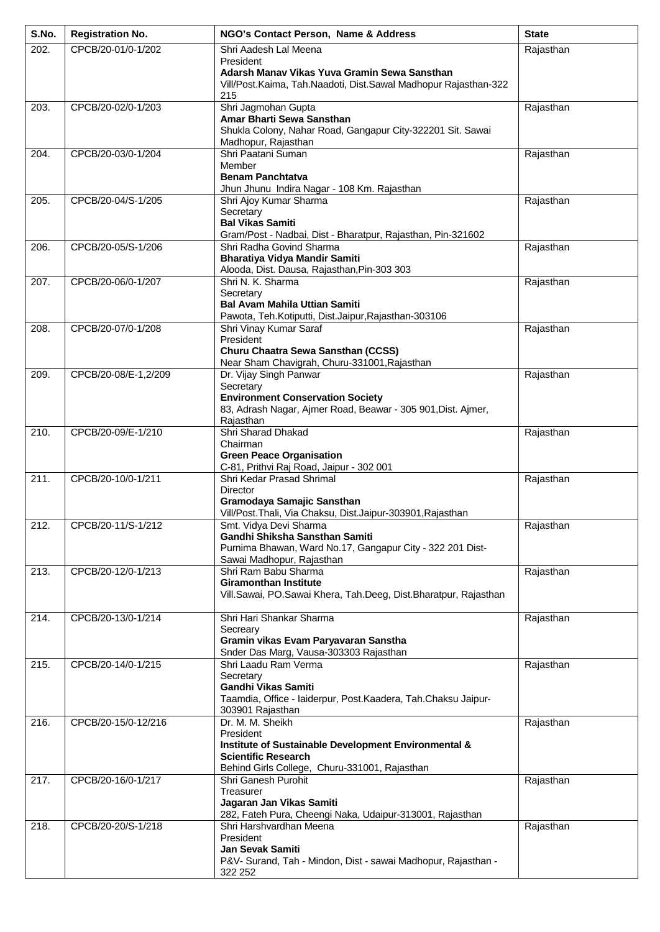| S.No. | <b>Registration No.</b> | NGO's Contact Person, Name & Address                                               | <b>State</b> |
|-------|-------------------------|------------------------------------------------------------------------------------|--------------|
| 202.  | CPCB/20-01/0-1/202      | Shri Aadesh Lal Meena                                                              | Rajasthan    |
|       |                         | President<br>Adarsh Manav Vikas Yuva Gramin Sewa Sansthan                          |              |
|       |                         | Vill/Post.Kaima, Tah.Naadoti, Dist.Sawal Madhopur Rajasthan-322                    |              |
|       |                         | 215                                                                                |              |
| 203.  | CPCB/20-02/0-1/203      | Shri Jagmohan Gupta<br>Amar Bharti Sewa Sansthan                                   | Rajasthan    |
|       |                         | Shukla Colony, Nahar Road, Gangapur City-322201 Sit. Sawai                         |              |
|       |                         | Madhopur, Rajasthan                                                                |              |
| 204.  | CPCB/20-03/0-1/204      | Shri Paatani Suman<br>Member                                                       | Rajasthan    |
|       |                         | <b>Benam Panchtatva</b>                                                            |              |
|       |                         | Jhun Jhunu Indira Nagar - 108 Km. Rajasthan                                        |              |
| 205.  | CPCB/20-04/S-1/205      | Shri Ajoy Kumar Sharma<br>Secretary                                                | Rajasthan    |
|       |                         | <b>Bal Vikas Samiti</b>                                                            |              |
|       |                         | Gram/Post - Nadbai, Dist - Bharatpur, Rajasthan, Pin-321602                        |              |
| 206.  | CPCB/20-05/S-1/206      | Shri Radha Govind Sharma<br><b>Bharatiya Vidya Mandir Samiti</b>                   | Rajasthan    |
|       |                         | Alooda, Dist. Dausa, Rajasthan, Pin-303 303                                        |              |
| 207.  | CPCB/20-06/0-1/207      | Shri N. K. Sharma                                                                  | Rajasthan    |
|       |                         | Secretary<br><b>Bal Avam Mahila Uttian Samiti</b>                                  |              |
|       |                         | Pawota, Teh.Kotiputti, Dist.Jaipur,Rajasthan-303106                                |              |
| 208.  | CPCB/20-07/0-1/208      | Shri Vinay Kumar Saraf                                                             | Rajasthan    |
|       |                         | President<br>Churu Chaatra Sewa Sansthan (CCSS)                                    |              |
|       |                         | Near Sham Chavigrah, Churu-331001, Rajasthan                                       |              |
| 209.  | CPCB/20-08/E-1,2/209    | Dr. Vijay Singh Panwar                                                             | Rajasthan    |
|       |                         | Secretary<br><b>Environment Conservation Society</b>                               |              |
|       |                         | 83, Adrash Nagar, Ajmer Road, Beawar - 305 901, Dist. Ajmer,                       |              |
|       |                         | Rajasthan                                                                          |              |
| 210.  | CPCB/20-09/E-1/210      | Shri Sharad Dhakad<br>Chairman                                                     | Rajasthan    |
|       |                         | <b>Green Peace Organisation</b>                                                    |              |
|       |                         | C-81, Prithvi Raj Road, Jaipur - 302 001                                           |              |
| 211.  | CPCB/20-10/0-1/211      | Shri Kedar Prasad Shrimal<br>Director                                              | Rajasthan    |
|       |                         | Gramodaya Samajic Sansthan                                                         |              |
|       | CPCB/20-11/S-1/212      | Vill/Post.Thali, Via Chaksu, Dist.Jaipur-303901,Rajasthan                          |              |
| 212.  |                         | Smt. Vidya Devi Sharma<br>Gandhi Shiksha Sansthan Samiti                           | Rajasthan    |
|       |                         | Purnima Bhawan, Ward No.17, Gangapur City - 322 201 Dist-                          |              |
|       | CPCB/20-12/0-1/213      | Sawai Madhopur, Rajasthan<br>Shri Ram Babu Sharma                                  | Rajasthan    |
| 213.  |                         | <b>Giramonthan Institute</b>                                                       |              |
|       |                         | Vill.Sawai, PO.Sawai Khera, Tah.Deeg, Dist.Bharatpur, Rajasthan                    |              |
| 214.  | CPCB/20-13/0-1/214      | Shri Hari Shankar Sharma                                                           | Rajasthan    |
|       |                         | Secreary                                                                           |              |
|       |                         | Gramin vikas Evam Paryavaran Sanstha                                               |              |
| 215.  | CPCB/20-14/0-1/215      | Snder Das Marg, Vausa-303303 Rajasthan<br>Shri Laadu Ram Verma                     | Rajasthan    |
|       |                         | Secretary                                                                          |              |
|       |                         | <b>Gandhi Vikas Samiti</b>                                                         |              |
|       |                         | Taamdia, Office - laiderpur, Post.Kaadera, Tah.Chaksu Jaipur-<br>303901 Rajasthan  |              |
| 216.  | CPCB/20-15/0-12/216     | Dr. M. M. Sheikh                                                                   | Rajasthan    |
|       |                         | President                                                                          |              |
|       |                         | Institute of Sustainable Development Environmental &<br><b>Scientific Research</b> |              |
|       |                         | Behind Girls College, Churu-331001, Rajasthan                                      |              |
| 217.  | CPCB/20-16/0-1/217      | Shri Ganesh Purohit                                                                | Rajasthan    |
|       |                         | Treasurer<br>Jagaran Jan Vikas Samiti                                              |              |
|       |                         | 282, Fateh Pura, Cheengi Naka, Udaipur-313001, Rajasthan                           |              |
| 218.  | CPCB/20-20/S-1/218      | Shri Harshvardhan Meena                                                            | Rajasthan    |
|       |                         | President<br><b>Jan Sevak Samiti</b>                                               |              |
|       |                         | P&V- Surand, Tah - Mindon, Dist - sawai Madhopur, Rajasthan -                      |              |
|       |                         | 322 252                                                                            |              |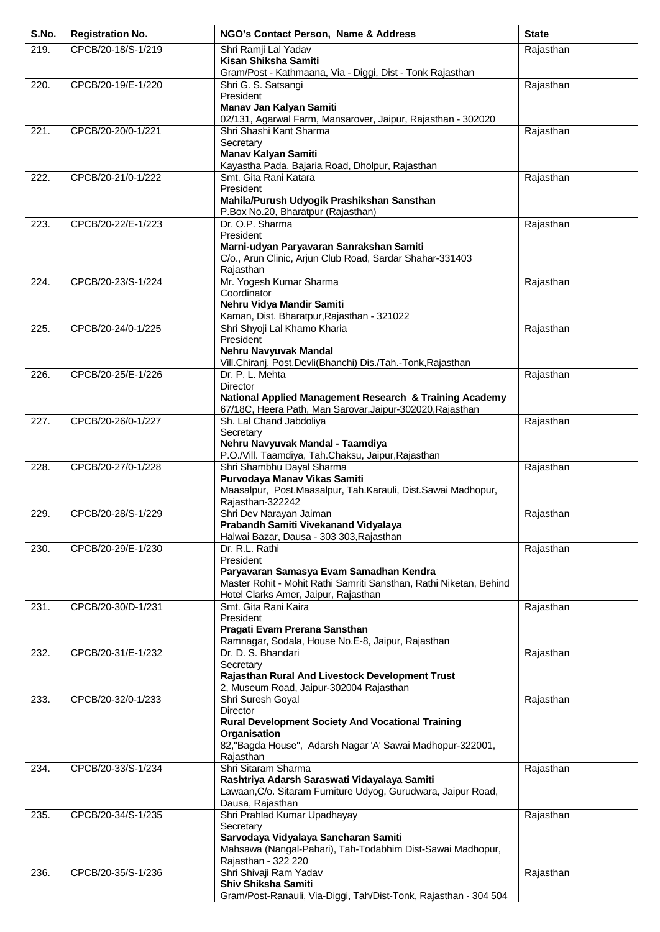| S.No.             | <b>Registration No.</b> | NGO's Contact Person, Name & Address                                                                                 | <b>State</b> |
|-------------------|-------------------------|----------------------------------------------------------------------------------------------------------------------|--------------|
| 219.              | CPCB/20-18/S-1/219      | Shri Ramji Lal Yadav                                                                                                 | Rajasthan    |
|                   |                         | Kisan Shiksha Samiti<br>Gram/Post - Kathmaana, Via - Diggi, Dist - Tonk Rajasthan                                    |              |
| 220.              | CPCB/20-19/E-1/220      | Shri G. S. Satsangi                                                                                                  | Rajasthan    |
|                   |                         | President<br>Manav Jan Kalyan Samiti                                                                                 |              |
|                   |                         | 02/131, Agarwal Farm, Mansarover, Jaipur, Rajasthan - 302020                                                         |              |
| 221.              | CPCB/20-20/0-1/221      | Shri Shashi Kant Sharma                                                                                              | Rajasthan    |
|                   |                         | Secretary<br><b>Manav Kalyan Samiti</b>                                                                              |              |
|                   |                         | Kayastha Pada, Bajaria Road, Dholpur, Rajasthan                                                                      |              |
| 222.              | CPCB/20-21/0-1/222      | Smt. Gita Rani Katara                                                                                                | Rajasthan    |
|                   |                         | President<br>Mahila/Purush Udyogik Prashikshan Sansthan                                                              |              |
|                   |                         | P.Box No.20, Bharatpur (Rajasthan)                                                                                   |              |
| 223.              | CPCB/20-22/E-1/223      | Dr. O.P. Sharma                                                                                                      | Rajasthan    |
|                   |                         | President<br>Marni-udyan Paryavaran Sanrakshan Samiti                                                                |              |
|                   |                         | C/o., Arun Clinic, Arjun Club Road, Sardar Shahar-331403                                                             |              |
| 224.              | CPCB/20-23/S-1/224      | Rajasthan<br>Mr. Yogesh Kumar Sharma                                                                                 | Rajasthan    |
|                   |                         | Coordinator                                                                                                          |              |
|                   |                         | Nehru Vidya Mandir Samiti                                                                                            |              |
| $\overline{2}25.$ | CPCB/20-24/0-1/225      | Kaman, Dist. Bharatpur, Rajasthan - 321022<br>Shri Shyoji Lal Khamo Kharia                                           | Rajasthan    |
|                   |                         | President                                                                                                            |              |
|                   |                         | Nehru Navyuvak Mandal                                                                                                |              |
| $\overline{2}26.$ | CPCB/20-25/E-1/226      | Vill.Chiranj, Post.Devli(Bhanchi) Dis./Tah.-Tonk, Rajasthan<br>Dr. P. L. Mehta                                       | Rajasthan    |
|                   |                         | <b>Director</b>                                                                                                      |              |
|                   |                         | National Applied Management Research & Training Academy<br>67/18C, Heera Path, Man Sarovar, Jaipur-302020, Rajasthan |              |
| $\overline{2}27.$ | CPCB/20-26/0-1/227      | Sh. Lal Chand Jabdoliya                                                                                              | Rajasthan    |
|                   |                         | Secretary                                                                                                            |              |
|                   |                         | Nehru Navyuvak Mandal - Taamdiya<br>P.O./Vill. Taamdiya, Tah.Chaksu, Jaipur, Rajasthan                               |              |
| 228.              | CPCB/20-27/0-1/228      | Shri Shambhu Dayal Sharma                                                                                            | Rajasthan    |
|                   |                         | Purvodaya Manav Vikas Samiti<br>Maasalpur, Post.Maasalpur, Tah.Karauli, Dist.Sawai Madhopur,                         |              |
|                   |                         | Rajasthan-322242                                                                                                     |              |
| 229.              | CPCB/20-28/S-1/229      | Shri Dev Narayan Jaiman                                                                                              | Rajasthan    |
|                   |                         | Prabandh Samiti Vivekanand Vidyalaya<br>Halwai Bazar, Dausa - 303 303, Rajasthan                                     |              |
| 230.              | CPCB/20-29/E-1/230      | Dr. R.L. Rathi                                                                                                       | Rajasthan    |
|                   |                         | President<br>Paryavaran Samasya Evam Samadhan Kendra                                                                 |              |
|                   |                         | Master Rohit - Mohit Rathi Samriti Sansthan, Rathi Niketan, Behind                                                   |              |
|                   |                         | Hotel Clarks Amer, Jaipur, Rajasthan                                                                                 |              |
| 231.              | CPCB/20-30/D-1/231      | Smt. Gita Rani Kaira<br>President                                                                                    | Rajasthan    |
|                   |                         | Pragati Evam Prerana Sansthan                                                                                        |              |
|                   |                         | Ramnagar, Sodala, House No.E-8, Jaipur, Rajasthan                                                                    |              |
| 232.              | CPCB/20-31/E-1/232      | Dr. D. S. Bhandari<br>Secretary                                                                                      | Rajasthan    |
|                   |                         | Rajasthan Rural And Livestock Development Trust                                                                      |              |
| 233.              | CPCB/20-32/0-1/233      | 2, Museum Road, Jaipur-302004 Rajasthan<br>Shri Suresh Goyal                                                         | Rajasthan    |
|                   |                         | <b>Director</b>                                                                                                      |              |
|                   |                         | <b>Rural Development Society And Vocational Training</b>                                                             |              |
|                   |                         | Organisation<br>82, "Bagda House", Adarsh Nagar 'A' Sawai Madhopur-322001,                                           |              |
|                   |                         | Rajasthan                                                                                                            |              |
| 234.              | CPCB/20-33/S-1/234      | Shri Sitaram Sharma<br>Rashtriya Adarsh Saraswati Vidayalaya Samiti                                                  | Rajasthan    |
|                   |                         | Lawaan, C/o. Sitaram Furniture Udyog, Gurudwara, Jaipur Road,                                                        |              |
|                   |                         | Dausa, Rajasthan                                                                                                     |              |
| 235.              | CPCB/20-34/S-1/235      | Shri Prahlad Kumar Upadhayay<br>Secretary                                                                            | Rajasthan    |
|                   |                         | Sarvodaya Vidyalaya Sancharan Samiti                                                                                 |              |
|                   |                         | Mahsawa (Nangal-Pahari), Tah-Todabhim Dist-Sawai Madhopur,<br>Rajasthan - 322 220                                    |              |
| 236.              | CPCB/20-35/S-1/236      | Shri Shivaji Ram Yadav                                                                                               | Rajasthan    |
|                   |                         | <b>Shiv Shiksha Samiti</b>                                                                                           |              |
|                   |                         | Gram/Post-Ranauli, Via-Diggi, Tah/Dist-Tonk, Rajasthan - 304 504                                                     |              |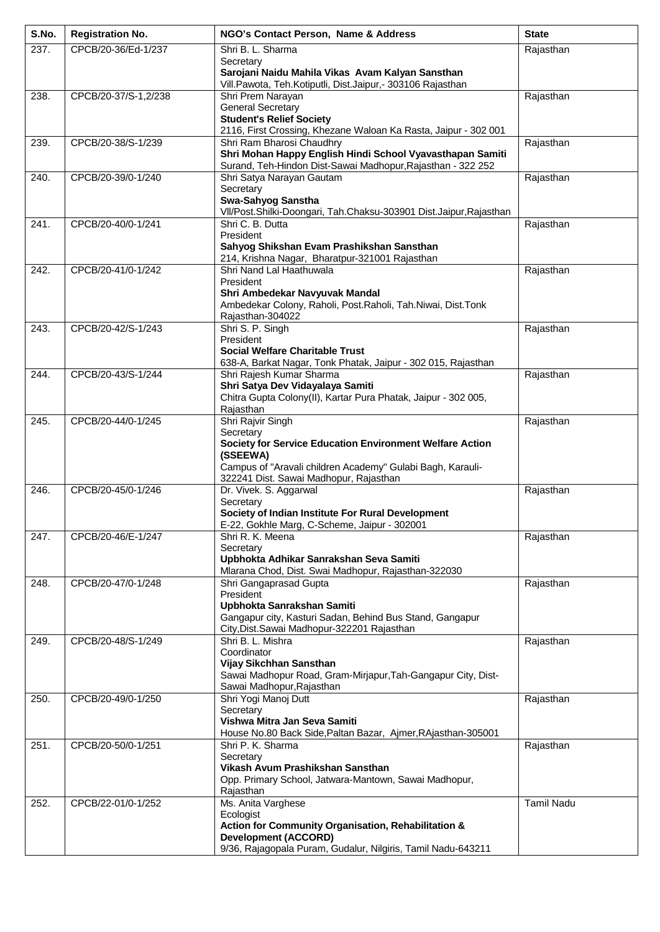| S.No. | <b>Registration No.</b> | NGO's Contact Person, Name & Address                                                                                     | <b>State</b>      |
|-------|-------------------------|--------------------------------------------------------------------------------------------------------------------------|-------------------|
| 237.  | CPCB/20-36/Ed-1/237     | Shri B. L. Sharma                                                                                                        | Rajasthan         |
|       |                         | Secretary<br>Sarojani Naidu Mahila Vikas Avam Kalyan Sansthan                                                            |                   |
|       |                         | Vill.Pawota, Teh.Kotiputli, Dist.Jaipur,- 303106 Rajasthan                                                               |                   |
| 238.  | CPCB/20-37/S-1,2/238    | Shri Prem Narayan                                                                                                        | Rajasthan         |
|       |                         | <b>General Secretary</b><br><b>Student's Relief Society</b>                                                              |                   |
|       |                         | 2116, First Crossing, Khezane Waloan Ka Rasta, Jaipur - 302 001                                                          |                   |
| 239.  | CPCB/20-38/S-1/239      | Shri Ram Bharosi Chaudhry                                                                                                | Rajasthan         |
|       |                         | Shri Mohan Happy English Hindi School Vyavasthapan Samiti<br>Surand, Teh-Hindon Dist-Sawai Madhopur, Rajasthan - 322 252 |                   |
| 240.  | CPCB/20-39/0-1/240      | Shri Satya Narayan Gautam                                                                                                | Rajasthan         |
|       |                         | Secretary<br>Swa-Sahyog Sanstha                                                                                          |                   |
|       |                         | VII/Post.Shilki-Doongari, Tah.Chaksu-303901 Dist.Jaipur,Rajasthan                                                        |                   |
| 241.  | CPCB/20-40/0-1/241      | Shri C. B. Dutta                                                                                                         | Rajasthan         |
|       |                         | President<br>Sahyog Shikshan Evam Prashikshan Sansthan                                                                   |                   |
|       |                         | 214, Krishna Nagar, Bharatpur-321001 Rajasthan                                                                           |                   |
| 242.  | CPCB/20-41/0-1/242      | Shri Nand Lal Haathuwala                                                                                                 | Rajasthan         |
|       |                         | President<br>Shri Ambedekar Navyuvak Mandal                                                                              |                   |
|       |                         | Ambedekar Colony, Raholi, Post.Raholi, Tah.Niwai, Dist.Tonk                                                              |                   |
|       |                         | Rajasthan-304022                                                                                                         |                   |
| 243.  | CPCB/20-42/S-1/243      | Shri S. P. Singh<br>President                                                                                            | Rajasthan         |
|       |                         | <b>Social Welfare Charitable Trust</b>                                                                                   |                   |
|       |                         | 638-A, Barkat Nagar, Tonk Phatak, Jaipur - 302 015, Rajasthan                                                            |                   |
| 244.  | CPCB/20-43/S-1/244      | Shri Rajesh Kumar Sharma<br>Shri Satya Dev Vidayalaya Samiti                                                             | Rajasthan         |
|       |                         | Chitra Gupta Colony(II), Kartar Pura Phatak, Jaipur - 302 005,                                                           |                   |
|       |                         | Rajasthan                                                                                                                |                   |
| 245.  | CPCB/20-44/0-1/245      | Shri Rajvir Singh<br>Secretary                                                                                           | Rajasthan         |
|       |                         | Society for Service Education Environment Welfare Action                                                                 |                   |
|       |                         | (SSEEWA)<br>Campus of "Aravali children Academy" Gulabi Bagh, Karauli-                                                   |                   |
|       |                         | 322241 Dist. Sawai Madhopur, Rajasthan                                                                                   |                   |
| 246.  | CPCB/20-45/0-1/246      | Dr. Vivek. S. Aggarwal                                                                                                   | Rajasthan         |
|       |                         | Secretary<br>Society of Indian Institute For Rural Development                                                           |                   |
|       |                         | E-22, Gokhle Marg, C-Scheme, Jaipur - 302001                                                                             |                   |
| 247.  | CPCB/20-46/E-1/247      | Shri R. K. Meena                                                                                                         | Rajasthan         |
|       |                         | Secretary<br>Upbhokta Adhikar Sanrakshan Seva Samiti                                                                     |                   |
|       |                         | Mlarana Chod, Dist. Swai Madhopur, Rajasthan-322030                                                                      |                   |
| 248.  | CPCB/20-47/0-1/248      | Shri Gangaprasad Gupta<br>President                                                                                      | Rajasthan         |
|       |                         | Upbhokta Sanrakshan Samiti                                                                                               |                   |
|       |                         | Gangapur city, Kasturi Sadan, Behind Bus Stand, Gangapur                                                                 |                   |
| 249.  | CPCB/20-48/S-1/249      | City, Dist. Sawai Madhopur-322201 Rajasthan<br>Shri B. L. Mishra                                                         | Rajasthan         |
|       |                         | Coordinator                                                                                                              |                   |
|       |                         | Vijay Sikchhan Sansthan<br>Sawai Madhopur Road, Gram-Mirjapur, Tah-Gangapur City, Dist-                                  |                   |
|       |                         | Sawai Madhopur, Rajasthan                                                                                                |                   |
| 250.  | CPCB/20-49/0-1/250      | Shri Yogi Manoj Dutt                                                                                                     | Rajasthan         |
|       |                         | Secretary<br>Vishwa Mitra Jan Seva Samiti                                                                                |                   |
|       |                         | House No.80 Back Side, Paltan Bazar, Ajmer, RAjasthan-305001                                                             |                   |
| 251.  | CPCB/20-50/0-1/251      | Shri P. K. Sharma                                                                                                        | Rajasthan         |
|       |                         | Secretary<br>Vikash Avum Prashikshan Sansthan                                                                            |                   |
|       |                         | Opp. Primary School, Jatwara-Mantown, Sawai Madhopur,                                                                    |                   |
|       |                         | Rajasthan                                                                                                                |                   |
| 252.  | CPCB/22-01/0-1/252      | Ms. Anita Varghese<br>Ecologist                                                                                          | <b>Tamil Nadu</b> |
|       |                         | Action for Community Organisation, Rehabilitation &                                                                      |                   |
|       |                         | <b>Development (ACCORD)</b><br>9/36, Rajagopala Puram, Gudalur, Nilgiris, Tamil Nadu-643211                              |                   |
|       |                         |                                                                                                                          |                   |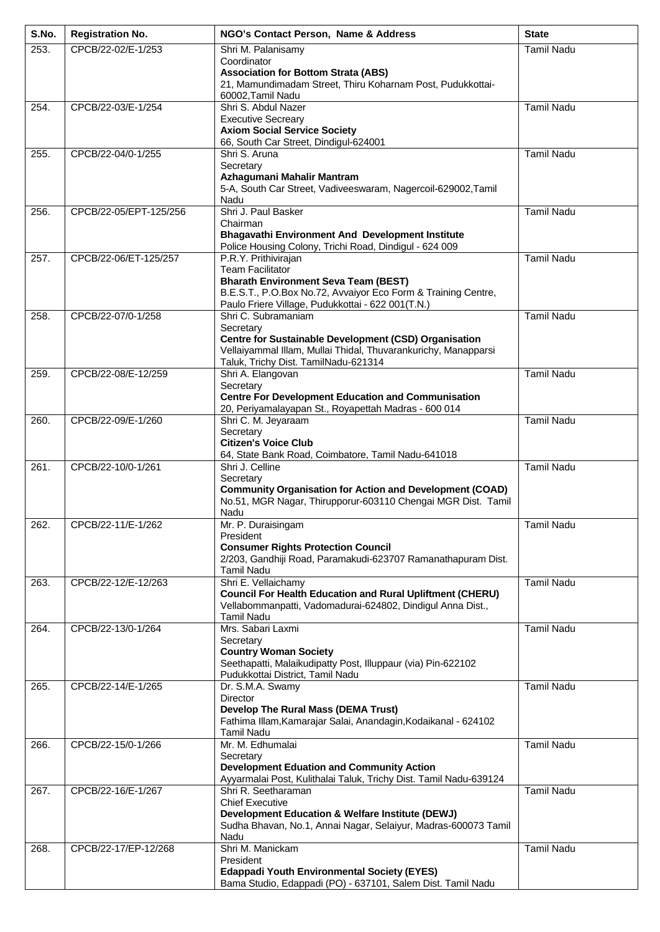| S.No. | <b>Registration No.</b> | NGO's Contact Person, Name & Address                                                                                                                                                         | <b>State</b>      |
|-------|-------------------------|----------------------------------------------------------------------------------------------------------------------------------------------------------------------------------------------|-------------------|
| 253.  | CPCB/22-02/E-1/253      | Shri M. Palanisamy                                                                                                                                                                           | <b>Tamil Nadu</b> |
|       |                         | Coordinator<br><b>Association for Bottom Strata (ABS)</b><br>21, Mamundimadam Street, Thiru Koharnam Post, Pudukkottai-<br>60002, Tamil Nadu                                                 |                   |
| 254.  | CPCB/22-03/E-1/254      | Shri S. Abdul Nazer                                                                                                                                                                          | <b>Tamil Nadu</b> |
|       |                         | <b>Executive Secreary</b><br><b>Axiom Social Service Society</b><br>66, South Car Street, Dindigul-624001                                                                                    |                   |
| 255.  | CPCB/22-04/0-1/255      | Shri S. Aruna                                                                                                                                                                                | <b>Tamil Nadu</b> |
|       |                         | Secretary<br>Azhagumani Mahalir Mantram<br>5-A, South Car Street, Vadiveeswaram, Nagercoil-629002, Tamil<br>Nadu                                                                             |                   |
| 256.  | CPCB/22-05/EPT-125/256  | Shri J. Paul Basker                                                                                                                                                                          | <b>Tamil Nadu</b> |
|       |                         | Chairman<br><b>Bhagavathi Environment And Development Institute</b><br>Police Housing Colony, Trichi Road, Dindigul - 624 009                                                                |                   |
| 257.  | CPCB/22-06/ET-125/257   | P.R.Y. Prithivirajan                                                                                                                                                                         | <b>Tamil Nadu</b> |
|       |                         | <b>Team Facilitator</b><br><b>Bharath Environment Seva Team (BEST)</b><br>B.E.S.T., P.O.Box No.72, Avvaiyor Eco Form & Training Centre,<br>Paulo Friere Village, Pudukkottai - 622 001(T.N.) |                   |
| 258.  | CPCB/22-07/0-1/258      | Shri C. Subramaniam                                                                                                                                                                          | <b>Tamil Nadu</b> |
|       |                         | Secretary<br><b>Centre for Sustainable Development (CSD) Organisation</b><br>Vellaiyammal Illam, Mullai Thidal, Thuvarankurichy, Manapparsi<br>Taluk, Trichy Dist. TamilNadu-621314          |                   |
| 259.  | CPCB/22-08/E-12/259     | Shri A. Elangovan                                                                                                                                                                            | <b>Tamil Nadu</b> |
|       |                         | Secretary<br><b>Centre For Development Education and Communisation</b><br>20, Periyamalayapan St., Royapettah Madras - 600 014                                                               |                   |
| 260.  | CPCB/22-09/E-1/260      | Shri C. M. Jeyaraam                                                                                                                                                                          | <b>Tamil Nadu</b> |
|       |                         | Secretary<br><b>Citizen's Voice Club</b>                                                                                                                                                     |                   |
|       |                         | 64, State Bank Road, Coimbatore, Tamil Nadu-641018                                                                                                                                           |                   |
| 261.  | CPCB/22-10/0-1/261      | Shri J. Celline<br>Secretary<br><b>Community Organisation for Action and Development (COAD)</b><br>No.51, MGR Nagar, Thirupporur-603110 Chengai MGR Dist. Tamil<br>Nadu                      | <b>Tamil Nadu</b> |
| 262.  | CPCB/22-11/E-1/262      | Mr. P. Duraisingam<br>President<br><b>Consumer Rights Protection Council</b><br>2/203, Gandhiji Road, Paramakudi-623707 Ramanathapuram Dist.<br><b>Tamil Nadu</b>                            | <b>Tamil Nadu</b> |
| 263.  | CPCB/22-12/E-12/263     | Shri E. Vellaichamy<br><b>Council For Health Education and Rural Upliftment (CHERU)</b><br>Vellabommanpatti, Vadomadurai-624802, Dindigul Anna Dist.,<br><b>Tamil Nadu</b>                   | <b>Tamil Nadu</b> |
| 264.  | CPCB/22-13/0-1/264      | Mrs. Sabari Laxmi<br>Secretary                                                                                                                                                               | <b>Tamil Nadu</b> |
|       |                         | <b>Country Woman Society</b><br>Seethapatti, Malaikudipatty Post, Illuppaur (via) Pin-622102<br>Pudukkottai District, Tamil Nadu                                                             |                   |
| 265.  | CPCB/22-14/E-1/265      | Dr. S.M.A. Swamy<br><b>Director</b><br>Develop The Rural Mass (DEMA Trust)<br>Fathima Illam, Kamarajar Salai, Anandagin, Kodaikanal - 624102<br><b>Tamil Nadu</b>                            | <b>Tamil Nadu</b> |
| 266.  | CPCB/22-15/0-1/266      | Mr. M. Edhumalai                                                                                                                                                                             | <b>Tamil Nadu</b> |
|       |                         | Secretary<br><b>Development Eduation and Community Action</b><br>Ayyarmalai Post, Kulithalai Taluk, Trichy Dist. Tamil Nadu-639124                                                           |                   |
| 267.  | CPCB/22-16/E-1/267      | Shri R. Seetharaman<br><b>Chief Executive</b><br>Development Education & Welfare Institute (DEWJ)<br>Sudha Bhavan, No.1, Annai Nagar, Selaiyur, Madras-600073 Tamil<br>Nadu                  | <b>Tamil Nadu</b> |
| 268.  | CPCB/22-17/EP-12/268    | Shri M. Manickam<br>President<br><b>Edappadi Youth Environmental Society (EYES)</b><br>Bama Studio, Edappadi (PO) - 637101, Salem Dist. Tamil Nadu                                           | <b>Tamil Nadu</b> |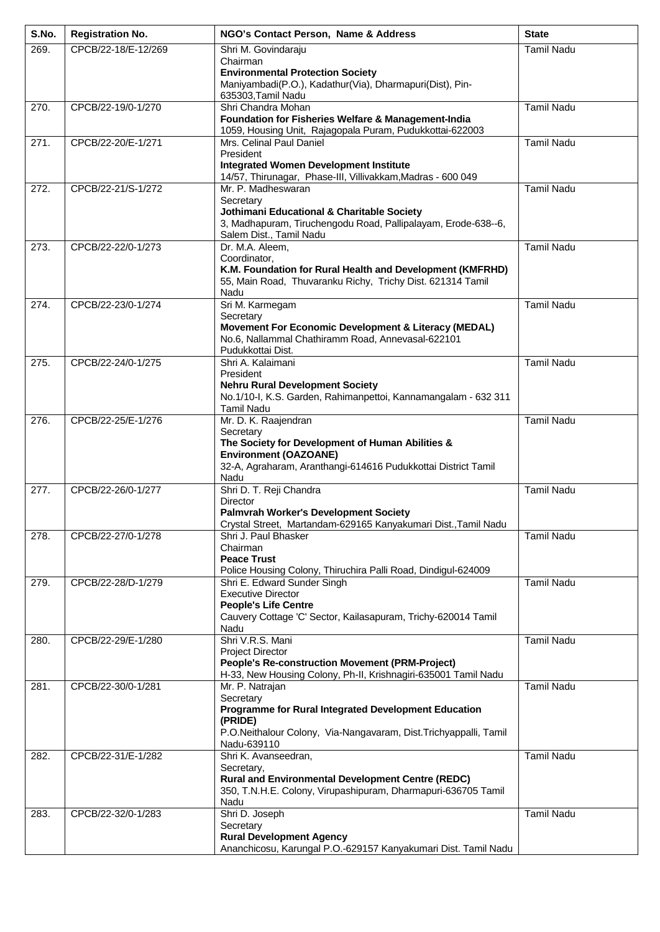| S.No.              | <b>Registration No.</b> | NGO's Contact Person, Name & Address                                                                            | <b>State</b>      |
|--------------------|-------------------------|-----------------------------------------------------------------------------------------------------------------|-------------------|
| 269.               | CPCB/22-18/E-12/269     | Shri M. Govindaraju                                                                                             | <b>Tamil Nadu</b> |
|                    |                         | Chairman<br><b>Environmental Protection Society</b>                                                             |                   |
|                    |                         | Maniyambadi(P.O.), Kadathur(Via), Dharmapuri(Dist), Pin-<br>635303, Tamil Nadu                                  |                   |
| 270.               | CPCB/22-19/0-1/270      | Shri Chandra Mohan                                                                                              | <b>Tamil Nadu</b> |
|                    |                         | Foundation for Fisheries Welfare & Management-India<br>1059, Housing Unit, Rajagopala Puram, Pudukkottai-622003 |                   |
| $\overline{271}$ . | CPCB/22-20/E-1/271      | Mrs. Celinal Paul Daniel<br>President                                                                           | <b>Tamil Nadu</b> |
|                    |                         | <b>Integrated Women Development Institute</b>                                                                   |                   |
|                    |                         | 14/57, Thirunagar, Phase-III, Villivakkam, Madras - 600 049                                                     |                   |
| $\overline{272}$ . | CPCB/22-21/S-1/272      | Mr. P. Madheswaran<br>Secretary                                                                                 | <b>Tamil Nadu</b> |
|                    |                         | Jothimani Educational & Charitable Society                                                                      |                   |
|                    |                         | 3, Madhapuram, Tiruchengodu Road, Pallipalayam, Erode-638--6,<br>Salem Dist., Tamil Nadu                        |                   |
| 273.               | CPCB/22-22/0-1/273      | Dr. M.A. Aleem,                                                                                                 | <b>Tamil Nadu</b> |
|                    |                         | Coordinator,<br>K.M. Foundation for Rural Health and Development (KMFRHD)                                       |                   |
|                    |                         | 55, Main Road, Thuvaranku Richy, Trichy Dist. 621314 Tamil                                                      |                   |
|                    |                         | Nadu                                                                                                            |                   |
| 274.               | CPCB/22-23/0-1/274      | Sri M. Karmegam<br>Secretary                                                                                    | <b>Tamil Nadu</b> |
|                    |                         | Movement For Economic Development & Literacy (MEDAL)                                                            |                   |
|                    |                         | No.6, Nallammal Chathiramm Road, Annevasal-622101<br>Pudukkottai Dist.                                          |                   |
| 275.               | CPCB/22-24/0-1/275      | Shri A. Kalaimani                                                                                               | <b>Tamil Nadu</b> |
|                    |                         | President                                                                                                       |                   |
|                    |                         | <b>Nehru Rural Development Society</b><br>No.1/10-I, K.S. Garden, Rahimanpettoi, Kannamangalam - 632 311        |                   |
|                    |                         | Tamil Nadu                                                                                                      |                   |
| 276.               | CPCB/22-25/E-1/276      | Mr. D. K. Raajendran<br>Secretary                                                                               | <b>Tamil Nadu</b> |
|                    |                         | The Society for Development of Human Abilities &                                                                |                   |
|                    |                         | <b>Environment (OAZOANE)</b><br>32-A, Agraharam, Aranthangi-614616 Pudukkottai District Tamil                   |                   |
|                    |                         | Nadu                                                                                                            |                   |
| 277.               | CPCB/22-26/0-1/277      | Shri D. T. Reji Chandra<br>Director                                                                             | <b>Tamil Nadu</b> |
|                    |                         | <b>Palmvrah Worker's Development Society</b>                                                                    |                   |
|                    |                         | Crystal Street, Martandam-629165 Kanyakumari Dist., Tamil Nadu                                                  |                   |
| 278.               | CPCB/22-27/0-1/278      | Shri J. Paul Bhasker<br>Chairman                                                                                | <b>Tamil Nadu</b> |
|                    |                         | <b>Peace Trust</b>                                                                                              |                   |
| 279.               | CPCB/22-28/D-1/279      | Police Housing Colony, Thiruchira Palli Road, Dindigul-624009<br>Shri E. Edward Sunder Singh                    | <b>Tamil Nadu</b> |
|                    |                         | <b>Executive Director</b>                                                                                       |                   |
|                    |                         | <b>People's Life Centre</b><br>Cauvery Cottage 'C' Sector, Kailasapuram, Trichy-620014 Tamil                    |                   |
|                    |                         | Nadu                                                                                                            |                   |
| 280.               | CPCB/22-29/E-1/280      | Shri V.R.S. Mani                                                                                                | <b>Tamil Nadu</b> |
|                    |                         | Project Director<br><b>People's Re-construction Movement (PRM-Project)</b>                                      |                   |
|                    |                         | H-33, New Housing Colony, Ph-II, Krishnagiri-635001 Tamil Nadu                                                  |                   |
| 281.               | CPCB/22-30/0-1/281      | Mr. P. Natrajan<br>Secretary                                                                                    | <b>Tamil Nadu</b> |
|                    |                         | Programme for Rural Integrated Development Education                                                            |                   |
|                    |                         | (PRIDE)<br>P.O.Neithalour Colony, Via-Nangavaram, Dist.Trichyappalli, Tamil                                     |                   |
|                    |                         | Nadu-639110                                                                                                     |                   |
| 282.               | CPCB/22-31/E-1/282      | Shri K. Avanseedran,                                                                                            | <b>Tamil Nadu</b> |
|                    |                         | Secretary,<br><b>Rural and Environmental Development Centre (REDC)</b>                                          |                   |
|                    |                         | 350, T.N.H.E. Colony, Virupashipuram, Dharmapuri-636705 Tamil                                                   |                   |
| 283.               | CPCB/22-32/0-1/283      | Nadu<br>Shri D. Joseph                                                                                          | <b>Tamil Nadu</b> |
|                    |                         | Secretary                                                                                                       |                   |
|                    |                         | <b>Rural Development Agency</b><br>Ananchicosu, Karungal P.O.-629157 Kanyakumari Dist. Tamil Nadu               |                   |
|                    |                         |                                                                                                                 |                   |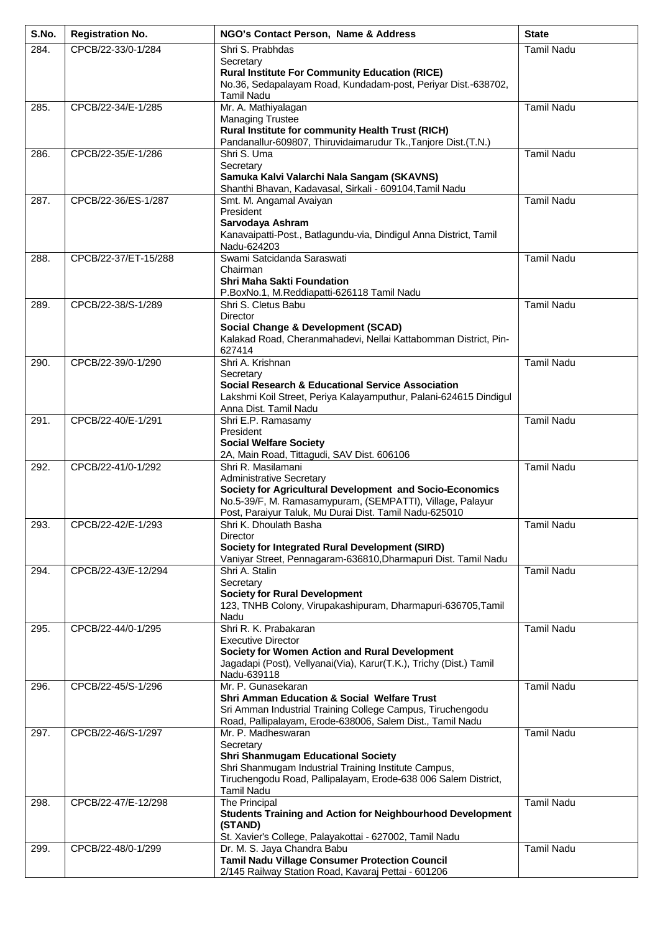| S.No. | <b>Registration No.</b> | NGO's Contact Person, Name & Address                                                                                                                       | <b>State</b>      |
|-------|-------------------------|------------------------------------------------------------------------------------------------------------------------------------------------------------|-------------------|
| 284.  | CPCB/22-33/0-1/284      | Shri S. Prabhdas                                                                                                                                           | <b>Tamil Nadu</b> |
|       |                         | Secretary<br><b>Rural Institute For Community Education (RICE)</b><br>No.36, Sedapalayam Road, Kundadam-post, Periyar Dist.-638702,                        |                   |
| 285.  | CPCB/22-34/E-1/285      | <b>Tamil Nadu</b><br>Mr. A. Mathiyalagan                                                                                                                   | <b>Tamil Nadu</b> |
|       |                         | <b>Managing Trustee</b><br>Rural Institute for community Health Trust (RICH)<br>Pandanallur-609807, Thiruvidaimarudur Tk., Tanjore Dist. (T.N.)            |                   |
| 286.  | CPCB/22-35/E-1/286      | Shri S. Uma                                                                                                                                                | <b>Tamil Nadu</b> |
|       |                         | Secretary<br>Samuka Kalvi Valarchi Nala Sangam (SKAVNS)<br>Shanthi Bhavan, Kadavasal, Sirkali - 609104, Tamil Nadu                                         |                   |
| 287.  | CPCB/22-36/ES-1/287     | Smt. M. Angamal Avaiyan                                                                                                                                    | <b>Tamil Nadu</b> |
|       |                         | President<br>Sarvodaya Ashram                                                                                                                              |                   |
|       |                         | Kanavaipatti-Post., Batlagundu-via, Dindigul Anna District, Tamil<br>Nadu-624203                                                                           |                   |
| 288.  | CPCB/22-37/ET-15/288    | Swami Satcidanda Saraswati<br>Chairman                                                                                                                     | <b>Tamil Nadu</b> |
|       |                         | <b>Shri Maha Sakti Foundation</b><br>P.BoxNo.1, M.Reddiapatti-626118 Tamil Nadu                                                                            |                   |
| 289.  | CPCB/22-38/S-1/289      | Shri S. Cletus Babu<br><b>Director</b>                                                                                                                     | <b>Tamil Nadu</b> |
|       |                         | <b>Social Change &amp; Development (SCAD)</b>                                                                                                              |                   |
|       |                         | Kalakad Road, Cheranmahadevi, Nellai Kattabomman District, Pin-<br>627414                                                                                  |                   |
| 290.  | CPCB/22-39/0-1/290      | Shri A. Krishnan                                                                                                                                           | <b>Tamil Nadu</b> |
|       |                         | Secretary                                                                                                                                                  |                   |
|       |                         | <b>Social Research &amp; Educational Service Association</b><br>Lakshmi Koil Street, Periya Kalayamputhur, Palani-624615 Dindigul<br>Anna Dist. Tamil Nadu |                   |
| 291.  | CPCB/22-40/E-1/291      | Shri E.P. Ramasamy                                                                                                                                         | <b>Tamil Nadu</b> |
|       |                         | President<br><b>Social Welfare Society</b>                                                                                                                 |                   |
|       |                         | 2A, Main Road, Tittagudi, SAV Dist. 606106                                                                                                                 |                   |
| 292.  | CPCB/22-41/0-1/292      | Shri R. Masilamani<br><b>Administrative Secretary</b>                                                                                                      | <b>Tamil Nadu</b> |
|       |                         | Society for Agricultural Development and Socio-Economics                                                                                                   |                   |
|       |                         | No.5-39/F, M. Ramasamypuram, (SEMPATTI), Village, Palayur<br>Post, Paraiyur Taluk, Mu Durai Dist. Tamil Nadu-625010                                        |                   |
| 293.  | CPCB/22-42/E-1/293      | Shri K. Dhoulath Basha                                                                                                                                     | <b>Tamil Nadu</b> |
|       |                         | Director                                                                                                                                                   |                   |
|       |                         | Society for Integrated Rural Development (SIRD)<br>Vaniyar Street, Pennagaram-636810, Dharmapuri Dist. Tamil Nadu                                          |                   |
| 294.  | CPCB/22-43/E-12/294     | Shri A. Stalin                                                                                                                                             | <b>Tamil Nadu</b> |
|       |                         | Secretary<br><b>Society for Rural Development</b>                                                                                                          |                   |
|       |                         | 123, TNHB Colony, Virupakashipuram, Dharmapuri-636705, Tamil                                                                                               |                   |
| 295.  | CPCB/22-44/0-1/295      | Nadu<br>Shri R. K. Prabakaran                                                                                                                              | <b>Tamil Nadu</b> |
|       |                         | <b>Executive Director</b>                                                                                                                                  |                   |
|       |                         | Society for Women Action and Rural Development<br>Jagadapi (Post), Vellyanai(Via), Karur(T.K.), Trichy (Dist.) Tamil                                       |                   |
|       |                         | Nadu-639118                                                                                                                                                |                   |
| 296.  | CPCB/22-45/S-1/296      | Mr. P. Gunasekaran                                                                                                                                         | <b>Tamil Nadu</b> |
|       |                         | <b>Shri Amman Education &amp; Social Welfare Trust</b><br>Sri Amman Industrial Training College Campus, Tiruchengodu                                       |                   |
|       |                         | Road, Pallipalayam, Erode-638006, Salem Dist., Tamil Nadu                                                                                                  |                   |
| 297.  | CPCB/22-46/S-1/297      | Mr. P. Madheswaran<br>Secretary                                                                                                                            | <b>Tamil Nadu</b> |
|       |                         | <b>Shri Shanmugam Educational Society</b>                                                                                                                  |                   |
|       |                         | Shri Shanmugam Industrial Training Institute Campus,<br>Tiruchengodu Road, Pallipalayam, Erode-638 006 Salem District,                                     |                   |
|       |                         | <b>Tamil Nadu</b>                                                                                                                                          |                   |
| 298.  | CPCB/22-47/E-12/298     | The Principal                                                                                                                                              | <b>Tamil Nadu</b> |
|       |                         | <b>Students Training and Action for Neighbourhood Development</b><br>(STAND)                                                                               |                   |
|       |                         | St. Xavier's College, Palayakottai - 627002, Tamil Nadu                                                                                                    |                   |
| 299.  | CPCB/22-48/0-1/299      | Dr. M. S. Jaya Chandra Babu<br><b>Tamil Nadu Village Consumer Protection Council</b>                                                                       | <b>Tamil Nadu</b> |
|       |                         | 2/145 Railway Station Road, Kavaraj Pettai - 601206                                                                                                        |                   |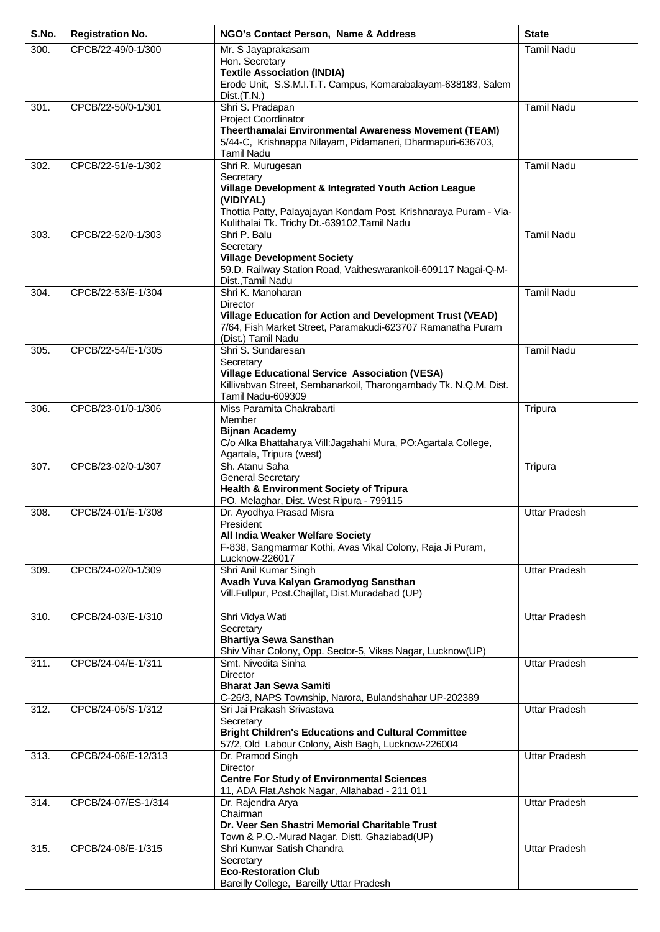| S.No. | <b>Registration No.</b> | NGO's Contact Person, Name & Address                                                                                     | <b>State</b>         |
|-------|-------------------------|--------------------------------------------------------------------------------------------------------------------------|----------------------|
| 300.  | CPCB/22-49/0-1/300      | Mr. S Jayaprakasam<br>Hon. Secretary                                                                                     | <b>Tamil Nadu</b>    |
|       |                         | <b>Textile Association (INDIA)</b>                                                                                       |                      |
|       |                         | Erode Unit, S.S.M.I.T.T. Campus, Komarabalayam-638183, Salem                                                             |                      |
| 301.  | CPCB/22-50/0-1/301      | Dist.(T.N.)<br>Shri S. Pradapan                                                                                          | <b>Tamil Nadu</b>    |
|       |                         | Project Coordinator                                                                                                      |                      |
|       |                         | Theerthamalai Environmental Awareness Movement (TEAM)<br>5/44-C, Krishnappa Nilayam, Pidamaneri, Dharmapuri-636703,      |                      |
|       |                         | <b>Tamil Nadu</b>                                                                                                        |                      |
| 302.  | CPCB/22-51/e-1/302      | Shri R. Murugesan<br>Secretary                                                                                           | <b>Tamil Nadu</b>    |
|       |                         | Village Development & Integrated Youth Action League                                                                     |                      |
|       |                         | (VIDIYAL)<br>Thottia Patty, Palayajayan Kondam Post, Krishnaraya Puram - Via-                                            |                      |
|       |                         | Kulithalai Tk. Trichy Dt.-639102, Tamil Nadu                                                                             |                      |
| 303.  | CPCB/22-52/0-1/303      | Shri P. Balu<br>Secretary                                                                                                | <b>Tamil Nadu</b>    |
|       |                         | <b>Village Development Society</b>                                                                                       |                      |
|       |                         | 59.D. Railway Station Road, Vaitheswarankoil-609117 Nagai-Q-M-<br>Dist., Tamil Nadu                                      |                      |
| 304.  | CPCB/22-53/E-1/304      | Shri K. Manoharan                                                                                                        | <b>Tamil Nadu</b>    |
|       |                         | Director                                                                                                                 |                      |
|       |                         | Village Education for Action and Development Trust (VEAD)<br>7/64, Fish Market Street, Paramakudi-623707 Ramanatha Puram |                      |
|       |                         | (Dist.) Tamil Nadu                                                                                                       |                      |
| 305.  | CPCB/22-54/E-1/305      | Shri S. Sundaresan<br>Secretary                                                                                          | <b>Tamil Nadu</b>    |
|       |                         | <b>Village Educational Service Association (VESA)</b>                                                                    |                      |
|       |                         | Killivabvan Street, Sembanarkoil, Tharongambady Tk. N.Q.M. Dist.<br>Tamil Nadu-609309                                    |                      |
| 306.  | CPCB/23-01/0-1/306      | Miss Paramita Chakrabarti                                                                                                | Tripura              |
|       |                         | Member<br><b>Bijnan Academy</b>                                                                                          |                      |
|       |                         | C/o Alka Bhattaharya Vill: Jagahahi Mura, PO: Agartala College,                                                          |                      |
| 307.  | CPCB/23-02/0-1/307      | Agartala, Tripura (west)<br>Sh. Atanu Saha                                                                               | Tripura              |
|       |                         | <b>General Secretary</b>                                                                                                 |                      |
|       |                         | Health & Environment Society of Tripura<br>PO. Melaghar, Dist. West Ripura - 799115                                      |                      |
| 308.  | CPCB/24-01/E-1/308      | Dr. Ayodhya Prasad Misra                                                                                                 | <b>Uttar Pradesh</b> |
|       |                         | President<br>All India Weaker Welfare Society                                                                            |                      |
|       |                         | F-838, Sangmarmar Kothi, Avas Vikal Colony, Raja Ji Puram,                                                               |                      |
|       |                         | Lucknow-226017<br>Shri Anil Kumar Singh                                                                                  |                      |
| 309.  | CPCB/24-02/0-1/309      | Avadh Yuva Kalyan Gramodyog Sansthan                                                                                     | <b>Uttar Pradesh</b> |
|       |                         | Vill.Fullpur, Post.Chajllat, Dist.Muradabad (UP)                                                                         |                      |
| 310.  | CPCB/24-03/E-1/310      | Shri Vidya Wati                                                                                                          | <b>Uttar Pradesh</b> |
|       |                         | Secretary<br><b>Bhartiya Sewa Sansthan</b>                                                                               |                      |
|       |                         | Shiv Vihar Colony, Opp. Sector-5, Vikas Nagar, Lucknow(UP)                                                               |                      |
| 311.  | CPCB/24-04/E-1/311      | Smt. Nivedita Sinha                                                                                                      | <b>Uttar Pradesh</b> |
|       |                         | Director<br><b>Bharat Jan Sewa Samiti</b>                                                                                |                      |
|       |                         | C-26/3, NAPS Township, Narora, Bulandshahar UP-202389                                                                    |                      |
| 312.  | CPCB/24-05/S-1/312      | Sri Jai Prakash Srivastava<br>Secretary                                                                                  | <b>Uttar Pradesh</b> |
|       |                         | <b>Bright Children's Educations and Cultural Committee</b>                                                               |                      |
| 313.  | CPCB/24-06/E-12/313     | 57/2, Old Labour Colony, Aish Bagh, Lucknow-226004<br>Dr. Pramod Singh                                                   | <b>Uttar Pradesh</b> |
|       |                         | <b>Director</b>                                                                                                          |                      |
|       |                         | <b>Centre For Study of Environmental Sciences</b><br>11, ADA Flat, Ashok Nagar, Allahabad - 211 011                      |                      |
| 314.  | CPCB/24-07/ES-1/314     | Dr. Rajendra Arya                                                                                                        | <b>Uttar Pradesh</b> |
|       |                         | Chairman<br>Dr. Veer Sen Shastri Memorial Charitable Trust                                                               |                      |
|       |                         | Town & P.O.-Murad Nagar, Distt. Ghaziabad(UP)                                                                            |                      |
| 315.  | CPCB/24-08/E-1/315      | Shri Kunwar Satish Chandra<br>Secretary                                                                                  | <b>Uttar Pradesh</b> |
|       |                         | <b>Eco-Restoration Club</b>                                                                                              |                      |
|       |                         | Bareilly College, Bareilly Uttar Pradesh                                                                                 |                      |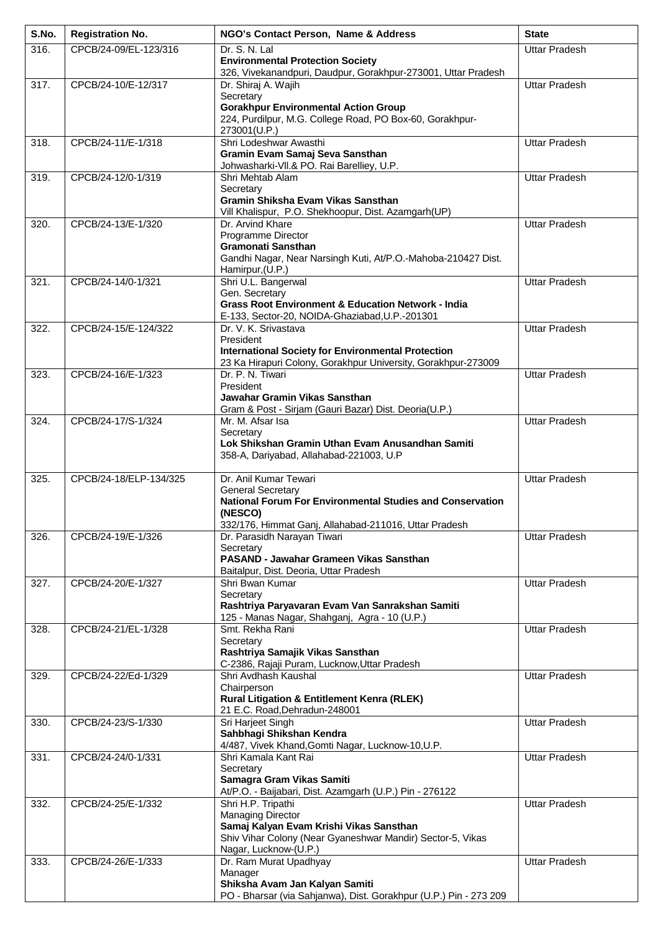| S.No.             | <b>Registration No.</b> | NGO's Contact Person, Name & Address                                                                            | <b>State</b>         |
|-------------------|-------------------------|-----------------------------------------------------------------------------------------------------------------|----------------------|
| 316.              | CPCB/24-09/EL-123/316   | Dr. S. N. Lal                                                                                                   | <b>Uttar Pradesh</b> |
|                   |                         | <b>Environmental Protection Society</b><br>326, Vivekanandpuri, Daudpur, Gorakhpur-273001, Uttar Pradesh        |                      |
| $\overline{3}17.$ | CPCB/24-10/E-12/317     | Dr. Shiraj A. Wajih                                                                                             | <b>Uttar Pradesh</b> |
|                   |                         | Secretary<br><b>Gorakhpur Environmental Action Group</b>                                                        |                      |
|                   |                         | 224, Purdilpur, M.G. College Road, PO Box-60, Gorakhpur-                                                        |                      |
|                   |                         | 273001(U.P.)                                                                                                    |                      |
| 318.              | CPCB/24-11/E-1/318      | Shri Lodeshwar Awasthi<br>Gramin Evam Samaj Seva Sansthan                                                       | <b>Uttar Pradesh</b> |
|                   |                         | Johwasharki-VII.& PO. Rai Barelliey, U.P.                                                                       |                      |
| 319.              | CPCB/24-12/0-1/319      | Shri Mehtab Alam                                                                                                | <b>Uttar Pradesh</b> |
|                   |                         | Secretary<br>Gramin Shiksha Evam Vikas Sansthan                                                                 |                      |
|                   |                         | Vill Khalispur, P.O. Shekhoopur, Dist. Azamgarh(UP)                                                             |                      |
| 320.              | CPCB/24-13/E-1/320      | Dr. Arvind Khare<br>Programme Director                                                                          | <b>Uttar Pradesh</b> |
|                   |                         | <b>Gramonati Sansthan</b>                                                                                       |                      |
|                   |                         | Gandhi Nagar, Near Narsingh Kuti, At/P.O.-Mahoba-210427 Dist.<br>Hamirpur, (U.P.)                               |                      |
| 321.              | CPCB/24-14/0-1/321      | Shri U.L. Bangerwal                                                                                             | <b>Uttar Pradesh</b> |
|                   |                         | Gen. Secretary                                                                                                  |                      |
|                   |                         | <b>Grass Root Environment &amp; Education Network - India</b><br>E-133, Sector-20, NOIDA-Ghaziabad, U.P.-201301 |                      |
| 322.              | CPCB/24-15/E-124/322    | Dr. V. K. Srivastava                                                                                            | <b>Uttar Pradesh</b> |
|                   |                         | President<br><b>International Society for Environmental Protection</b>                                          |                      |
|                   |                         | 23 Ka Hirapuri Colony, Gorakhpur University, Gorakhpur-273009                                                   |                      |
| 323.              | CPCB/24-16/E-1/323      | Dr. P. N. Tiwari                                                                                                | <b>Uttar Pradesh</b> |
|                   |                         | President<br>Jawahar Gramin Vikas Sansthan                                                                      |                      |
|                   |                         | Gram & Post - Sirjam (Gauri Bazar) Dist. Deoria(U.P.)                                                           |                      |
| 324.              | CPCB/24-17/S-1/324      | Mr. M. Afsar Isa<br>Secretary                                                                                   | <b>Uttar Pradesh</b> |
|                   |                         | Lok Shikshan Gramin Uthan Evam Anusandhan Samiti                                                                |                      |
|                   |                         | 358-A, Dariyabad, Allahabad-221003, U.P                                                                         |                      |
| 325.              | CPCB/24-18/ELP-134/325  | Dr. Anil Kumar Tewari                                                                                           | <b>Uttar Pradesh</b> |
|                   |                         | <b>General Secretary</b>                                                                                        |                      |
|                   |                         | <b>National Forum For Environmental Studies and Conservation</b><br>(NESCO)                                     |                      |
|                   |                         | 332/176, Himmat Ganj, Allahabad-211016, Uttar Pradesh                                                           |                      |
| 326.              | CPCB/24-19/E-1/326      | Dr. Parasidh Narayan Tiwari<br>Secretary                                                                        | <b>Uttar Pradesh</b> |
|                   |                         | PASAND - Jawahar Grameen Vikas Sansthan                                                                         |                      |
|                   |                         | Baitalpur, Dist. Deoria, Uttar Pradesh                                                                          |                      |
| $\overline{3}27.$ | CPCB/24-20/E-1/327      | Shri Bwan Kumar<br>Secretary                                                                                    | <b>Uttar Pradesh</b> |
|                   |                         | Rashtriya Paryavaran Evam Van Sanrakshan Samiti                                                                 |                      |
| $\overline{3}28.$ | CPCB/24-21/EL-1/328     | 125 - Manas Nagar, Shahganj, Agra - 10 (U.P.)<br>Smt. Rekha Rani                                                | <b>Uttar Pradesh</b> |
|                   |                         | Secretary                                                                                                       |                      |
|                   |                         | Rashtriya Samajik Vikas Sansthan<br>C-2386, Rajaji Puram, Lucknow, Uttar Pradesh                                |                      |
| 329.              | CPCB/24-22/Ed-1/329     | Shri Avdhash Kaushal                                                                                            | <b>Uttar Pradesh</b> |
|                   |                         | Chairperson                                                                                                     |                      |
|                   |                         | <b>Rural Litigation &amp; Entitlement Kenra (RLEK)</b><br>21 E.C. Road, Dehradun-248001                         |                      |
| 330.              | CPCB/24-23/S-1/330      | Sri Harjeet Singh                                                                                               | Uttar Pradesh        |
|                   |                         | Sahbhagi Shikshan Kendra<br>4/487, Vivek Khand, Gomti Nagar, Lucknow-10, U.P.                                   |                      |
| 331.              | CPCB/24-24/0-1/331      | Shri Kamala Kant Rai                                                                                            | <b>Uttar Pradesh</b> |
|                   |                         | Secretary                                                                                                       |                      |
|                   |                         | Samagra Gram Vikas Samiti<br>At/P.O. - Baijabari, Dist. Azamgarh (U.P.) Pin - 276122                            |                      |
| 332.              | CPCB/24-25/E-1/332      | Shri H.P. Tripathi                                                                                              | Uttar Pradesh        |
|                   |                         | Managing Director<br>Samaj Kalyan Evam Krishi Vikas Sansthan                                                    |                      |
|                   |                         | Shiv Vihar Colony (Near Gyaneshwar Mandir) Sector-5, Vikas                                                      |                      |
|                   | CPCB/24-26/E-1/333      | Nagar, Lucknow-(U.P.)<br>Dr. Ram Murat Upadhyay                                                                 | <b>Uttar Pradesh</b> |
| 333.              |                         | Manager                                                                                                         |                      |
|                   |                         | Shiksha Avam Jan Kalyan Samiti                                                                                  |                      |
|                   |                         | PO - Bharsar (via Sahjanwa), Dist. Gorakhpur (U.P.) Pin - 273 209                                               |                      |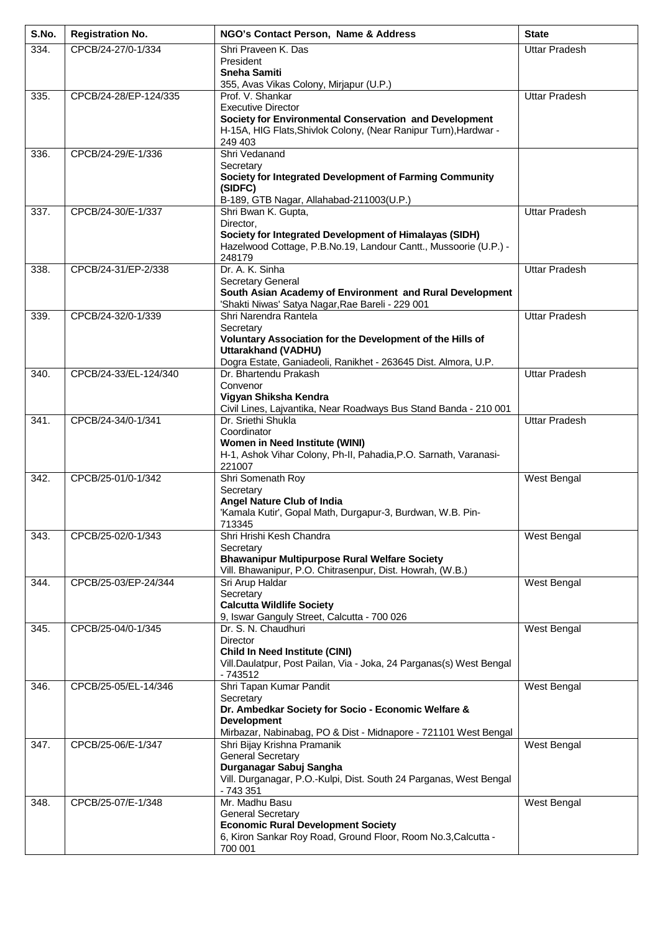| S.No. | <b>Registration No.</b> | NGO's Contact Person, Name & Address                                                                                       | <b>State</b>         |
|-------|-------------------------|----------------------------------------------------------------------------------------------------------------------------|----------------------|
| 334.  | CPCB/24-27/0-1/334      | Shri Praveen K. Das                                                                                                        | <b>Uttar Pradesh</b> |
|       |                         | President<br><b>Sneha Samiti</b>                                                                                           |                      |
|       |                         | 355, Avas Vikas Colony, Mirjapur (U.P.)                                                                                    |                      |
| 335.  | CPCB/24-28/EP-124/335   | Prof. V. Shankar                                                                                                           | <b>Uttar Pradesh</b> |
|       |                         | <b>Executive Director</b><br>Society for Environmental Conservation and Development                                        |                      |
|       |                         | H-15A, HIG Flats, Shivlok Colony, (Near Ranipur Turn), Hardwar -                                                           |                      |
|       |                         | 249 403<br>Shri Vedanand                                                                                                   |                      |
| 336.  | CPCB/24-29/E-1/336      | Secretary                                                                                                                  |                      |
|       |                         | Society for Integrated Development of Farming Community                                                                    |                      |
|       |                         | (SIDFC)<br>B-189, GTB Nagar, Allahabad-211003(U.P.)                                                                        |                      |
| 337.  | CPCB/24-30/E-1/337      | Shri Bwan K. Gupta,                                                                                                        | <b>Uttar Pradesh</b> |
|       |                         | Director,                                                                                                                  |                      |
|       |                         | Society for Integrated Development of Himalayas (SIDH)<br>Hazelwood Cottage, P.B.No.19, Landour Cantt., Mussoorie (U.P.) - |                      |
|       |                         | 248179                                                                                                                     |                      |
| 338.  | CPCB/24-31/EP-2/338     | Dr. A. K. Sinha<br><b>Secretary General</b>                                                                                | <b>Uttar Pradesh</b> |
|       |                         | South Asian Academy of Environment and Rural Development                                                                   |                      |
|       |                         | 'Shakti Niwas' Satya Nagar, Rae Bareli - 229 001                                                                           |                      |
| 339.  | CPCB/24-32/0-1/339      | Shri Narendra Rantela<br>Secretary                                                                                         | <b>Uttar Pradesh</b> |
|       |                         | Voluntary Association for the Development of the Hills of                                                                  |                      |
|       |                         | <b>Uttarakhand (VADHU)</b><br>Dogra Estate, Ganiadeoli, Ranikhet - 263645 Dist. Almora, U.P.                               |                      |
| 340.  | CPCB/24-33/EL-124/340   | Dr. Bhartendu Prakash                                                                                                      | <b>Uttar Pradesh</b> |
|       |                         | Convenor                                                                                                                   |                      |
|       |                         | Vigyan Shiksha Kendra<br>Civil Lines, Lajvantika, Near Roadways Bus Stand Banda - 210 001                                  |                      |
| 341.  | CPCB/24-34/0-1/341      | Dr. Sriethi Shukla                                                                                                         | <b>Uttar Pradesh</b> |
|       |                         | Coordinator<br>Women in Need Institute (WINI)                                                                              |                      |
|       |                         | H-1, Ashok Vihar Colony, Ph-II, Pahadia, P.O. Sarnath, Varanasi-                                                           |                      |
|       |                         | 221007                                                                                                                     |                      |
| 342.  | CPCB/25-01/0-1/342      | Shri Somenath Roy<br>Secretary                                                                                             | West Bengal          |
|       |                         | <b>Angel Nature Club of India</b>                                                                                          |                      |
|       |                         | 'Kamala Kutir', Gopal Math, Durgapur-3, Burdwan, W.B. Pin-<br>713345                                                       |                      |
| 343.  | CPCB/25-02/0-1/343      | Shri Hrishi Kesh Chandra                                                                                                   | West Bengal          |
|       |                         | Secretary<br><b>Bhawanipur Multipurpose Rural Welfare Society</b>                                                          |                      |
|       |                         | Vill. Bhawanipur, P.O. Chitrasenpur, Dist. Howrah, (W.B.)                                                                  |                      |
| 344.  | CPCB/25-03/EP-24/344    | Sri Arup Haldar                                                                                                            | West Bengal          |
|       |                         | Secretary<br><b>Calcutta Wildlife Society</b>                                                                              |                      |
|       |                         | 9, Iswar Ganguly Street, Calcutta - 700 026                                                                                |                      |
| 345.  | CPCB/25-04/0-1/345      | Dr. S. N. Chaudhuri<br><b>Director</b>                                                                                     | West Bengal          |
|       |                         | <b>Child In Need Institute (CINI)</b>                                                                                      |                      |
|       |                         | Vill.Daulatpur, Post Pailan, Via - Joka, 24 Parganas(s) West Bengal                                                        |                      |
| 346.  | CPCB/25-05/EL-14/346    | $-743512$<br>Shri Tapan Kumar Pandit                                                                                       | West Bengal          |
|       |                         | Secretary                                                                                                                  |                      |
|       |                         | Dr. Ambedkar Society for Socio - Economic Welfare &<br><b>Development</b>                                                  |                      |
|       |                         | Mirbazar, Nabinabag, PO & Dist - Midnapore - 721101 West Bengal                                                            |                      |
| 347.  | CPCB/25-06/E-1/347      | Shri Bijay Krishna Pramanik                                                                                                | West Bengal          |
|       |                         | <b>General Secretary</b><br>Durganagar Sabuj Sangha                                                                        |                      |
|       |                         | Vill. Durganagar, P.O.-Kulpi, Dist. South 24 Parganas, West Bengal                                                         |                      |
| 348.  | CPCB/25-07/E-1/348      | $-743.351$<br>Mr. Madhu Basu                                                                                               | West Bengal          |
|       |                         | <b>General Secretary</b>                                                                                                   |                      |
|       |                         | <b>Economic Rural Development Society</b>                                                                                  |                      |
|       |                         | 6, Kiron Sankar Roy Road, Ground Floor, Room No.3, Calcutta -<br>700 001                                                   |                      |
|       |                         |                                                                                                                            |                      |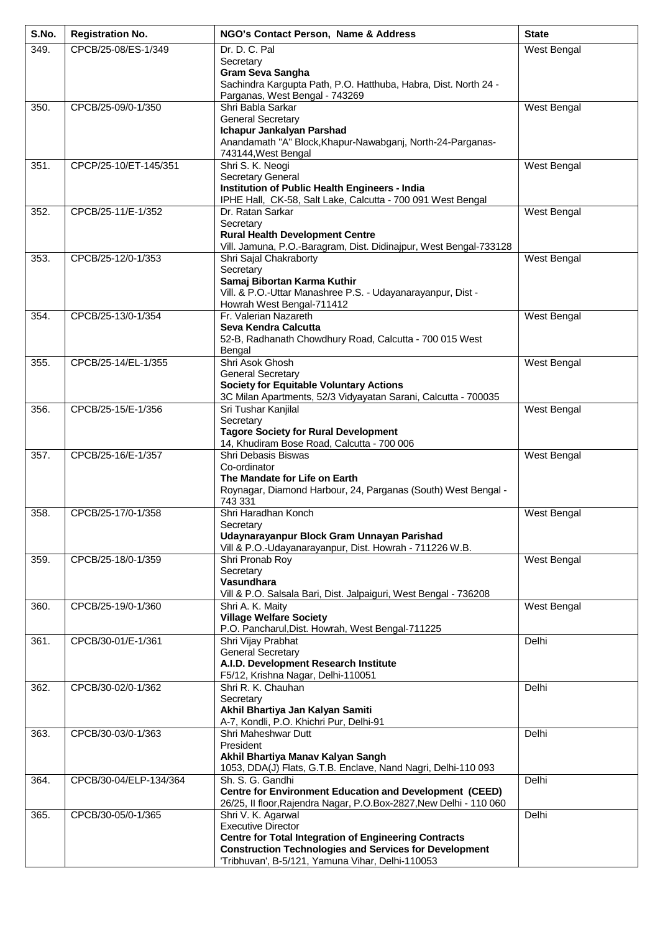| S.No. | <b>Registration No.</b> | NGO's Contact Person, Name & Address                                                                                                                                                                                                 | <b>State</b> |
|-------|-------------------------|--------------------------------------------------------------------------------------------------------------------------------------------------------------------------------------------------------------------------------------|--------------|
| 349.  | CPCB/25-08/ES-1/349     | Dr. D. C. Pal<br>Secretary<br><b>Gram Seva Sangha</b><br>Sachindra Kargupta Path, P.O. Hatthuba, Habra, Dist. North 24 -<br>Parganas, West Bengal - 743269                                                                           | West Bengal  |
| 350.  | CPCB/25-09/0-1/350      | Shri Babla Sarkar<br><b>General Secretary</b><br>Ichapur Jankalyan Parshad<br>Anandamath "A" Block, Khapur-Nawabganj, North-24-Parganas-<br>743144, West Bengal                                                                      | West Bengal  |
| 351.  | CPCP/25-10/ET-145/351   | Shri S. K. Neogi<br>Secretary General<br><b>Institution of Public Health Engineers - India</b><br>IPHE Hall, CK-58, Salt Lake, Calcutta - 700 091 West Bengal                                                                        | West Bengal  |
| 352.  | CPCB/25-11/E-1/352      | Dr. Ratan Sarkar<br>Secretary<br><b>Rural Health Development Centre</b><br>Vill. Jamuna, P.O.-Baragram, Dist. Didinajpur, West Bengal-733128                                                                                         | West Bengal  |
| 353.  | CPCB/25-12/0-1/353      | Shri Sajal Chakraborty<br>Secretary<br>Samaj Bibortan Karma Kuthir<br>Vill. & P.O.-Uttar Manashree P.S. - Udayanarayanpur, Dist -<br>Howrah West Bengal-711412                                                                       | West Bengal  |
| 354.  | CPCB/25-13/0-1/354      | Fr. Valerian Nazareth<br>Seva Kendra Calcutta<br>52-B, Radhanath Chowdhury Road, Calcutta - 700 015 West<br>Bengal                                                                                                                   | West Bengal  |
| 355.  | CPCB/25-14/EL-1/355     | Shri Asok Ghosh<br><b>General Secretary</b><br><b>Society for Equitable Voluntary Actions</b><br>3C Milan Apartments, 52/3 Vidyayatan Sarani, Calcutta - 700035                                                                      | West Bengal  |
| 356.  | CPCB/25-15/E-1/356      | Sri Tushar Kanjilal<br>Secretary<br><b>Tagore Society for Rural Development</b><br>14, Khudiram Bose Road, Calcutta - 700 006                                                                                                        | West Bengal  |
| 357.  | CPCB/25-16/E-1/357      | Shri Debasis Biswas<br>Co-ordinator<br>The Mandate for Life on Earth<br>Roynagar, Diamond Harbour, 24, Parganas (South) West Bengal -<br>743 331                                                                                     | West Bengal  |
| 358.  | CPCB/25-17/0-1/358      | Shri Haradhan Konch<br>Secretary<br>Udaynarayanpur Block Gram Unnayan Parishad<br>Vill & P.O.-Udayanarayanpur, Dist. Howrah - 711226 W.B.                                                                                            | West Bengal  |
| 359.  | CPCB/25-18/0-1/359      | Shri Pronab Roy<br>Secretary<br>Vasundhara<br>Vill & P.O. Salsala Bari, Dist. Jalpaiguri, West Bengal - 736208                                                                                                                       | West Bengal  |
| 360.  | CPCB/25-19/0-1/360      | Shri A. K. Maity<br><b>Village Welfare Society</b><br>P.O. Pancharul, Dist. Howrah, West Bengal-711225                                                                                                                               | West Bengal  |
| 361.  | CPCB/30-01/E-1/361      | Shri Vijay Prabhat<br><b>General Secretary</b><br>A.I.D. Development Research Institute<br>F5/12, Krishna Nagar, Delhi-110051                                                                                                        | Delhi        |
| 362.  | CPCB/30-02/0-1/362      | Shri R. K. Chauhan<br>Secretary<br>Akhil Bhartiya Jan Kalyan Samiti<br>A-7, Kondli, P.O. Khichri Pur, Delhi-91                                                                                                                       | Delhi        |
| 363.  | CPCB/30-03/0-1/363      | Shri Maheshwar Dutt<br>President<br>Akhil Bhartiya Manav Kalyan Sangh<br>1053, DDA(J) Flats, G.T.B. Enclave, Nand Nagri, Delhi-110 093                                                                                               | Delhi        |
| 364.  | CPCB/30-04/ELP-134/364  | Sh. S. G. Gandhi<br><b>Centre for Environment Education and Development (CEED)</b><br>26/25, Il floor, Rajendra Nagar, P.O.Box-2827, New Delhi - 110 060                                                                             | Delhi        |
| 365.  | CPCB/30-05/0-1/365      | Shri V. K. Agarwal<br><b>Executive Director</b><br><b>Centre for Total Integration of Engineering Contracts</b><br><b>Construction Technologies and Services for Development</b><br>'Tribhuvan', B-5/121, Yamuna Vihar, Delhi-110053 | Delhi        |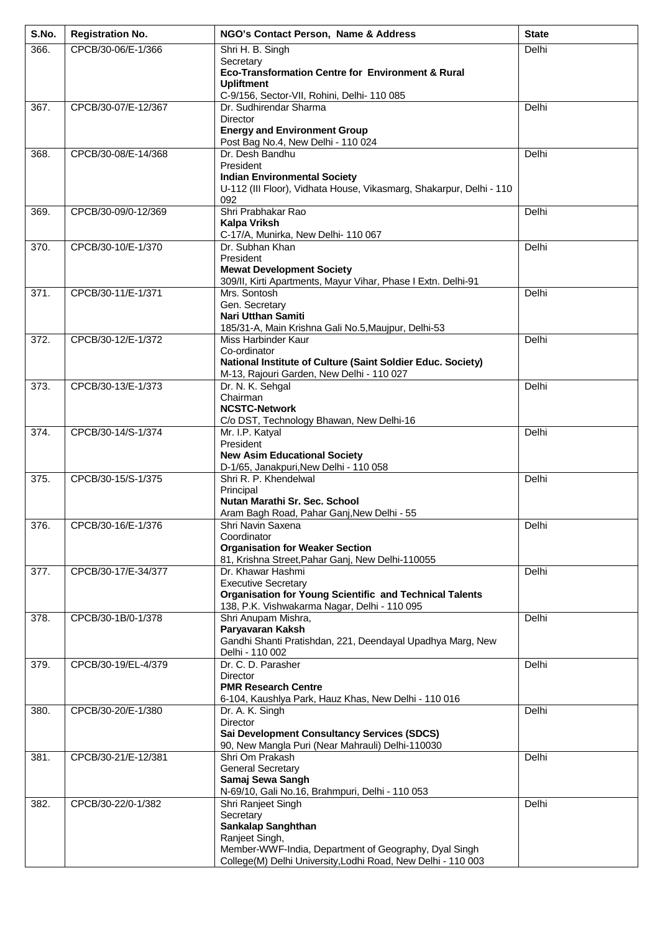| S.No. | <b>Registration No.</b> | NGO's Contact Person, Name & Address                                                                           | <b>State</b> |
|-------|-------------------------|----------------------------------------------------------------------------------------------------------------|--------------|
| 366.  | CPCB/30-06/E-1/366      | Shri H. B. Singh                                                                                               | Delhi        |
|       |                         | Secretary<br>Eco-Transformation Centre for Environment & Rural                                                 |              |
|       |                         | <b>Upliftment</b>                                                                                              |              |
| 367.  | CPCB/30-07/E-12/367     | C-9/156, Sector-VII, Rohini, Delhi- 110 085<br>Dr. Sudhirendar Sharma                                          | Delhi        |
|       |                         | Director                                                                                                       |              |
|       |                         | <b>Energy and Environment Group</b>                                                                            |              |
| 368.  | CPCB/30-08/E-14/368     | Post Bag No.4, New Delhi - 110 024<br>Dr. Desh Bandhu                                                          | Delhi        |
|       |                         | President                                                                                                      |              |
|       |                         | <b>Indian Environmental Society</b><br>U-112 (III Floor), Vidhata House, Vikasmarg, Shakarpur, Delhi - 110     |              |
|       |                         | 092                                                                                                            |              |
| 369.  | CPCB/30-09/0-12/369     | Shri Prabhakar Rao                                                                                             | Delhi        |
|       |                         | <b>Kalpa Vriksh</b><br>C-17/A, Munirka, New Delhi- 110 067                                                     |              |
| 370.  | CPCB/30-10/E-1/370      | Dr. Subhan Khan                                                                                                | Delhi        |
|       |                         | President<br><b>Mewat Development Society</b>                                                                  |              |
|       |                         | 309/II, Kirti Apartments, Mayur Vihar, Phase I Extn. Delhi-91                                                  |              |
| 371.  | CPCB/30-11/E-1/371      | Mrs. Sontosh                                                                                                   | Delhi        |
|       |                         | Gen. Secretary<br>Nari Utthan Samiti                                                                           |              |
|       |                         | 185/31-A, Main Krishna Gali No.5, Maujpur, Delhi-53                                                            |              |
| 372.  | CPCB/30-12/E-1/372      | Miss Harbinder Kaur                                                                                            | Delhi        |
|       |                         | Co-ordinator<br>National Institute of Culture (Saint Soldier Educ. Society)                                    |              |
|       |                         | M-13, Rajouri Garden, New Delhi - 110 027                                                                      |              |
| 373.  | CPCB/30-13/E-1/373      | Dr. N. K. Sehgal<br>Chairman                                                                                   | Delhi        |
|       |                         | <b>NCSTC-Network</b>                                                                                           |              |
|       |                         | C/o DST, Technology Bhawan, New Delhi-16                                                                       |              |
| 374.  | CPCB/30-14/S-1/374      | Mr. I.P. Katyal<br>President                                                                                   | Delhi        |
|       |                         | <b>New Asim Educational Society</b>                                                                            |              |
| 375.  | CPCB/30-15/S-1/375      | D-1/65, Janakpuri, New Delhi - 110 058<br>Shri R. P. Khendelwal                                                | Delhi        |
|       |                         | Principal                                                                                                      |              |
|       |                         | Nutan Marathi Sr. Sec. School                                                                                  |              |
| 376.  | CPCB/30-16/E-1/376      | Aram Bagh Road, Pahar Ganj, New Delhi - 55<br>Shri Navin Saxena                                                | Delhi        |
|       |                         | Coordinator                                                                                                    |              |
|       |                         | <b>Organisation for Weaker Section</b><br>81, Krishna Street, Pahar Ganj, New Delhi-110055                     |              |
| 377.  | CPCB/30-17/E-34/377     | Dr. Khawar Hashmi                                                                                              | Delhi        |
|       |                         | <b>Executive Secretary</b>                                                                                     |              |
|       |                         | <b>Organisation for Young Scientific and Technical Talents</b><br>138, P.K. Vishwakarma Nagar, Delhi - 110 095 |              |
| 378.  | CPCB/30-1B/0-1/378      | Shri Anupam Mishra,                                                                                            | Delhi        |
|       |                         | Paryavaran Kaksh<br>Gandhi Shanti Pratishdan, 221, Deendayal Upadhya Marg, New                                 |              |
|       |                         | Delhi - 110 002                                                                                                |              |
| 379.  | CPCB/30-19/EL-4/379     | Dr. C. D. Parasher                                                                                             | Delhi        |
|       |                         | <b>Director</b><br><b>PMR Research Centre</b>                                                                  |              |
|       |                         | 6-104, Kaushiya Park, Hauz Khas, New Delhi - 110 016                                                           |              |
| 380.  | CPCB/30-20/E-1/380      | Dr. A. K. Singh<br>Director                                                                                    | Delhi        |
|       |                         | <b>Sai Development Consultancy Services (SDCS)</b>                                                             |              |
|       |                         | 90, New Mangla Puri (Near Mahrauli) Delhi-110030                                                               |              |
| 381.  | CPCB/30-21/E-12/381     | Shri Om Prakash<br><b>General Secretary</b>                                                                    | Delhi        |
|       |                         | Samaj Sewa Sangh                                                                                               |              |
| 382.  | CPCB/30-22/0-1/382      | N-69/10, Gali No.16, Brahmpuri, Delhi - 110 053<br>Shri Ranjeet Singh                                          | Delhi        |
|       |                         | Secretary                                                                                                      |              |
|       |                         | Sankalap Sanghthan                                                                                             |              |
|       |                         | Ranjeet Singh,<br>Member-WWF-India, Department of Geography, Dyal Singh                                        |              |
|       |                         | College(M) Delhi University, Lodhi Road, New Delhi - 110 003                                                   |              |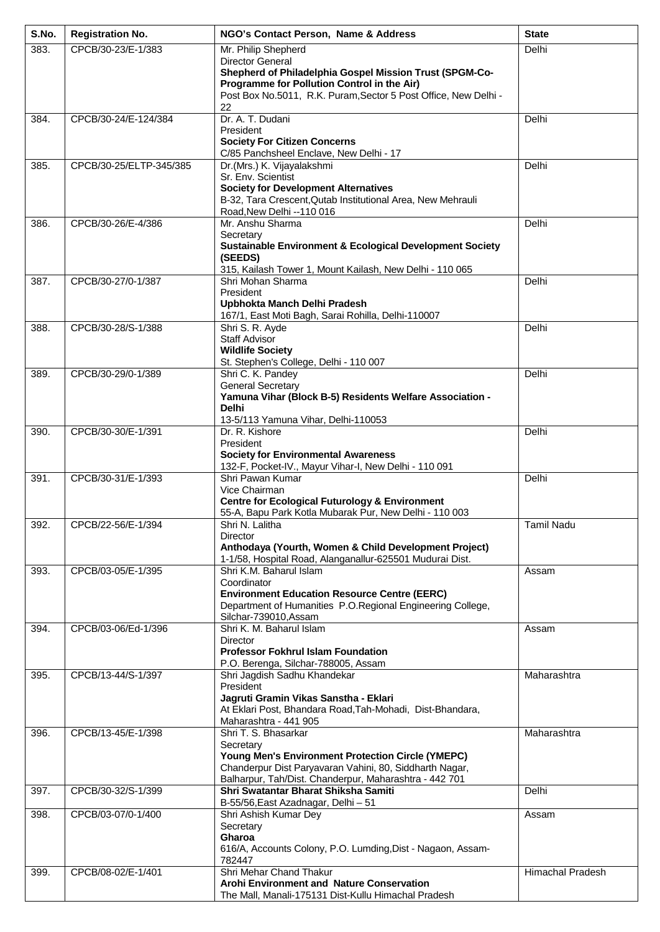| S.No. | <b>Registration No.</b> | NGO's Contact Person, Name & Address                                                                                | <b>State</b>            |
|-------|-------------------------|---------------------------------------------------------------------------------------------------------------------|-------------------------|
| 383.  | CPCB/30-23/E-1/383      | Mr. Philip Shepherd                                                                                                 | Delhi                   |
|       |                         | Director General<br>Shepherd of Philadelphia Gospel Mission Trust (SPGM-Co-                                         |                         |
|       |                         | Programme for Pollution Control in the Air)                                                                         |                         |
|       |                         | Post Box No.5011, R.K. Puram, Sector 5 Post Office, New Delhi -<br>22                                               |                         |
| 384.  | CPCB/30-24/E-124/384    | Dr. A. T. Dudani                                                                                                    | Delhi                   |
|       |                         | President                                                                                                           |                         |
|       |                         | <b>Society For Citizen Concerns</b><br>C/85 Panchsheel Enclave, New Delhi - 17                                      |                         |
| 385.  | CPCB/30-25/ELTP-345/385 | Dr.(Mrs.) K. Vijayalakshmi                                                                                          | Delhi                   |
|       |                         | Sr. Env. Scientist<br><b>Society for Development Alternatives</b>                                                   |                         |
|       |                         | B-32, Tara Crescent, Qutab Institutional Area, New Mehrauli                                                         |                         |
|       |                         | Road, New Delhi -- 110 016                                                                                          |                         |
| 386.  | CPCB/30-26/E-4/386      | Mr. Anshu Sharma<br>Secretary                                                                                       | Delhi                   |
|       |                         | <b>Sustainable Environment &amp; Ecological Development Society</b>                                                 |                         |
|       |                         | (SEEDS)<br>315, Kailash Tower 1, Mount Kailash, New Delhi - 110 065                                                 |                         |
| 387.  | CPCB/30-27/0-1/387      | Shri Mohan Sharma                                                                                                   | Delhi                   |
|       |                         | President                                                                                                           |                         |
|       |                         | Upbhokta Manch Delhi Pradesh<br>167/1, East Moti Bagh, Sarai Rohilla, Delhi-110007                                  |                         |
| 388.  | CPCB/30-28/S-1/388      | Shri S. R. Ayde                                                                                                     | Delhi                   |
|       |                         | Staff Advisor<br><b>Wildlife Society</b>                                                                            |                         |
|       |                         | St. Stephen's College, Delhi - 110 007                                                                              |                         |
| 389.  | CPCB/30-29/0-1/389      | Shri C. K. Pandey                                                                                                   | Delhi                   |
|       |                         | <b>General Secretary</b><br>Yamuna Vihar (Block B-5) Residents Welfare Association -                                |                         |
|       |                         | <b>Delhi</b>                                                                                                        |                         |
|       |                         | 13-5/113 Yamuna Vihar, Delhi-110053                                                                                 |                         |
| 390.  | CPCB/30-30/E-1/391      | Dr. R. Kishore<br>President                                                                                         | Delhi                   |
|       |                         | <b>Society for Environmental Awareness</b>                                                                          |                         |
| 391.  | CPCB/30-31/E-1/393      | 132-F, Pocket-IV., Mayur Vihar-I, New Delhi - 110 091<br>Shri Pawan Kumar                                           | Delhi                   |
|       |                         | Vice Chairman                                                                                                       |                         |
|       |                         | <b>Centre for Ecological Futurology &amp; Environment</b>                                                           |                         |
| 392.  | CPCB/22-56/E-1/394      | 55-A, Bapu Park Kotla Mubarak Pur, New Delhi - 110 003<br>Shri N. Lalitha                                           | <b>Tamil Nadu</b>       |
|       |                         | <b>Director</b>                                                                                                     |                         |
|       |                         | Anthodaya (Yourth, Women & Child Development Project)<br>1-1/58, Hospital Road, Alanganallur-625501 Mudurai Dist.   |                         |
| 393.  | CPCB/03-05/E-1/395      | Shri K.M. Baharul Islam                                                                                             | Assam                   |
|       |                         | Coordinator                                                                                                         |                         |
|       |                         | <b>Environment Education Resource Centre (EERC)</b><br>Department of Humanities P.O.Regional Engineering College,   |                         |
|       |                         | Silchar-739010, Assam                                                                                               |                         |
| 394.  | CPCB/03-06/Ed-1/396     | Shri K. M. Baharul Islam<br>Director                                                                                | Assam                   |
|       |                         | <b>Professor Fokhrul Islam Foundation</b>                                                                           |                         |
|       |                         | P.O. Berenga, Silchar-788005, Assam                                                                                 |                         |
| 395.  | CPCB/13-44/S-1/397      | Shri Jagdish Sadhu Khandekar<br>President                                                                           | Maharashtra             |
|       |                         | Jagruti Gramin Vikas Sanstha - Eklari                                                                               |                         |
|       |                         | At Eklari Post, Bhandara Road, Tah-Mohadi, Dist-Bhandara,<br>Maharashtra - 441 905                                  |                         |
| 396.  | CPCB/13-45/E-1/398      | Shri T. S. Bhasarkar                                                                                                | Maharashtra             |
|       |                         | Secretary                                                                                                           |                         |
|       |                         | <b>Young Men's Environment Protection Circle (YMEPC)</b><br>Chanderpur Dist Paryavaran Vahini, 80, Siddharth Nagar, |                         |
|       |                         | Balharpur, Tah/Dist. Chanderpur, Maharashtra - 442 701                                                              |                         |
| 397.  | CPCB/30-32/S-1/399      | Shri Swatantar Bharat Shiksha Samiti<br>B-55/56, East Azadnagar, Delhi - 51                                         | Delhi                   |
| 398.  | CPCB/03-07/0-1/400      | Shri Ashish Kumar Dey                                                                                               | Assam                   |
|       |                         | Secretary                                                                                                           |                         |
|       |                         | Gharoa<br>616/A, Accounts Colony, P.O. Lumding, Dist - Nagaon, Assam-                                               |                         |
|       |                         | 782447                                                                                                              |                         |
| 399.  | CPCB/08-02/E-1/401      | Shri Mehar Chand Thakur<br>Arohi Environment and Nature Conservation                                                | <b>Himachal Pradesh</b> |
|       |                         | The Mall, Manali-175131 Dist-Kullu Himachal Pradesh                                                                 |                         |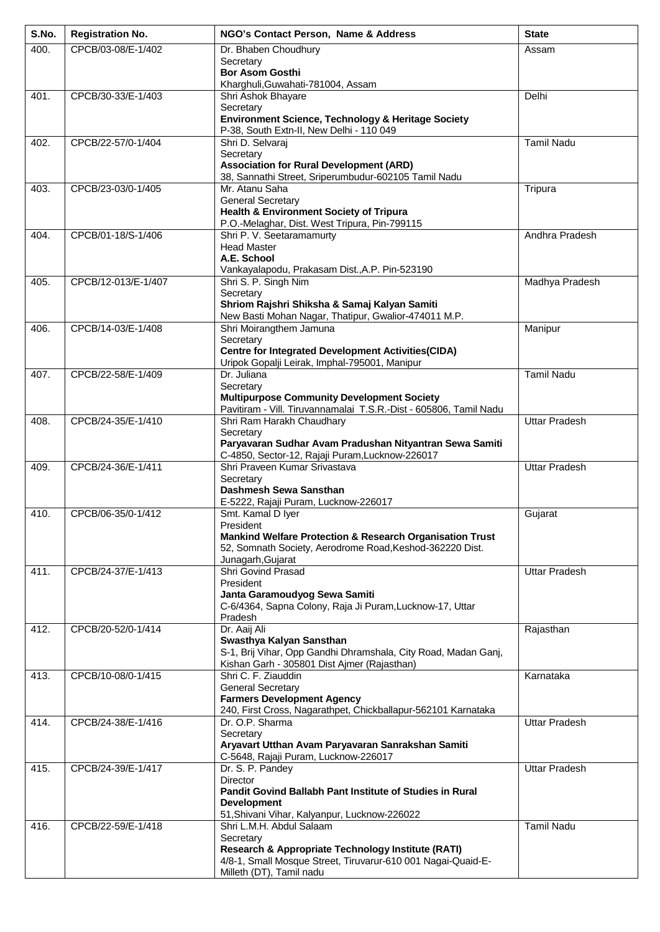| S.No. | <b>Registration No.</b> | NGO's Contact Person, Name & Address                                                                          | <b>State</b>         |
|-------|-------------------------|---------------------------------------------------------------------------------------------------------------|----------------------|
| 400.  | CPCB/03-08/E-1/402      | Dr. Bhaben Choudhury                                                                                          | Assam                |
|       |                         | Secretary<br><b>Bor Asom Gosthi</b>                                                                           |                      |
|       |                         | Kharghuli, Guwahati-781004, Assam                                                                             |                      |
| 401.  | CPCB/30-33/E-1/403      | Shri Ashok Bhayare                                                                                            | Delhi                |
|       |                         | Secretary<br>Environment Science, Technology & Heritage Society                                               |                      |
|       |                         | P-38, South Extn-II, New Delhi - 110 049                                                                      |                      |
| 402.  | CPCB/22-57/0-1/404      | Shri D. Selvaraj                                                                                              | <b>Tamil Nadu</b>    |
|       |                         | Secretary<br><b>Association for Rural Development (ARD)</b>                                                   |                      |
|       |                         | 38, Sannathi Street, Sriperumbudur-602105 Tamil Nadu                                                          |                      |
| 403.  | CPCB/23-03/0-1/405      | Mr. Atanu Saha                                                                                                | Tripura              |
|       |                         | <b>General Secretary</b><br>Health & Environment Society of Tripura                                           |                      |
|       |                         | P.O.-Melaghar, Dist. West Tripura, Pin-799115                                                                 |                      |
| 404.  | CPCB/01-18/S-1/406      | Shri P. V. Seetaramamurty                                                                                     | Andhra Pradesh       |
|       |                         | <b>Head Master</b><br>A.E. School                                                                             |                      |
|       |                         | Vankayalapodu, Prakasam Dist., A.P. Pin-523190                                                                |                      |
| 405.  | CPCB/12-013/E-1/407     | Shri S. P. Singh Nim                                                                                          | Madhya Pradesh       |
|       |                         | Secretary<br>Shriom Rajshri Shiksha & Samaj Kalyan Samiti                                                     |                      |
|       |                         | New Basti Mohan Nagar, Thatipur, Gwalior-474011 M.P.                                                          |                      |
| 406.  | CPCB/14-03/E-1/408      | Shri Moirangthem Jamuna                                                                                       | Manipur              |
|       |                         | Secretary<br><b>Centre for Integrated Development Activities (CIDA)</b>                                       |                      |
|       |                         | Uripok Gopalji Leirak, Imphal-795001, Manipur                                                                 |                      |
| 407.  | CPCB/22-58/E-1/409      | Dr. Juliana                                                                                                   | <b>Tamil Nadu</b>    |
|       |                         | Secretary<br><b>Multipurpose Community Development Society</b>                                                |                      |
|       |                         | Pavitiram - Vill. Tiruvannamalai T.S.R.-Dist - 605806, Tamil Nadu                                             |                      |
| 408.  | CPCB/24-35/E-1/410      | Shri Ram Harakh Chaudhary<br>Secretary                                                                        | <b>Uttar Pradesh</b> |
|       |                         | Paryavaran Sudhar Avam Pradushan Nityantran Sewa Samiti                                                       |                      |
|       |                         | C-4850, Sector-12, Rajaji Puram, Lucknow-226017                                                               |                      |
| 409.  | CPCB/24-36/E-1/411      | Shri Praveen Kumar Srivastava<br>Secretary                                                                    | <b>Uttar Pradesh</b> |
|       |                         | Dashmesh Sewa Sansthan                                                                                        |                      |
|       |                         | E-5222, Rajaji Puram, Lucknow-226017                                                                          |                      |
| 410.  | CPCB/06-35/0-1/412      | Smt. Kamal D Iyer<br>President                                                                                | Gujarat              |
|       |                         | Mankind Welfare Protection & Research Organisation Trust                                                      |                      |
|       |                         | 52, Somnath Society, Aerodrome Road, Keshod-362220 Dist.                                                      |                      |
| 411.  | CPCB/24-37/E-1/413      | Junagarh, Gujarat<br>Shri Govind Prasad                                                                       | <b>Uttar Pradesh</b> |
|       |                         | President                                                                                                     |                      |
|       |                         | Janta Garamoudyog Sewa Samiti                                                                                 |                      |
|       |                         | C-6/4364, Sapna Colony, Raja Ji Puram, Lucknow-17, Uttar<br>Pradesh                                           |                      |
| 412.  | CPCB/20-52/0-1/414      | Dr. Aaij Ali                                                                                                  | Rajasthan            |
|       |                         | Swasthya Kalyan Sansthan                                                                                      |                      |
|       |                         | S-1, Brij Vihar, Opp Gandhi Dhramshala, City Road, Madan Ganj,<br>Kishan Garh - 305801 Dist Ajmer (Rajasthan) |                      |
| 413.  | CPCB/10-08/0-1/415      | Shri C. F. Ziauddin                                                                                           | Karnataka            |
|       |                         | <b>General Secretary</b><br><b>Farmers Development Agency</b>                                                 |                      |
|       |                         | 240, First Cross, Nagarathpet, Chickballapur-562101 Karnataka                                                 |                      |
| 414.  | CPCB/24-38/E-1/416      | Dr. O.P. Sharma                                                                                               | <b>Uttar Pradesh</b> |
|       |                         | Secretary                                                                                                     |                      |
|       |                         | Aryavart Utthan Avam Paryavaran Sanrakshan Samiti<br>C-5648, Rajaji Puram, Lucknow-226017                     |                      |
| 415.  | CPCB/24-39/E-1/417      | Dr. S. P. Pandey                                                                                              | <b>Uttar Pradesh</b> |
|       |                         | <b>Director</b><br><b>Pandit Govind Ballabh Pant Institute of Studies in Rural</b>                            |                      |
|       |                         | <b>Development</b>                                                                                            |                      |
|       |                         | 51, Shivani Vihar, Kalyanpur, Lucknow-226022                                                                  |                      |
| 416.  | CPCB/22-59/E-1/418      | Shri L.M.H. Abdul Salaam<br>Secretary                                                                         | <b>Tamil Nadu</b>    |
|       |                         | <b>Research &amp; Appropriate Technology Institute (RATI)</b>                                                 |                      |
|       |                         | 4/8-1, Small Mosque Street, Tiruvarur-610 001 Nagai-Quaid-E-                                                  |                      |
|       |                         | Milleth (DT), Tamil nadu                                                                                      |                      |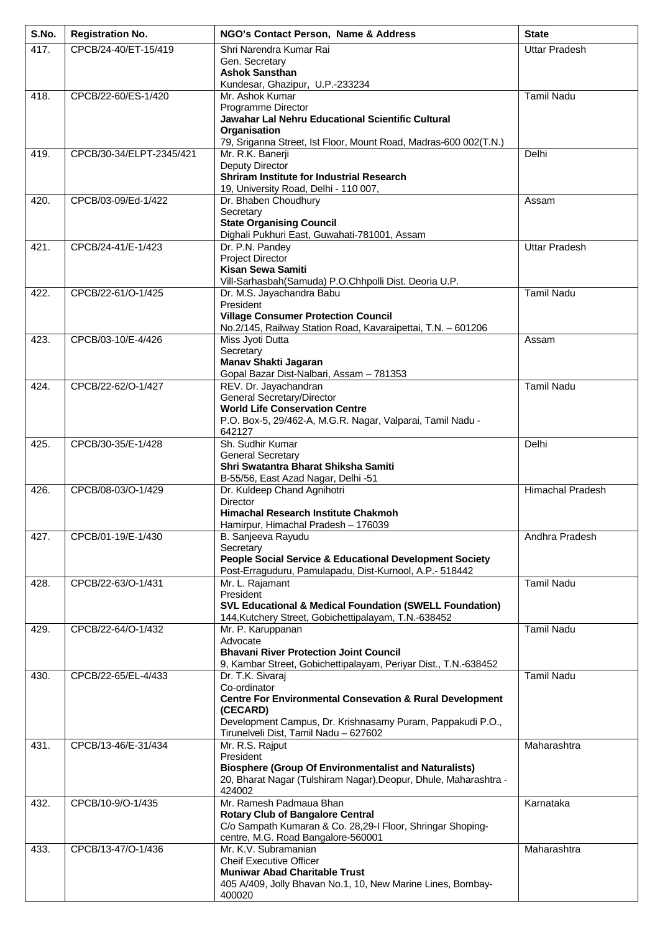| S.No. | <b>Registration No.</b>  | NGO's Contact Person, Name & Address                                                                       | <b>State</b>         |
|-------|--------------------------|------------------------------------------------------------------------------------------------------------|----------------------|
| 417.  | CPCB/24-40/ET-15/419     | Shri Narendra Kumar Rai                                                                                    | <b>Uttar Pradesh</b> |
|       |                          | Gen. Secretary<br><b>Ashok Sansthan</b>                                                                    |                      |
|       |                          | Kundesar, Ghazipur, U.P.-233234                                                                            |                      |
| 418.  | CPCB/22-60/ES-1/420      | Mr. Ashok Kumar                                                                                            | <b>Tamil Nadu</b>    |
|       |                          | Programme Director<br>Jawahar Lal Nehru Educational Scientific Cultural                                    |                      |
|       |                          | Organisation                                                                                               |                      |
|       |                          | 79, Sriganna Street, Ist Floor, Mount Road, Madras-600 002(T.N.)                                           |                      |
| 419.  | CPCB/30-34/ELPT-2345/421 | Mr. R.K. Banerji<br>Deputy Director                                                                        | Delhi                |
|       |                          | Shriram Institute for Industrial Research                                                                  |                      |
|       | CPCB/03-09/Ed-1/422      | 19, University Road, Delhi - 110 007,<br>Dr. Bhaben Choudhury                                              | Assam                |
| 420.  |                          | Secretary                                                                                                  |                      |
|       |                          | <b>State Organising Council</b>                                                                            |                      |
| 421.  | CPCB/24-41/E-1/423       | Dighali Pukhuri East, Guwahati-781001, Assam<br>Dr. P.N. Pandey                                            | <b>Uttar Pradesh</b> |
|       |                          | <b>Project Director</b>                                                                                    |                      |
|       |                          | Kisan Sewa Samiti                                                                                          |                      |
| 422.  | CPCB/22-61/O-1/425       | Vill-Sarhasbah(Samuda) P.O.Chhpolli Dist. Deoria U.P.<br>Dr. M.S. Jayachandra Babu                         | <b>Tamil Nadu</b>    |
|       |                          | President                                                                                                  |                      |
|       |                          | <b>Village Consumer Protection Council</b><br>No.2/145, Railway Station Road, Kavaraipettai, T.N. - 601206 |                      |
| 423.  | CPCB/03-10/E-4/426       | Miss Jyoti Dutta                                                                                           | Assam                |
|       |                          | Secretary                                                                                                  |                      |
|       |                          | Manav Shakti Jagaran<br>Gopal Bazar Dist-Nalbari, Assam - 781353                                           |                      |
| 424.  | CPCB/22-62/O-1/427       | REV. Dr. Jayachandran                                                                                      | <b>Tamil Nadu</b>    |
|       |                          | <b>General Secretary/Director</b>                                                                          |                      |
|       |                          | <b>World Life Conservation Centre</b><br>P.O. Box-5, 29/462-A, M.G.R. Nagar, Valparai, Tamil Nadu -        |                      |
|       |                          | 642127                                                                                                     |                      |
| 425.  | CPCB/30-35/E-1/428       | Sh. Sudhir Kumar                                                                                           | Delhi                |
|       |                          | <b>General Secretary</b><br>Shri Swatantra Bharat Shiksha Samiti                                           |                      |
|       |                          | B-55/56, East Azad Nagar, Delhi -51                                                                        |                      |
| 426.  | CPCB/08-03/O-1/429       | Dr. Kuldeep Chand Agnihotri                                                                                | Himachal Pradesh     |
|       |                          | <b>Director</b><br><b>Himachal Research Institute Chakmoh</b>                                              |                      |
|       |                          | Hamirpur, Himachal Pradesh - 176039                                                                        |                      |
| 427.  | CPCB/01-19/E-1/430       | B. Sanjeeva Rayudu<br>Secretary                                                                            | Andhra Pradesh       |
|       |                          | <b>People Social Service &amp; Educational Development Society</b>                                         |                      |
|       |                          | Post-Erraguduru, Pamulapadu, Dist-Kurnool, A.P.- 518442                                                    |                      |
| 428.  | CPCB/22-63/O-1/431       | Mr. L. Rajamant<br>President                                                                               | <b>Tamil Nadu</b>    |
|       |                          | <b>SVL Educational &amp; Medical Foundation (SWELL Foundation)</b>                                         |                      |
|       |                          | 144, Kutchery Street, Gobichettipalayam, T.N.-638452                                                       |                      |
| 429.  | CPCB/22-64/O-1/432       | Mr. P. Karuppanan<br>Advocate                                                                              | <b>Tamil Nadu</b>    |
|       |                          | <b>Bhavani River Protection Joint Council</b>                                                              |                      |
| 430.  | CPCB/22-65/EL-4/433      | 9, Kambar Street, Gobichettipalayam, Periyar Dist., T.N.-638452<br>Dr. T.K. Sivaraj                        | <b>Tamil Nadu</b>    |
|       |                          | Co-ordinator                                                                                               |                      |
|       |                          | <b>Centre For Environmental Consevation &amp; Rural Development</b>                                        |                      |
|       |                          | (CECARD)<br>Development Campus, Dr. Krishnasamy Puram, Pappakudi P.O.,                                     |                      |
|       |                          | Tirunelveli Dist, Tamil Nadu - 627602                                                                      |                      |
| 431.  | CPCB/13-46/E-31/434      | Mr. R.S. Rajput                                                                                            | Maharashtra          |
|       |                          | President<br><b>Biosphere (Group Of Environmentalist and Naturalists)</b>                                  |                      |
|       |                          | 20, Bharat Nagar (Tulshiram Nagar), Deopur, Dhule, Maharashtra -                                           |                      |
| 432.  | CPCB/10-9/O-1/435        | 424002<br>Mr. Ramesh Padmaua Bhan                                                                          | Karnataka            |
|       |                          | <b>Rotary Club of Bangalore Central</b>                                                                    |                      |
|       |                          | C/o Sampath Kumaran & Co. 28,29-I Floor, Shringar Shoping-                                                 |                      |
| 433.  | CPCB/13-47/O-1/436       | centre, M.G. Road Bangalore-560001<br>Mr. K.V. Subramanian                                                 | Maharashtra          |
|       |                          | <b>Cheif Executive Officer</b>                                                                             |                      |
|       |                          | <b>Muniwar Abad Charitable Trust</b>                                                                       |                      |
|       |                          | 405 A/409, Jolly Bhavan No.1, 10, New Marine Lines, Bombay-<br>400020                                      |                      |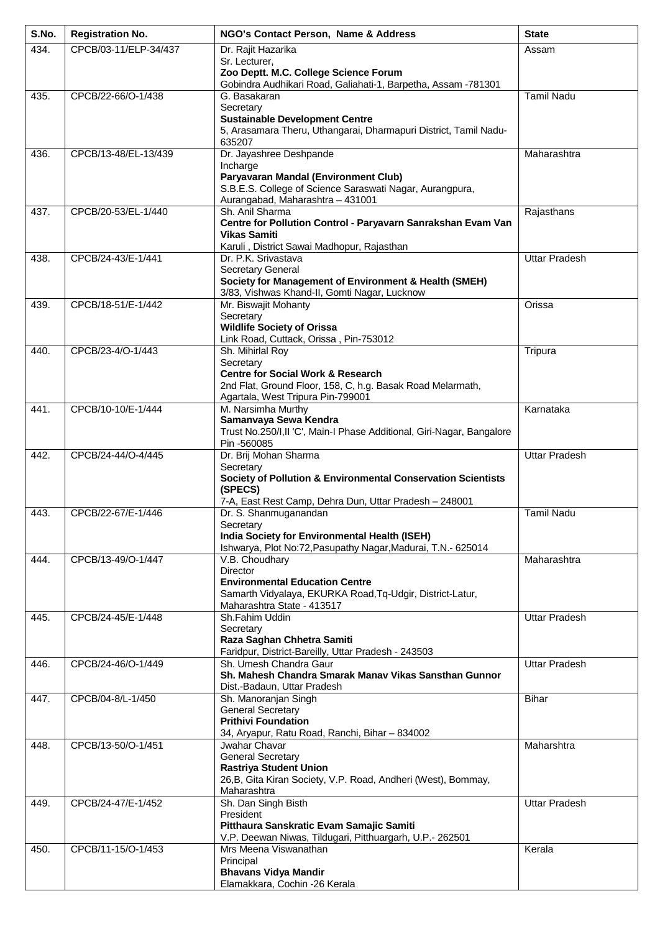| 434.<br>CPCB/03-11/ELP-34/437<br>Assam<br>Sr. Lecturer,<br>Zoo Deptt. M.C. College Science Forum<br>Gobindra Audhikari Road, Galiahati-1, Barpetha, Assam -781301<br>CPCB/22-66/O-1/438<br>435.<br><b>Tamil Nadu</b><br>G. Basakaran<br>Secretary<br><b>Sustainable Development Centre</b><br>5, Arasamara Theru, Uthangarai, Dharmapuri District, Tamil Nadu-<br>635207<br>Dr. Jayashree Deshpande<br>Maharashtra<br>436.<br>CPCB/13-48/EL-13/439<br>Incharge<br>Paryavaran Mandal (Environment Club)<br>S.B.E.S. College of Science Saraswati Nagar, Aurangpura,<br>Aurangabad, Maharashtra - 431001<br>CPCB/20-53/EL-1/440<br>Sh. Anil Sharma<br>Rajasthans<br>437.<br>Centre for Pollution Control - Paryavarn Sanrakshan Evam Van<br><b>Vikas Samiti</b><br>Karuli, District Sawai Madhopur, Rajasthan<br>CPCB/24-43/E-1/441<br>Uttar Pradesh<br>438.<br>Dr. P.K. Srivastava<br><b>Secretary General</b><br>Society for Management of Environment & Health (SMEH)<br>3/83, Vishwas Khand-II, Gomti Nagar, Lucknow<br>Mr. Biswajit Mohanty<br>CPCB/18-51/E-1/442<br>Orissa<br>439.<br>Secretary<br><b>Wildlife Society of Orissa</b><br>Link Road, Cuttack, Orissa, Pin-753012<br>CPCB/23-4/O-1/443<br>Sh. Mihirlal Roy<br>Tripura<br>440.<br>Secretary<br><b>Centre for Social Work &amp; Research</b><br>2nd Flat, Ground Floor, 158, C, h.g. Basak Road Melarmath,<br>Agartala, West Tripura Pin-799001<br>M. Narsimha Murthy<br>441.<br>CPCB/10-10/E-1/444<br>Karnataka<br>Samanvaya Sewa Kendra<br>Trust No.250/I, II 'C', Main-I Phase Additional, Giri-Nagar, Bangalore<br>Pin -560085<br>442.<br>CPCB/24-44/O-4/445<br>Dr. Brij Mohan Sharma<br><b>Uttar Pradesh</b><br>Secretary<br>Society of Pollution & Environmental Conservation Scientists<br>(SPECS)<br>7-A, East Rest Camp, Dehra Dun, Uttar Pradesh - 248001<br>Dr. S. Shanmuganandan<br><b>Tamil Nadu</b><br>CPCB/22-67/E-1/446<br>443.<br>Secretary<br>India Society for Environmental Health (ISEH)<br>Ishwarya, Plot No:72, Pasupathy Nagar, Madurai, T.N.- 625014<br>CPCB/13-49/O-1/447<br>V.B. Choudhary<br>Maharashtra<br>444.<br>Director<br><b>Environmental Education Centre</b><br>Samarth Vidyalaya, EKURKA Road, Tq-Udgir, District-Latur,<br>Maharashtra State - 413517<br>445.<br>CPCB/24-45/E-1/448<br>Sh.Fahim Uddin<br><b>Uttar Pradesh</b><br>Secretary<br>Raza Saghan Chhetra Samiti<br>Faridpur, District-Bareilly, Uttar Pradesh - 243503<br>CPCB/24-46/O-1/449<br>Sh. Umesh Chandra Gaur<br><b>Uttar Pradesh</b><br>446.<br>Sh. Mahesh Chandra Smarak Manav Vikas Sansthan Gunnor<br>Dist.-Badaun, Uttar Pradesh<br>CPCB/04-8/L-1/450<br>Sh. Manoranjan Singh<br><b>Bihar</b><br>447.<br><b>General Secretary</b> | S.No. | <b>Registration No.</b> | NGO's Contact Person, Name & Address | <b>State</b> |
|----------------------------------------------------------------------------------------------------------------------------------------------------------------------------------------------------------------------------------------------------------------------------------------------------------------------------------------------------------------------------------------------------------------------------------------------------------------------------------------------------------------------------------------------------------------------------------------------------------------------------------------------------------------------------------------------------------------------------------------------------------------------------------------------------------------------------------------------------------------------------------------------------------------------------------------------------------------------------------------------------------------------------------------------------------------------------------------------------------------------------------------------------------------------------------------------------------------------------------------------------------------------------------------------------------------------------------------------------------------------------------------------------------------------------------------------------------------------------------------------------------------------------------------------------------------------------------------------------------------------------------------------------------------------------------------------------------------------------------------------------------------------------------------------------------------------------------------------------------------------------------------------------------------------------------------------------------------------------------------------------------------------------------------------------------------------------------------------------------------------------------------------------------------------------------------------------------------------------------------------------------------------------------------------------------------------------------------------------------------------------------------------------------------------------------------------------------------------------------------------------------------------------------------------------------------------------------------------------------------------------------------------------------------------------------------------------------------|-------|-------------------------|--------------------------------------|--------------|
|                                                                                                                                                                                                                                                                                                                                                                                                                                                                                                                                                                                                                                                                                                                                                                                                                                                                                                                                                                                                                                                                                                                                                                                                                                                                                                                                                                                                                                                                                                                                                                                                                                                                                                                                                                                                                                                                                                                                                                                                                                                                                                                                                                                                                                                                                                                                                                                                                                                                                                                                                                                                                                                                                                                |       |                         | Dr. Rajit Hazarika                   |              |
|                                                                                                                                                                                                                                                                                                                                                                                                                                                                                                                                                                                                                                                                                                                                                                                                                                                                                                                                                                                                                                                                                                                                                                                                                                                                                                                                                                                                                                                                                                                                                                                                                                                                                                                                                                                                                                                                                                                                                                                                                                                                                                                                                                                                                                                                                                                                                                                                                                                                                                                                                                                                                                                                                                                |       |                         |                                      |              |
|                                                                                                                                                                                                                                                                                                                                                                                                                                                                                                                                                                                                                                                                                                                                                                                                                                                                                                                                                                                                                                                                                                                                                                                                                                                                                                                                                                                                                                                                                                                                                                                                                                                                                                                                                                                                                                                                                                                                                                                                                                                                                                                                                                                                                                                                                                                                                                                                                                                                                                                                                                                                                                                                                                                |       |                         |                                      |              |
|                                                                                                                                                                                                                                                                                                                                                                                                                                                                                                                                                                                                                                                                                                                                                                                                                                                                                                                                                                                                                                                                                                                                                                                                                                                                                                                                                                                                                                                                                                                                                                                                                                                                                                                                                                                                                                                                                                                                                                                                                                                                                                                                                                                                                                                                                                                                                                                                                                                                                                                                                                                                                                                                                                                |       |                         |                                      |              |
|                                                                                                                                                                                                                                                                                                                                                                                                                                                                                                                                                                                                                                                                                                                                                                                                                                                                                                                                                                                                                                                                                                                                                                                                                                                                                                                                                                                                                                                                                                                                                                                                                                                                                                                                                                                                                                                                                                                                                                                                                                                                                                                                                                                                                                                                                                                                                                                                                                                                                                                                                                                                                                                                                                                |       |                         |                                      |              |
|                                                                                                                                                                                                                                                                                                                                                                                                                                                                                                                                                                                                                                                                                                                                                                                                                                                                                                                                                                                                                                                                                                                                                                                                                                                                                                                                                                                                                                                                                                                                                                                                                                                                                                                                                                                                                                                                                                                                                                                                                                                                                                                                                                                                                                                                                                                                                                                                                                                                                                                                                                                                                                                                                                                |       |                         |                                      |              |
|                                                                                                                                                                                                                                                                                                                                                                                                                                                                                                                                                                                                                                                                                                                                                                                                                                                                                                                                                                                                                                                                                                                                                                                                                                                                                                                                                                                                                                                                                                                                                                                                                                                                                                                                                                                                                                                                                                                                                                                                                                                                                                                                                                                                                                                                                                                                                                                                                                                                                                                                                                                                                                                                                                                |       |                         |                                      |              |
|                                                                                                                                                                                                                                                                                                                                                                                                                                                                                                                                                                                                                                                                                                                                                                                                                                                                                                                                                                                                                                                                                                                                                                                                                                                                                                                                                                                                                                                                                                                                                                                                                                                                                                                                                                                                                                                                                                                                                                                                                                                                                                                                                                                                                                                                                                                                                                                                                                                                                                                                                                                                                                                                                                                |       |                         |                                      |              |
|                                                                                                                                                                                                                                                                                                                                                                                                                                                                                                                                                                                                                                                                                                                                                                                                                                                                                                                                                                                                                                                                                                                                                                                                                                                                                                                                                                                                                                                                                                                                                                                                                                                                                                                                                                                                                                                                                                                                                                                                                                                                                                                                                                                                                                                                                                                                                                                                                                                                                                                                                                                                                                                                                                                |       |                         |                                      |              |
|                                                                                                                                                                                                                                                                                                                                                                                                                                                                                                                                                                                                                                                                                                                                                                                                                                                                                                                                                                                                                                                                                                                                                                                                                                                                                                                                                                                                                                                                                                                                                                                                                                                                                                                                                                                                                                                                                                                                                                                                                                                                                                                                                                                                                                                                                                                                                                                                                                                                                                                                                                                                                                                                                                                |       |                         |                                      |              |
|                                                                                                                                                                                                                                                                                                                                                                                                                                                                                                                                                                                                                                                                                                                                                                                                                                                                                                                                                                                                                                                                                                                                                                                                                                                                                                                                                                                                                                                                                                                                                                                                                                                                                                                                                                                                                                                                                                                                                                                                                                                                                                                                                                                                                                                                                                                                                                                                                                                                                                                                                                                                                                                                                                                |       |                         |                                      |              |
|                                                                                                                                                                                                                                                                                                                                                                                                                                                                                                                                                                                                                                                                                                                                                                                                                                                                                                                                                                                                                                                                                                                                                                                                                                                                                                                                                                                                                                                                                                                                                                                                                                                                                                                                                                                                                                                                                                                                                                                                                                                                                                                                                                                                                                                                                                                                                                                                                                                                                                                                                                                                                                                                                                                |       |                         |                                      |              |
|                                                                                                                                                                                                                                                                                                                                                                                                                                                                                                                                                                                                                                                                                                                                                                                                                                                                                                                                                                                                                                                                                                                                                                                                                                                                                                                                                                                                                                                                                                                                                                                                                                                                                                                                                                                                                                                                                                                                                                                                                                                                                                                                                                                                                                                                                                                                                                                                                                                                                                                                                                                                                                                                                                                |       |                         |                                      |              |
|                                                                                                                                                                                                                                                                                                                                                                                                                                                                                                                                                                                                                                                                                                                                                                                                                                                                                                                                                                                                                                                                                                                                                                                                                                                                                                                                                                                                                                                                                                                                                                                                                                                                                                                                                                                                                                                                                                                                                                                                                                                                                                                                                                                                                                                                                                                                                                                                                                                                                                                                                                                                                                                                                                                |       |                         |                                      |              |
|                                                                                                                                                                                                                                                                                                                                                                                                                                                                                                                                                                                                                                                                                                                                                                                                                                                                                                                                                                                                                                                                                                                                                                                                                                                                                                                                                                                                                                                                                                                                                                                                                                                                                                                                                                                                                                                                                                                                                                                                                                                                                                                                                                                                                                                                                                                                                                                                                                                                                                                                                                                                                                                                                                                |       |                         |                                      |              |
|                                                                                                                                                                                                                                                                                                                                                                                                                                                                                                                                                                                                                                                                                                                                                                                                                                                                                                                                                                                                                                                                                                                                                                                                                                                                                                                                                                                                                                                                                                                                                                                                                                                                                                                                                                                                                                                                                                                                                                                                                                                                                                                                                                                                                                                                                                                                                                                                                                                                                                                                                                                                                                                                                                                |       |                         |                                      |              |
|                                                                                                                                                                                                                                                                                                                                                                                                                                                                                                                                                                                                                                                                                                                                                                                                                                                                                                                                                                                                                                                                                                                                                                                                                                                                                                                                                                                                                                                                                                                                                                                                                                                                                                                                                                                                                                                                                                                                                                                                                                                                                                                                                                                                                                                                                                                                                                                                                                                                                                                                                                                                                                                                                                                |       |                         |                                      |              |
|                                                                                                                                                                                                                                                                                                                                                                                                                                                                                                                                                                                                                                                                                                                                                                                                                                                                                                                                                                                                                                                                                                                                                                                                                                                                                                                                                                                                                                                                                                                                                                                                                                                                                                                                                                                                                                                                                                                                                                                                                                                                                                                                                                                                                                                                                                                                                                                                                                                                                                                                                                                                                                                                                                                |       |                         |                                      |              |
|                                                                                                                                                                                                                                                                                                                                                                                                                                                                                                                                                                                                                                                                                                                                                                                                                                                                                                                                                                                                                                                                                                                                                                                                                                                                                                                                                                                                                                                                                                                                                                                                                                                                                                                                                                                                                                                                                                                                                                                                                                                                                                                                                                                                                                                                                                                                                                                                                                                                                                                                                                                                                                                                                                                |       |                         |                                      |              |
|                                                                                                                                                                                                                                                                                                                                                                                                                                                                                                                                                                                                                                                                                                                                                                                                                                                                                                                                                                                                                                                                                                                                                                                                                                                                                                                                                                                                                                                                                                                                                                                                                                                                                                                                                                                                                                                                                                                                                                                                                                                                                                                                                                                                                                                                                                                                                                                                                                                                                                                                                                                                                                                                                                                |       |                         |                                      |              |
|                                                                                                                                                                                                                                                                                                                                                                                                                                                                                                                                                                                                                                                                                                                                                                                                                                                                                                                                                                                                                                                                                                                                                                                                                                                                                                                                                                                                                                                                                                                                                                                                                                                                                                                                                                                                                                                                                                                                                                                                                                                                                                                                                                                                                                                                                                                                                                                                                                                                                                                                                                                                                                                                                                                |       |                         |                                      |              |
|                                                                                                                                                                                                                                                                                                                                                                                                                                                                                                                                                                                                                                                                                                                                                                                                                                                                                                                                                                                                                                                                                                                                                                                                                                                                                                                                                                                                                                                                                                                                                                                                                                                                                                                                                                                                                                                                                                                                                                                                                                                                                                                                                                                                                                                                                                                                                                                                                                                                                                                                                                                                                                                                                                                |       |                         |                                      |              |
|                                                                                                                                                                                                                                                                                                                                                                                                                                                                                                                                                                                                                                                                                                                                                                                                                                                                                                                                                                                                                                                                                                                                                                                                                                                                                                                                                                                                                                                                                                                                                                                                                                                                                                                                                                                                                                                                                                                                                                                                                                                                                                                                                                                                                                                                                                                                                                                                                                                                                                                                                                                                                                                                                                                |       |                         |                                      |              |
|                                                                                                                                                                                                                                                                                                                                                                                                                                                                                                                                                                                                                                                                                                                                                                                                                                                                                                                                                                                                                                                                                                                                                                                                                                                                                                                                                                                                                                                                                                                                                                                                                                                                                                                                                                                                                                                                                                                                                                                                                                                                                                                                                                                                                                                                                                                                                                                                                                                                                                                                                                                                                                                                                                                |       |                         |                                      |              |
|                                                                                                                                                                                                                                                                                                                                                                                                                                                                                                                                                                                                                                                                                                                                                                                                                                                                                                                                                                                                                                                                                                                                                                                                                                                                                                                                                                                                                                                                                                                                                                                                                                                                                                                                                                                                                                                                                                                                                                                                                                                                                                                                                                                                                                                                                                                                                                                                                                                                                                                                                                                                                                                                                                                |       |                         |                                      |              |
|                                                                                                                                                                                                                                                                                                                                                                                                                                                                                                                                                                                                                                                                                                                                                                                                                                                                                                                                                                                                                                                                                                                                                                                                                                                                                                                                                                                                                                                                                                                                                                                                                                                                                                                                                                                                                                                                                                                                                                                                                                                                                                                                                                                                                                                                                                                                                                                                                                                                                                                                                                                                                                                                                                                |       |                         |                                      |              |
|                                                                                                                                                                                                                                                                                                                                                                                                                                                                                                                                                                                                                                                                                                                                                                                                                                                                                                                                                                                                                                                                                                                                                                                                                                                                                                                                                                                                                                                                                                                                                                                                                                                                                                                                                                                                                                                                                                                                                                                                                                                                                                                                                                                                                                                                                                                                                                                                                                                                                                                                                                                                                                                                                                                |       |                         |                                      |              |
|                                                                                                                                                                                                                                                                                                                                                                                                                                                                                                                                                                                                                                                                                                                                                                                                                                                                                                                                                                                                                                                                                                                                                                                                                                                                                                                                                                                                                                                                                                                                                                                                                                                                                                                                                                                                                                                                                                                                                                                                                                                                                                                                                                                                                                                                                                                                                                                                                                                                                                                                                                                                                                                                                                                |       |                         |                                      |              |
|                                                                                                                                                                                                                                                                                                                                                                                                                                                                                                                                                                                                                                                                                                                                                                                                                                                                                                                                                                                                                                                                                                                                                                                                                                                                                                                                                                                                                                                                                                                                                                                                                                                                                                                                                                                                                                                                                                                                                                                                                                                                                                                                                                                                                                                                                                                                                                                                                                                                                                                                                                                                                                                                                                                |       |                         |                                      |              |
|                                                                                                                                                                                                                                                                                                                                                                                                                                                                                                                                                                                                                                                                                                                                                                                                                                                                                                                                                                                                                                                                                                                                                                                                                                                                                                                                                                                                                                                                                                                                                                                                                                                                                                                                                                                                                                                                                                                                                                                                                                                                                                                                                                                                                                                                                                                                                                                                                                                                                                                                                                                                                                                                                                                |       |                         |                                      |              |
|                                                                                                                                                                                                                                                                                                                                                                                                                                                                                                                                                                                                                                                                                                                                                                                                                                                                                                                                                                                                                                                                                                                                                                                                                                                                                                                                                                                                                                                                                                                                                                                                                                                                                                                                                                                                                                                                                                                                                                                                                                                                                                                                                                                                                                                                                                                                                                                                                                                                                                                                                                                                                                                                                                                |       |                         |                                      |              |
|                                                                                                                                                                                                                                                                                                                                                                                                                                                                                                                                                                                                                                                                                                                                                                                                                                                                                                                                                                                                                                                                                                                                                                                                                                                                                                                                                                                                                                                                                                                                                                                                                                                                                                                                                                                                                                                                                                                                                                                                                                                                                                                                                                                                                                                                                                                                                                                                                                                                                                                                                                                                                                                                                                                |       |                         |                                      |              |
|                                                                                                                                                                                                                                                                                                                                                                                                                                                                                                                                                                                                                                                                                                                                                                                                                                                                                                                                                                                                                                                                                                                                                                                                                                                                                                                                                                                                                                                                                                                                                                                                                                                                                                                                                                                                                                                                                                                                                                                                                                                                                                                                                                                                                                                                                                                                                                                                                                                                                                                                                                                                                                                                                                                |       |                         |                                      |              |
|                                                                                                                                                                                                                                                                                                                                                                                                                                                                                                                                                                                                                                                                                                                                                                                                                                                                                                                                                                                                                                                                                                                                                                                                                                                                                                                                                                                                                                                                                                                                                                                                                                                                                                                                                                                                                                                                                                                                                                                                                                                                                                                                                                                                                                                                                                                                                                                                                                                                                                                                                                                                                                                                                                                |       |                         |                                      |              |
|                                                                                                                                                                                                                                                                                                                                                                                                                                                                                                                                                                                                                                                                                                                                                                                                                                                                                                                                                                                                                                                                                                                                                                                                                                                                                                                                                                                                                                                                                                                                                                                                                                                                                                                                                                                                                                                                                                                                                                                                                                                                                                                                                                                                                                                                                                                                                                                                                                                                                                                                                                                                                                                                                                                |       |                         |                                      |              |
|                                                                                                                                                                                                                                                                                                                                                                                                                                                                                                                                                                                                                                                                                                                                                                                                                                                                                                                                                                                                                                                                                                                                                                                                                                                                                                                                                                                                                                                                                                                                                                                                                                                                                                                                                                                                                                                                                                                                                                                                                                                                                                                                                                                                                                                                                                                                                                                                                                                                                                                                                                                                                                                                                                                |       |                         |                                      |              |
|                                                                                                                                                                                                                                                                                                                                                                                                                                                                                                                                                                                                                                                                                                                                                                                                                                                                                                                                                                                                                                                                                                                                                                                                                                                                                                                                                                                                                                                                                                                                                                                                                                                                                                                                                                                                                                                                                                                                                                                                                                                                                                                                                                                                                                                                                                                                                                                                                                                                                                                                                                                                                                                                                                                |       |                         |                                      |              |
|                                                                                                                                                                                                                                                                                                                                                                                                                                                                                                                                                                                                                                                                                                                                                                                                                                                                                                                                                                                                                                                                                                                                                                                                                                                                                                                                                                                                                                                                                                                                                                                                                                                                                                                                                                                                                                                                                                                                                                                                                                                                                                                                                                                                                                                                                                                                                                                                                                                                                                                                                                                                                                                                                                                |       |                         |                                      |              |
|                                                                                                                                                                                                                                                                                                                                                                                                                                                                                                                                                                                                                                                                                                                                                                                                                                                                                                                                                                                                                                                                                                                                                                                                                                                                                                                                                                                                                                                                                                                                                                                                                                                                                                                                                                                                                                                                                                                                                                                                                                                                                                                                                                                                                                                                                                                                                                                                                                                                                                                                                                                                                                                                                                                |       |                         |                                      |              |
|                                                                                                                                                                                                                                                                                                                                                                                                                                                                                                                                                                                                                                                                                                                                                                                                                                                                                                                                                                                                                                                                                                                                                                                                                                                                                                                                                                                                                                                                                                                                                                                                                                                                                                                                                                                                                                                                                                                                                                                                                                                                                                                                                                                                                                                                                                                                                                                                                                                                                                                                                                                                                                                                                                                |       |                         |                                      |              |
|                                                                                                                                                                                                                                                                                                                                                                                                                                                                                                                                                                                                                                                                                                                                                                                                                                                                                                                                                                                                                                                                                                                                                                                                                                                                                                                                                                                                                                                                                                                                                                                                                                                                                                                                                                                                                                                                                                                                                                                                                                                                                                                                                                                                                                                                                                                                                                                                                                                                                                                                                                                                                                                                                                                |       |                         |                                      |              |
|                                                                                                                                                                                                                                                                                                                                                                                                                                                                                                                                                                                                                                                                                                                                                                                                                                                                                                                                                                                                                                                                                                                                                                                                                                                                                                                                                                                                                                                                                                                                                                                                                                                                                                                                                                                                                                                                                                                                                                                                                                                                                                                                                                                                                                                                                                                                                                                                                                                                                                                                                                                                                                                                                                                |       |                         |                                      |              |
|                                                                                                                                                                                                                                                                                                                                                                                                                                                                                                                                                                                                                                                                                                                                                                                                                                                                                                                                                                                                                                                                                                                                                                                                                                                                                                                                                                                                                                                                                                                                                                                                                                                                                                                                                                                                                                                                                                                                                                                                                                                                                                                                                                                                                                                                                                                                                                                                                                                                                                                                                                                                                                                                                                                |       |                         | <b>Prithivi Foundation</b>           |              |
| 34, Aryapur, Ratu Road, Ranchi, Bihar - 834002                                                                                                                                                                                                                                                                                                                                                                                                                                                                                                                                                                                                                                                                                                                                                                                                                                                                                                                                                                                                                                                                                                                                                                                                                                                                                                                                                                                                                                                                                                                                                                                                                                                                                                                                                                                                                                                                                                                                                                                                                                                                                                                                                                                                                                                                                                                                                                                                                                                                                                                                                                                                                                                                 |       |                         |                                      |              |
| CPCB/13-50/O-1/451<br>Jwahar Chavar<br>Maharshtra<br>448.<br><b>General Secretary</b>                                                                                                                                                                                                                                                                                                                                                                                                                                                                                                                                                                                                                                                                                                                                                                                                                                                                                                                                                                                                                                                                                                                                                                                                                                                                                                                                                                                                                                                                                                                                                                                                                                                                                                                                                                                                                                                                                                                                                                                                                                                                                                                                                                                                                                                                                                                                                                                                                                                                                                                                                                                                                          |       |                         |                                      |              |
| <b>Rastriya Student Union</b>                                                                                                                                                                                                                                                                                                                                                                                                                                                                                                                                                                                                                                                                                                                                                                                                                                                                                                                                                                                                                                                                                                                                                                                                                                                                                                                                                                                                                                                                                                                                                                                                                                                                                                                                                                                                                                                                                                                                                                                                                                                                                                                                                                                                                                                                                                                                                                                                                                                                                                                                                                                                                                                                                  |       |                         |                                      |              |
| 26, B, Gita Kiran Society, V.P. Road, Andheri (West), Bommay,                                                                                                                                                                                                                                                                                                                                                                                                                                                                                                                                                                                                                                                                                                                                                                                                                                                                                                                                                                                                                                                                                                                                                                                                                                                                                                                                                                                                                                                                                                                                                                                                                                                                                                                                                                                                                                                                                                                                                                                                                                                                                                                                                                                                                                                                                                                                                                                                                                                                                                                                                                                                                                                  |       |                         |                                      |              |
| Maharashtra<br>Sh. Dan Singh Bisth<br>CPCB/24-47/E-1/452<br>449.<br><b>Uttar Pradesh</b>                                                                                                                                                                                                                                                                                                                                                                                                                                                                                                                                                                                                                                                                                                                                                                                                                                                                                                                                                                                                                                                                                                                                                                                                                                                                                                                                                                                                                                                                                                                                                                                                                                                                                                                                                                                                                                                                                                                                                                                                                                                                                                                                                                                                                                                                                                                                                                                                                                                                                                                                                                                                                       |       |                         |                                      |              |
| President                                                                                                                                                                                                                                                                                                                                                                                                                                                                                                                                                                                                                                                                                                                                                                                                                                                                                                                                                                                                                                                                                                                                                                                                                                                                                                                                                                                                                                                                                                                                                                                                                                                                                                                                                                                                                                                                                                                                                                                                                                                                                                                                                                                                                                                                                                                                                                                                                                                                                                                                                                                                                                                                                                      |       |                         |                                      |              |
| Pitthaura Sanskratic Evam Samajic Samiti<br>V.P. Deewan Niwas, Tildugari, Pitthuargarh, U.P.- 262501                                                                                                                                                                                                                                                                                                                                                                                                                                                                                                                                                                                                                                                                                                                                                                                                                                                                                                                                                                                                                                                                                                                                                                                                                                                                                                                                                                                                                                                                                                                                                                                                                                                                                                                                                                                                                                                                                                                                                                                                                                                                                                                                                                                                                                                                                                                                                                                                                                                                                                                                                                                                           |       |                         |                                      |              |
| Mrs Meena Viswanathan<br>CPCB/11-15/O-1/453<br>Kerala<br>450.                                                                                                                                                                                                                                                                                                                                                                                                                                                                                                                                                                                                                                                                                                                                                                                                                                                                                                                                                                                                                                                                                                                                                                                                                                                                                                                                                                                                                                                                                                                                                                                                                                                                                                                                                                                                                                                                                                                                                                                                                                                                                                                                                                                                                                                                                                                                                                                                                                                                                                                                                                                                                                                  |       |                         |                                      |              |
| Principal                                                                                                                                                                                                                                                                                                                                                                                                                                                                                                                                                                                                                                                                                                                                                                                                                                                                                                                                                                                                                                                                                                                                                                                                                                                                                                                                                                                                                                                                                                                                                                                                                                                                                                                                                                                                                                                                                                                                                                                                                                                                                                                                                                                                                                                                                                                                                                                                                                                                                                                                                                                                                                                                                                      |       |                         |                                      |              |
| <b>Bhavans Vidya Mandir</b><br>Elamakkara, Cochin -26 Kerala                                                                                                                                                                                                                                                                                                                                                                                                                                                                                                                                                                                                                                                                                                                                                                                                                                                                                                                                                                                                                                                                                                                                                                                                                                                                                                                                                                                                                                                                                                                                                                                                                                                                                                                                                                                                                                                                                                                                                                                                                                                                                                                                                                                                                                                                                                                                                                                                                                                                                                                                                                                                                                                   |       |                         |                                      |              |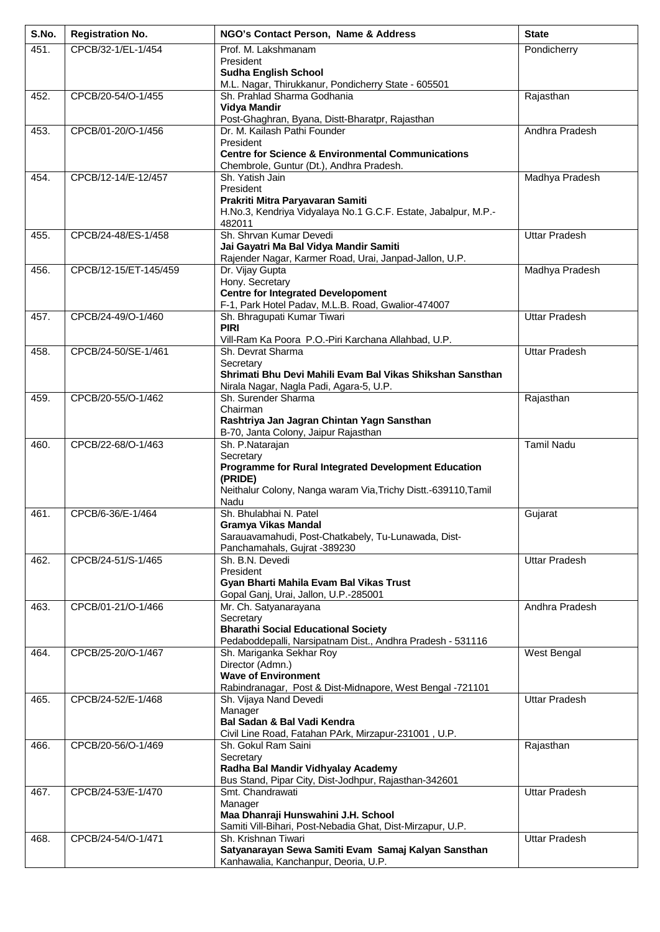| S.No. | <b>Registration No.</b> | NGO's Contact Person, Name & Address                                                                     | <b>State</b>         |
|-------|-------------------------|----------------------------------------------------------------------------------------------------------|----------------------|
| 451.  | CPCB/32-1/EL-1/454      | Prof. M. Lakshmanam                                                                                      | Pondicherry          |
|       |                         | President<br><b>Sudha English School</b>                                                                 |                      |
|       |                         | M.L. Nagar, Thirukkanur, Pondicherry State - 605501                                                      |                      |
| 452.  | CPCB/20-54/O-1/455      | Sh. Prahlad Sharma Godhania                                                                              | Rajasthan            |
|       |                         | Vidya Mandir<br>Post-Ghaghran, Byana, Distt-Bharatpr, Rajasthan                                          |                      |
| 453.  | CPCB/01-20/O-1/456      | Dr. M. Kailash Pathi Founder                                                                             | Andhra Pradesh       |
|       |                         | President                                                                                                |                      |
|       |                         | <b>Centre for Science &amp; Environmental Communications</b><br>Chembrole, Guntur (Dt.), Andhra Pradesh. |                      |
| 454.  | CPCB/12-14/E-12/457     | Sh. Yatish Jain                                                                                          | Madhya Pradesh       |
|       |                         | President<br>Prakriti Mitra Paryavaran Samiti                                                            |                      |
|       |                         | H.No.3, Kendriya Vidyalaya No.1 G.C.F. Estate, Jabalpur, M.P.-                                           |                      |
|       |                         | 482011                                                                                                   |                      |
| 455.  | CPCB/24-48/ES-1/458     | Sh. Shrvan Kumar Devedi<br>Jai Gayatri Ma Bal Vidya Mandir Samiti                                        | <b>Uttar Pradesh</b> |
|       |                         | Rajender Nagar, Karmer Road, Urai, Janpad-Jallon, U.P.                                                   |                      |
| 456.  | CPCB/12-15/ET-145/459   | Dr. Vijay Gupta                                                                                          | Madhya Pradesh       |
|       |                         | Hony. Secretary<br><b>Centre for Integrated Developoment</b>                                             |                      |
|       |                         | F-1, Park Hotel Padav, M.L.B. Road, Gwalior-474007                                                       |                      |
| 457.  | CPCB/24-49/O-1/460      | Sh. Bhragupati Kumar Tiwari<br><b>PIRI</b>                                                               | <b>Uttar Pradesh</b> |
|       |                         | Vill-Ram Ka Poora P.O.-Piri Karchana Allahbad, U.P.                                                      |                      |
| 458.  | CPCB/24-50/SE-1/461     | Sh. Devrat Sharma                                                                                        | <b>Uttar Pradesh</b> |
|       |                         | Secretary<br>Shrimati Bhu Devi Mahili Evam Bal Vikas Shikshan Sansthan                                   |                      |
|       |                         | Nirala Nagar, Nagla Padi, Agara-5, U.P.                                                                  |                      |
| 459.  | CPCB/20-55/O-1/462      | Sh. Surender Sharma                                                                                      | Rajasthan            |
|       |                         | Chairman<br>Rashtriya Jan Jagran Chintan Yagn Sansthan                                                   |                      |
|       |                         | B-70, Janta Colony, Jaipur Rajasthan                                                                     |                      |
| 460.  | CPCB/22-68/O-1/463      | Sh. P.Natarajan<br>Secretary                                                                             | <b>Tamil Nadu</b>    |
|       |                         | Programme for Rural Integrated Development Education                                                     |                      |
|       |                         | (PRIDE)                                                                                                  |                      |
|       |                         | Neithalur Colony, Nanga waram Via, Trichy Distt.-639110, Tamil<br>Nadu                                   |                      |
| 461.  | CPCB/6-36/E-1/464       | Sh. Bhulabhai N. Patel                                                                                   | Gujarat              |
|       |                         | <b>Gramya Vikas Mandal</b><br>Sarauavamahudi, Post-Chatkabely, Tu-Lunawada, Dist-                        |                      |
|       |                         | Panchamahals, Gujrat -389230                                                                             |                      |
| 462.  | CPCB/24-51/S-1/465      | Sh. B.N. Devedi                                                                                          | <b>Uttar Pradesh</b> |
|       |                         | President<br>Gyan Bharti Mahila Evam Bal Vikas Trust                                                     |                      |
|       |                         | Gopal Ganj, Urai, Jallon, U.P.-285001                                                                    |                      |
| 463.  | CPCB/01-21/O-1/466      | Mr. Ch. Satyanarayana                                                                                    | Andhra Pradesh       |
|       |                         | Secretary<br><b>Bharathi Social Educational Society</b>                                                  |                      |
|       |                         | Pedaboddepalli, Narsipatnam Dist., Andhra Pradesh - 531116                                               |                      |
| 464.  | CPCB/25-20/O-1/467      | Sh. Mariganka Sekhar Roy<br>Director (Admn.)                                                             | West Bengal          |
|       |                         | <b>Wave of Environment</b>                                                                               |                      |
|       | CPCB/24-52/E-1/468      | Rabindranagar, Post & Dist-Midnapore, West Bengal -721101<br>Sh. Vijaya Nand Devedi                      | <b>Uttar Pradesh</b> |
| 465.  |                         | Manager                                                                                                  |                      |
|       |                         | Bal Sadan & Bal Vadi Kendra                                                                              |                      |
| 466.  | CPCB/20-56/O-1/469      | Civil Line Road, Fatahan PArk, Mirzapur-231001, U.P.<br>Sh. Gokul Ram Saini                              | Rajasthan            |
|       |                         | Secretary                                                                                                |                      |
|       |                         | Radha Bal Mandir Vidhyalay Academy                                                                       |                      |
| 467.  | CPCB/24-53/E-1/470      | Bus Stand, Pipar City, Dist-Jodhpur, Rajasthan-342601<br>Smt. Chandrawati                                | <b>Uttar Pradesh</b> |
|       |                         | Manager                                                                                                  |                      |
|       |                         | Maa Dhanraji Hunswahini J.H. School<br>Samiti Vill-Bihari, Post-Nebadia Ghat, Dist-Mirzapur, U.P.        |                      |
| 468.  | CPCB/24-54/O-1/471      | Sh. Krishnan Tiwari                                                                                      | <b>Uttar Pradesh</b> |
|       |                         | Satyanarayan Sewa Samiti Evam Samaj Kalyan Sansthan                                                      |                      |
|       |                         | Kanhawalia, Kanchanpur, Deoria, U.P.                                                                     |                      |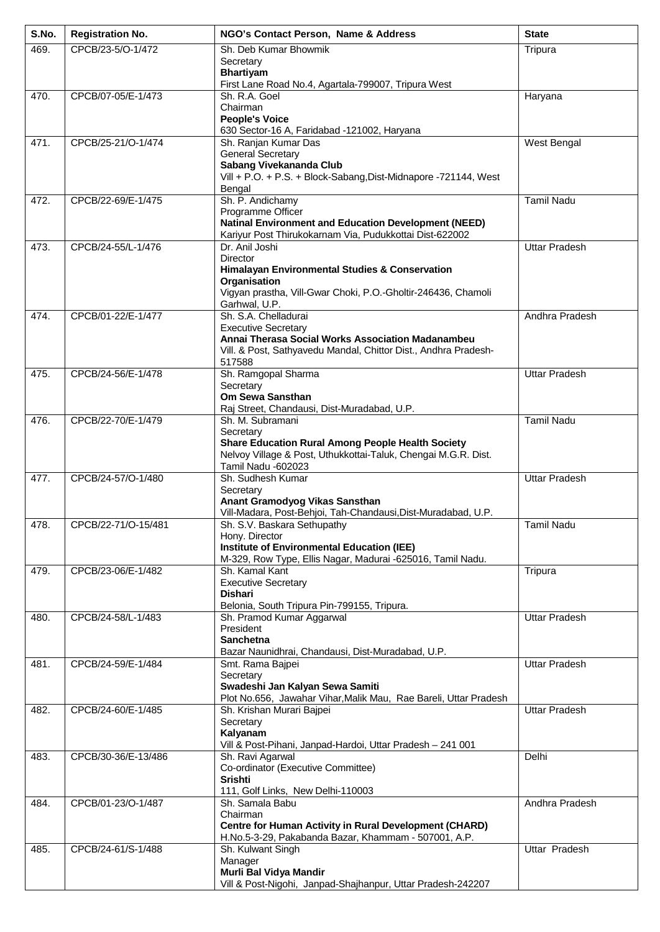| S.No. | <b>Registration No.</b> | NGO's Contact Person, Name & Address                                                                            | <b>State</b>         |
|-------|-------------------------|-----------------------------------------------------------------------------------------------------------------|----------------------|
| 469.  | CPCB/23-5/O-1/472       | Sh. Deb Kumar Bhowmik                                                                                           | Tripura              |
|       |                         | Secretary<br><b>Bhartiyam</b>                                                                                   |                      |
|       |                         | First Lane Road No.4, Agartala-799007, Tripura West                                                             |                      |
| 470.  | CPCB/07-05/E-1/473      | Sh. R.A. Goel                                                                                                   | Haryana              |
|       |                         | Chairman                                                                                                        |                      |
|       |                         | <b>People's Voice</b><br>630 Sector-16 A, Faridabad -121002, Haryana                                            |                      |
| 471.  | CPCB/25-21/O-1/474      | Sh. Ranjan Kumar Das                                                                                            | West Bengal          |
|       |                         | <b>General Secretary</b>                                                                                        |                      |
|       |                         | Sabang Vivekananda Club<br>Vill + P.O. + P.S. + Block-Sabang, Dist-Midnapore -721144, West                      |                      |
|       |                         | Bengal                                                                                                          |                      |
| 472.  | CPCB/22-69/E-1/475      | Sh. P. Andichamy                                                                                                | <b>Tamil Nadu</b>    |
|       |                         | Programme Officer<br><b>Natinal Environment and Education Development (NEED)</b>                                |                      |
|       |                         | Kariyur Post Thirukokarnam Via, Pudukkottai Dist-622002                                                         |                      |
| 473.  | CPCB/24-55/L-1/476      | Dr. Anil Joshi                                                                                                  | <b>Uttar Pradesh</b> |
|       |                         | <b>Director</b>                                                                                                 |                      |
|       |                         | Himalayan Environmental Studies & Conservation<br>Organisation                                                  |                      |
|       |                         | Vigyan prastha, Vill-Gwar Choki, P.O.-Gholtir-246436, Chamoli                                                   |                      |
|       |                         | Garhwal, U.P.                                                                                                   |                      |
| 474.  | CPCB/01-22/E-1/477      | Sh. S.A. Chelladurai<br><b>Executive Secretary</b>                                                              | Andhra Pradesh       |
|       |                         | Annai Therasa Social Works Association Madanambeu                                                               |                      |
|       |                         | Vill. & Post, Sathyavedu Mandal, Chittor Dist., Andhra Pradesh-                                                 |                      |
|       | CPCB/24-56/E-1/478      | 517588                                                                                                          | <b>Uttar Pradesh</b> |
| 475.  |                         | Sh. Ramgopal Sharma<br>Secretary                                                                                |                      |
|       |                         | Om Sewa Sansthan                                                                                                |                      |
|       |                         | Raj Street, Chandausi, Dist-Muradabad, U.P.                                                                     | <b>Tamil Nadu</b>    |
| 476.  | CPCB/22-70/E-1/479      | Sh. M. Subramani<br>Secretary                                                                                   |                      |
|       |                         | <b>Share Education Rural Among People Health Society</b>                                                        |                      |
|       |                         | Nelvoy Village & Post, Uthukkottai-Taluk, Chengai M.G.R. Dist.                                                  |                      |
| 477.  | CPCB/24-57/O-1/480      | Tamil Nadu -602023<br>Sh. Sudhesh Kumar                                                                         | <b>Uttar Pradesh</b> |
|       |                         | Secretary                                                                                                       |                      |
|       |                         | Anant Gramodyog Vikas Sansthan<br>Vill-Madara, Post-Behjoi, Tah-Chandausi, Dist-Muradabad, U.P.                 |                      |
| 478.  | CPCB/22-71/O-15/481     | Sh. S.V. Baskara Sethupathy                                                                                     | Tamil Nadu           |
|       |                         | Hony. Director                                                                                                  |                      |
|       |                         | <b>Institute of Environmental Education (IEE)</b><br>M-329, Row Type, Ellis Nagar, Madurai -625016, Tamil Nadu. |                      |
| 479.  | CPCB/23-06/E-1/482      | Sh. Kamal Kant                                                                                                  | Tripura              |
|       |                         | <b>Executive Secretary</b>                                                                                      |                      |
|       |                         | <b>Dishari</b>                                                                                                  |                      |
| 480.  | CPCB/24-58/L-1/483      | Belonia, South Tripura Pin-799155, Tripura.<br>Sh. Pramod Kumar Aggarwal                                        | <b>Uttar Pradesh</b> |
|       |                         | President                                                                                                       |                      |
|       |                         | <b>Sanchetna</b>                                                                                                |                      |
| 481.  | CPCB/24-59/E-1/484      | Bazar Naunidhrai, Chandausi, Dist-Muradabad, U.P.<br>Smt. Rama Bajpei                                           | <b>Uttar Pradesh</b> |
|       |                         | Secretary                                                                                                       |                      |
|       |                         | Swadeshi Jan Kalyan Sewa Samiti                                                                                 |                      |
| 482.  | CPCB/24-60/E-1/485      | Plot No.656, Jawahar Vihar, Malik Mau, Rae Bareli, Uttar Pradesh<br>Sh. Krishan Murari Bajpei                   | Uttar Pradesh        |
|       |                         | Secretary                                                                                                       |                      |
|       |                         | Kalyanam                                                                                                        |                      |
| 483.  | CPCB/30-36/E-13/486     | Vill & Post-Pihani, Janpad-Hardoi, Uttar Pradesh - 241 001<br>Sh. Ravi Agarwal                                  | Delhi                |
|       |                         | Co-ordinator (Executive Committee)                                                                              |                      |
|       |                         | <b>Srishti</b>                                                                                                  |                      |
| 484.  | CPCB/01-23/O-1/487      | 111, Golf Links, New Delhi-110003<br>Sh. Samala Babu                                                            | Andhra Pradesh       |
|       |                         | Chairman                                                                                                        |                      |
|       |                         | <b>Centre for Human Activity in Rural Development (CHARD)</b>                                                   |                      |
| 485.  | CPCB/24-61/S-1/488      | H.No.5-3-29, Pakabanda Bazar, Khammam - 507001, A.P.<br>Sh. Kulwant Singh                                       | Uttar Pradesh        |
|       |                         | Manager                                                                                                         |                      |
|       |                         | Murli Bal Vidya Mandir                                                                                          |                      |
|       |                         | Vill & Post-Nigohi, Janpad-Shajhanpur, Uttar Pradesh-242207                                                     |                      |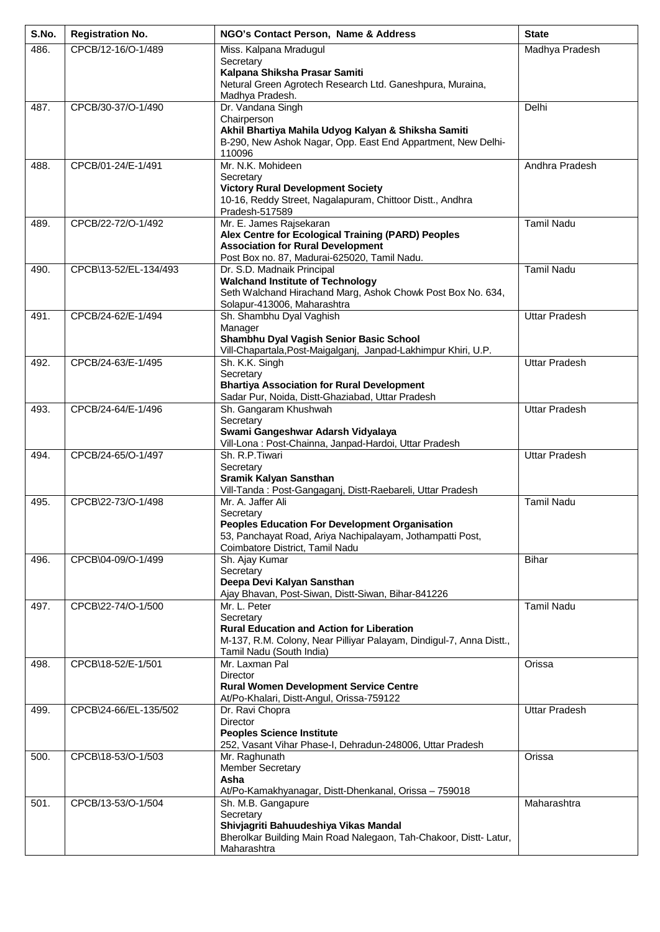| S.No. | <b>Registration No.</b> | NGO's Contact Person, Name & Address                                                                      | <b>State</b>         |
|-------|-------------------------|-----------------------------------------------------------------------------------------------------------|----------------------|
| 486.  | CPCB/12-16/O-1/489      | Miss. Kalpana Mradugul                                                                                    | Madhya Pradesh       |
|       |                         | Secretary<br>Kalpana Shiksha Prasar Samiti                                                                |                      |
|       |                         | Netural Green Agrotech Research Ltd. Ganeshpura, Muraina,                                                 |                      |
|       |                         | Madhya Pradesh.                                                                                           |                      |
| 487.  | CPCB/30-37/O-1/490      | Dr. Vandana Singh                                                                                         | Delhi                |
|       |                         | Chairperson<br>Akhil Bhartiya Mahila Udyog Kalyan & Shiksha Samiti                                        |                      |
|       |                         | B-290, New Ashok Nagar, Opp. East End Appartment, New Delhi-                                              |                      |
|       |                         | 110096                                                                                                    |                      |
| 488.  | CPCB/01-24/E-1/491      | Mr. N.K. Mohideen                                                                                         | Andhra Pradesh       |
|       |                         | Secretary<br><b>Victory Rural Development Society</b>                                                     |                      |
|       |                         | 10-16, Reddy Street, Nagalapuram, Chittoor Distt., Andhra                                                 |                      |
|       |                         | Pradesh-517589                                                                                            |                      |
| 489.  | CPCB/22-72/O-1/492      | Mr. E. James Rajsekaran                                                                                   | <b>Tamil Nadu</b>    |
|       |                         | Alex Centre for Ecological Training (PARD) Peoples<br><b>Association for Rural Development</b>            |                      |
|       |                         | Post Box no. 87, Madurai-625020, Tamil Nadu.                                                              |                      |
| 490.  | CPCB\13-52/EL-134/493   | Dr. S.D. Madnaik Principal                                                                                | <b>Tamil Nadu</b>    |
|       |                         | <b>Walchand Institute of Technology</b>                                                                   |                      |
|       |                         | Seth Walchand Hirachand Marg, Ashok Chowk Post Box No. 634,<br>Solapur-413006, Maharashtra                |                      |
| 491.  | CPCB/24-62/E-1/494      | Sh. Shambhu Dyal Vaghish                                                                                  | <b>Uttar Pradesh</b> |
|       |                         | Manager                                                                                                   |                      |
|       |                         | Shambhu Dyal Vagish Senior Basic School<br>Vill-Chapartala, Post-Maigalganj, Janpad-Lakhimpur Khiri, U.P. |                      |
| 492.  | CPCB/24-63/E-1/495      | Sh. K.K. Singh                                                                                            | <b>Uttar Pradesh</b> |
|       |                         | Secretary                                                                                                 |                      |
|       |                         | <b>Bhartiya Association for Rural Development</b>                                                         |                      |
| 493.  | CPCB/24-64/E-1/496      | Sadar Pur, Noida, Distt-Ghaziabad, Uttar Pradesh<br>Sh. Gangaram Khushwah                                 | <b>Uttar Pradesh</b> |
|       |                         | Secretary                                                                                                 |                      |
|       |                         | Swami Gangeshwar Adarsh Vidyalaya                                                                         |                      |
| 494.  | CPCB/24-65/O-1/497      | Vill-Lona: Post-Chainna, Janpad-Hardoi, Uttar Pradesh<br>Sh. R.P. Tiwari                                  | <b>Uttar Pradesh</b> |
|       |                         | Secretary                                                                                                 |                      |
|       |                         | Sramik Kalyan Sansthan                                                                                    |                      |
|       |                         | Vill-Tanda: Post-Gangaganj, Distt-Raebareli, Uttar Pradesh                                                |                      |
| 495.  | CPCB\22-73/O-1/498      | Mr. A. Jaffer Ali<br>Secretary                                                                            | <b>Tamil Nadu</b>    |
|       |                         | <b>Peoples Education For Development Organisation</b>                                                     |                      |
|       |                         | 53, Panchayat Road, Ariya Nachipalayam, Jothampatti Post,                                                 |                      |
| 496.  | CPCB\04-09/O-1/499      | Coimbatore District, Tamil Nadu<br>Sh. Ajay Kumar                                                         | <b>Bihar</b>         |
|       |                         | Secretary                                                                                                 |                      |
|       |                         | Deepa Devi Kalyan Sansthan                                                                                |                      |
|       |                         | Ajay Bhavan, Post-Siwan, Distt-Siwan, Bihar-841226                                                        |                      |
| 497.  | CPCB\22-74/O-1/500      | Mr. L. Peter<br>Secretary                                                                                 | <b>Tamil Nadu</b>    |
|       |                         | <b>Rural Education and Action for Liberation</b>                                                          |                      |
|       |                         | M-137, R.M. Colony, Near Pilliyar Palayam, Dindigul-7, Anna Distt.,                                       |                      |
| 498.  | CPCB\18-52/E-1/501      | Tamil Nadu (South India)<br>Mr. Laxman Pal                                                                | Orissa               |
|       |                         | Director                                                                                                  |                      |
|       |                         | <b>Rural Women Development Service Centre</b>                                                             |                      |
| 499.  | CPCB\24-66/EL-135/502   | At/Po-Khalari, Distt-Angul, Orissa-759122<br>Dr. Ravi Chopra                                              | <b>Uttar Pradesh</b> |
|       |                         | <b>Director</b>                                                                                           |                      |
|       |                         | <b>Peoples Science Institute</b>                                                                          |                      |
|       | CPCB\18-53/O-1/503      | 252, Vasant Vihar Phase-I, Dehradun-248006, Uttar Pradesh                                                 | Orissa               |
| 500.  |                         | Mr. Raghunath<br><b>Member Secretary</b>                                                                  |                      |
|       |                         | Asha                                                                                                      |                      |
|       |                         | At/Po-Kamakhyanagar, Distt-Dhenkanal, Orissa - 759018                                                     |                      |
| 501.  | CPCB/13-53/O-1/504      | Sh. M.B. Gangapure<br>Secretary                                                                           | Maharashtra          |
|       |                         | Shivjagriti Bahuudeshiya Vikas Mandal                                                                     |                      |
|       |                         | Bherolkar Building Main Road Nalegaon, Tah-Chakoor, Distt- Latur,                                         |                      |
|       |                         | Maharashtra                                                                                               |                      |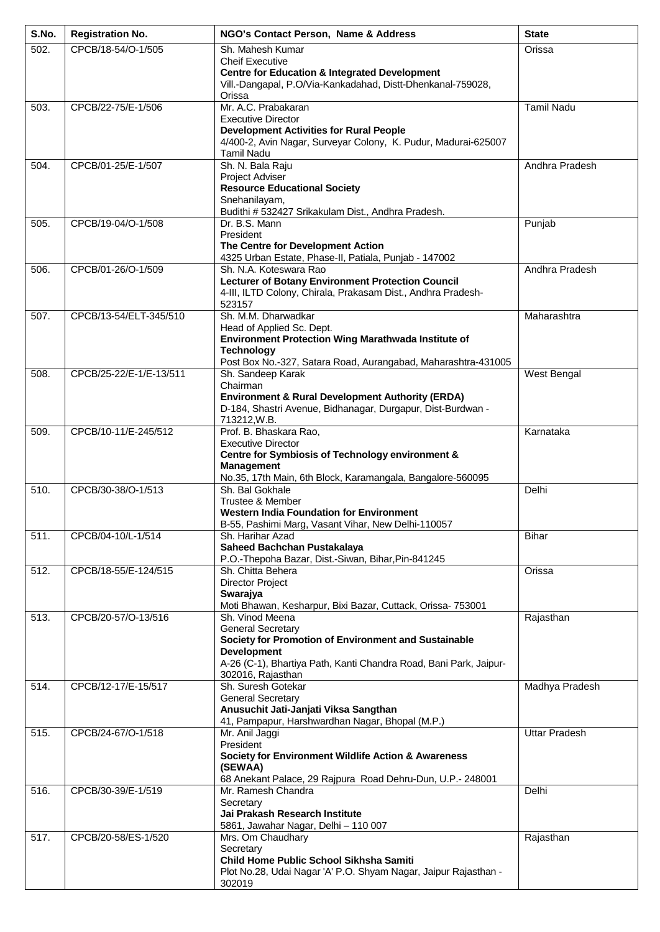| S.No.             | <b>Registration No.</b> | NGO's Contact Person, Name & Address                                                    | <b>State</b>         |
|-------------------|-------------------------|-----------------------------------------------------------------------------------------|----------------------|
| 502.              | CPCB/18-54/O-1/505      | Sh. Mahesh Kumar                                                                        | Orissa               |
|                   |                         | <b>Cheif Executive</b><br><b>Centre for Education &amp; Integrated Development</b>      |                      |
|                   |                         | Vill.-Dangapal, P.O/Via-Kankadahad, Distt-Dhenkanal-759028,                             |                      |
| 503.              | CPCB/22-75/E-1/506      | Orissa<br>Mr. A.C. Prabakaran                                                           | <b>Tamil Nadu</b>    |
|                   |                         | <b>Executive Director</b>                                                               |                      |
|                   |                         | <b>Development Activities for Rural People</b>                                          |                      |
|                   |                         | 4/400-2, Avin Nagar, Surveyar Colony, K. Pudur, Madurai-625007<br><b>Tamil Nadu</b>     |                      |
| 504.              | CPCB/01-25/E-1/507      | Sh. N. Bala Raju                                                                        | Andhra Pradesh       |
|                   |                         | Project Adviser                                                                         |                      |
|                   |                         | <b>Resource Educational Society</b><br>Snehanilayam,                                    |                      |
|                   |                         | Budithi # 532427 Srikakulam Dist., Andhra Pradesh.                                      |                      |
| 505.              | CPCB/19-04/O-1/508      | Dr. B.S. Mann                                                                           | Punjab               |
|                   |                         | President<br>The Centre for Development Action                                          |                      |
|                   |                         | 4325 Urban Estate, Phase-II, Patiala, Punjab - 147002                                   |                      |
| 506.              | CPCB/01-26/O-1/509      | Sh. N.A. Koteswara Rao<br><b>Lecturer of Botany Environment Protection Council</b>      | Andhra Pradesh       |
|                   |                         | 4-III, ILTD Colony, Chirala, Prakasam Dist., Andhra Pradesh-                            |                      |
|                   |                         | 523157                                                                                  |                      |
| 507.              | CPCB/13-54/ELT-345/510  | Sh. M.M. Dharwadkar<br>Head of Applied Sc. Dept.                                        | Maharashtra          |
|                   |                         | Environment Protection Wing Marathwada Institute of                                     |                      |
|                   |                         | <b>Technology</b>                                                                       |                      |
| 508.              | CPCB/25-22/E-1/E-13/511 | Post Box No.-327, Satara Road, Aurangabad, Maharashtra-431005<br>Sh. Sandeep Karak      | West Bengal          |
|                   |                         | Chairman                                                                                |                      |
|                   |                         | <b>Environment &amp; Rural Development Authority (ERDA)</b>                             |                      |
|                   |                         | D-184, Shastri Avenue, Bidhanagar, Durgapur, Dist-Burdwan -<br>713212, W.B.             |                      |
| 509.              | CPCB/10-11/E-245/512    | Prof. B. Bhaskara Rao,                                                                  | Karnataka            |
|                   |                         | <b>Executive Director</b><br>Centre for Symbiosis of Technology environment &           |                      |
|                   |                         | <b>Management</b>                                                                       |                      |
|                   |                         | No.35, 17th Main, 6th Block, Karamangala, Bangalore-560095                              |                      |
| $\overline{5}10.$ | CPCB/30-38/O-1/513      | Sh. Bal Gokhale<br>Trustee & Member                                                     | Delhi                |
|                   |                         | <b>Western India Foundation for Environment</b>                                         |                      |
| $\overline{5}11.$ |                         | B-55, Pashimi Marg, Vasant Vihar, New Delhi-110057<br>Sh. Harihar Azad                  |                      |
|                   | CPCB/04-10/L-1/514      | Saheed Bachchan Pustakalaya                                                             | <b>Bihar</b>         |
|                   |                         | P.O.-Thepoha Bazar, Dist.-Siwan, Bihar, Pin-841245                                      |                      |
| 512.              | CPCB/18-55/E-124/515    | Sh. Chitta Behera<br><b>Director Project</b>                                            | Orissa               |
|                   |                         | Swarajya                                                                                |                      |
|                   |                         | Moti Bhawan, Kesharpur, Bixi Bazar, Cuttack, Orissa- 753001                             |                      |
| 513.              | CPCB/20-57/O-13/516     | Sh. Vinod Meena<br><b>General Secretary</b>                                             | Rajasthan            |
|                   |                         | Society for Promotion of Environment and Sustainable                                    |                      |
|                   |                         | <b>Development</b><br>A-26 (C-1), Bhartiya Path, Kanti Chandra Road, Bani Park, Jaipur- |                      |
|                   |                         | 302016, Rajasthan                                                                       |                      |
| 514.              | CPCB/12-17/E-15/517     | Sh. Suresh Gotekar                                                                      | Madhya Pradesh       |
|                   |                         | <b>General Secretary</b><br>Anusuchit Jati-Janjati Viksa Sangthan                       |                      |
|                   |                         | 41, Pampapur, Harshwardhan Nagar, Bhopal (M.P.)                                         |                      |
| 515.              | CPCB/24-67/O-1/518      | Mr. Anil Jaggi                                                                          | <b>Uttar Pradesh</b> |
|                   |                         | President<br>Society for Environment Wildlife Action & Awareness                        |                      |
|                   |                         | (SEWAA)                                                                                 |                      |
| 516.              | CPCB/30-39/E-1/519      | 68 Anekant Palace, 29 Rajpura Road Dehru-Dun, U.P.- 248001<br>Mr. Ramesh Chandra        | Delhi                |
|                   |                         | Secretary                                                                               |                      |
|                   |                         | Jai Prakash Research Institute                                                          |                      |
| 517.              | CPCB/20-58/ES-1/520     | 5861, Jawahar Nagar, Delhi - 110 007<br>Mrs. Om Chaudhary                               | Rajasthan            |
|                   |                         | Secretary                                                                               |                      |
|                   |                         | Child Home Public School Sikhsha Samiti                                                 |                      |
|                   |                         | Plot No.28, Udai Nagar 'A' P.O. Shyam Nagar, Jaipur Rajasthan -<br>302019               |                      |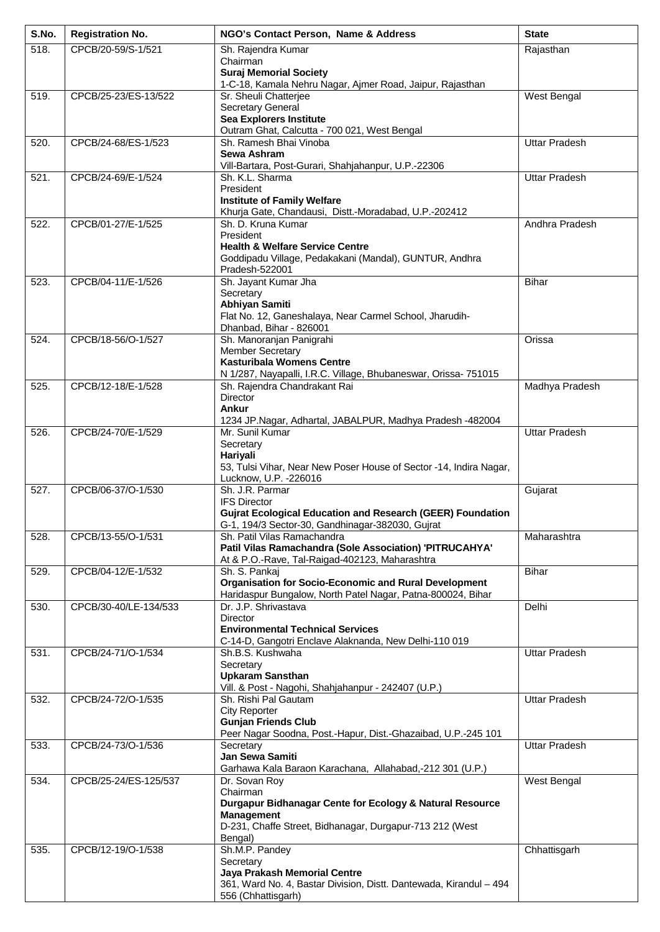| S.No. | <b>Registration No.</b> | NGO's Contact Person, Name & Address                                                                      | <b>State</b>         |
|-------|-------------------------|-----------------------------------------------------------------------------------------------------------|----------------------|
| 518.  | CPCB/20-59/S-1/521      | Sh. Rajendra Kumar                                                                                        | Rajasthan            |
|       |                         | Chairman<br><b>Suraj Memorial Society</b>                                                                 |                      |
|       |                         | 1-C-18, Kamala Nehru Nagar, Ajmer Road, Jaipur, Rajasthan                                                 |                      |
| 519.  | CPCB/25-23/ES-13/522    | Sr. Sheuli Chatterjee<br>Secretary General                                                                | West Bengal          |
|       |                         | <b>Sea Explorers Institute</b>                                                                            |                      |
|       |                         | Outram Ghat, Calcutta - 700 021, West Bengal                                                              |                      |
| 520.  | CPCB/24-68/ES-1/523     | Sh. Ramesh Bhai Vinoba<br>Sewa Ashram                                                                     | <b>Uttar Pradesh</b> |
|       |                         | Vill-Bartara, Post-Gurari, Shahjahanpur, U.P.-22306                                                       |                      |
| 521.  | CPCB/24-69/E-1/524      | Sh. K.L. Sharma                                                                                           | <b>Uttar Pradesh</b> |
|       |                         | President<br><b>Institute of Family Welfare</b>                                                           |                      |
|       |                         | Khurja Gate, Chandausi, Distt.-Moradabad, U.P.-202412                                                     |                      |
| 522.  | CPCB/01-27/E-1/525      | Sh. D. Kruna Kumar                                                                                        | Andhra Pradesh       |
|       |                         | President<br><b>Health &amp; Welfare Service Centre</b>                                                   |                      |
|       |                         | Goddipadu Village, Pedakakani (Mandal), GUNTUR, Andhra                                                    |                      |
| 523.  | CPCB/04-11/E-1/526      | Pradesh-522001<br>Sh. Jayant Kumar Jha                                                                    | <b>Bihar</b>         |
|       |                         | Secretary                                                                                                 |                      |
|       |                         | Abhiyan Samiti                                                                                            |                      |
|       |                         | Flat No. 12, Ganeshalaya, Near Carmel School, Jharudih-<br>Dhanbad, Bihar - 826001                        |                      |
| 524.  | CPCB/18-56/O-1/527      | Sh. Manoranjan Panigrahi                                                                                  | Orissa               |
|       |                         | <b>Member Secretary</b>                                                                                   |                      |
|       |                         | <b>Kasturibala Womens Centre</b><br>N 1/287, Nayapalli, I.R.C. Village, Bhubaneswar, Orissa- 751015       |                      |
| 525.  | CPCB/12-18/E-1/528      | Sh. Rajendra Chandrakant Rai                                                                              | Madhya Pradesh       |
|       |                         | <b>Director</b>                                                                                           |                      |
|       |                         | Ankur<br>1234 JP.Nagar, Adhartal, JABALPUR, Madhya Pradesh -482004                                        |                      |
| 526.  | CPCB/24-70/E-1/529      | Mr. Sunil Kumar                                                                                           | <b>Uttar Pradesh</b> |
|       |                         | Secretary<br>Hariyali                                                                                     |                      |
|       |                         | 53, Tulsi Vihar, Near New Poser House of Sector -14, Indira Nagar,                                        |                      |
|       |                         | Lucknow, U.P. - 226016                                                                                    |                      |
| 527.  | CPCB/06-37/O-1/530      | Sh. J.R. Parmar<br><b>IFS Director</b>                                                                    | Gujarat              |
|       |                         | <b>Gujrat Ecological Education and Research (GEER) Foundation</b>                                         |                      |
|       |                         | G-1, 194/3 Sector-30, Gandhinagar-382030, Gujrat                                                          |                      |
| 528.  | CPCB/13-55/O-1/531      | Sh. Patil Vilas Ramachandra<br>Patil Vilas Ramachandra (Sole Association) 'PITRUCAHYA'                    | Maharashtra          |
|       |                         | At & P.O.-Rave, Tal-Raigad-402123, Maharashtra                                                            |                      |
| 529.  | CPCB/04-12/E-1/532      | Sh. S. Pankaj<br><b>Organisation for Socio-Economic and Rural Development</b>                             | <b>Bihar</b>         |
|       |                         | Haridaspur Bungalow, North Patel Nagar, Patna-800024, Bihar                                               |                      |
| 530.  | CPCB/30-40/LE-134/533   | Dr. J.P. Shrivastava                                                                                      | Delhi                |
|       |                         | Director<br><b>Environmental Technical Services</b>                                                       |                      |
|       |                         | C-14-D, Gangotri Enclave Alaknanda, New Delhi-110 019                                                     |                      |
| 531.  | CPCB/24-71/O-1/534      | Sh.B.S. Kushwaha                                                                                          | <b>Uttar Pradesh</b> |
|       |                         | Secretary<br><b>Upkaram Sansthan</b>                                                                      |                      |
|       |                         | Vill. & Post - Nagohi, Shahjahanpur - 242407 (U.P.)                                                       |                      |
| 532.  | CPCB/24-72/O-1/535      | Sh. Rishi Pal Gautam                                                                                      | <b>Uttar Pradesh</b> |
|       |                         | <b>City Reporter</b><br><b>Gunjan Friends Club</b>                                                        |                      |
|       |                         | Peer Nagar Soodna, Post.-Hapur, Dist.-Ghazaibad, U.P.-245 101                                             |                      |
| 533.  | CPCB/24-73/O-1/536      | Secretary<br>Jan Sewa Samiti                                                                              | <b>Uttar Pradesh</b> |
|       |                         | Garhawa Kala Baraon Karachana, Allahabad,-212 301 (U.P.)                                                  |                      |
| 534.  | CPCB/25-24/ES-125/537   | Dr. Sovan Roy                                                                                             | West Bengal          |
|       |                         | Chairman<br>Durgapur Bidhanagar Cente for Ecology & Natural Resource                                      |                      |
|       |                         | <b>Management</b>                                                                                         |                      |
|       |                         | D-231, Chaffe Street, Bidhanagar, Durgapur-713 212 (West<br>Bengal)                                       |                      |
| 535.  | CPCB/12-19/O-1/538      | Sh.M.P. Pandey                                                                                            | Chhattisgarh         |
|       |                         | Secretary                                                                                                 |                      |
|       |                         | <b>Jaya Prakash Memorial Centre</b><br>361, Ward No. 4, Bastar Division, Distt. Dantewada, Kirandul - 494 |                      |
|       |                         | 556 (Chhattisgarh)                                                                                        |                      |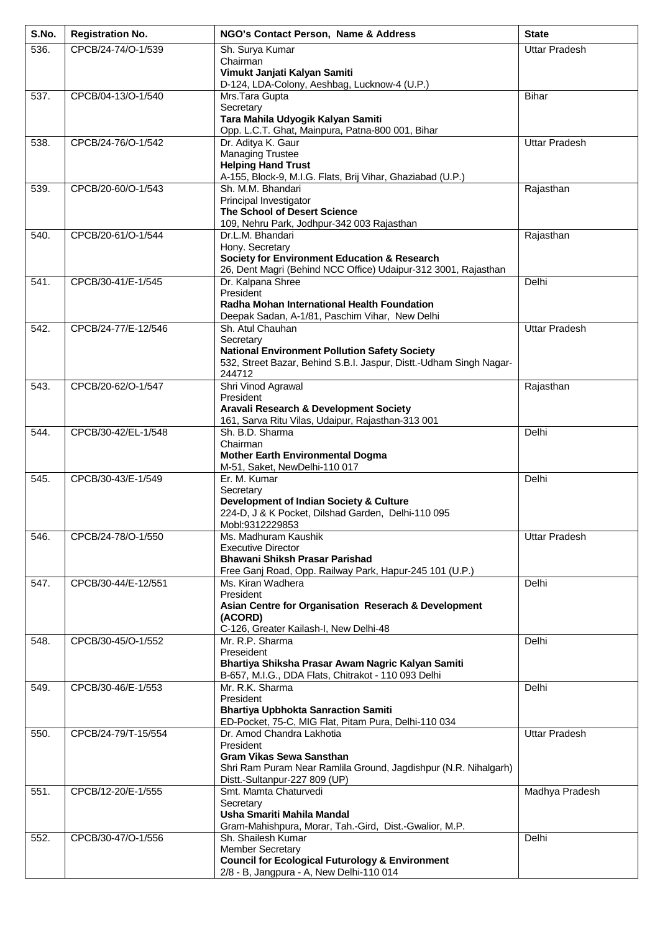| S.No. | <b>Registration No.</b> | NGO's Contact Person, Name & Address                                                               | <b>State</b>         |
|-------|-------------------------|----------------------------------------------------------------------------------------------------|----------------------|
| 536.  | CPCB/24-74/O-1/539      | Sh. Surya Kumar                                                                                    | <b>Uttar Pradesh</b> |
|       |                         | Chairman                                                                                           |                      |
|       |                         | Vimukt Janjati Kalyan Samiti<br>D-124, LDA-Colony, Aeshbag, Lucknow-4 (U.P.)                       |                      |
| 537.  | CPCB/04-13/O-1/540      | Mrs. Tara Gupta                                                                                    | <b>Bihar</b>         |
|       |                         | Secretary                                                                                          |                      |
|       |                         | Tara Mahila Udyogik Kalyan Samiti                                                                  |                      |
| 538.  | CPCB/24-76/O-1/542      | Opp. L.C.T. Ghat, Mainpura, Patna-800 001, Bihar<br>Dr. Aditya K. Gaur                             | <b>Uttar Pradesh</b> |
|       |                         | <b>Managing Trustee</b>                                                                            |                      |
|       |                         | <b>Helping Hand Trust</b>                                                                          |                      |
|       | CPCB/20-60/O-1/543      | A-155, Block-9, M.I.G. Flats, Brij Vihar, Ghaziabad (U.P.)<br>Sh. M.M. Bhandari                    |                      |
| 539.  |                         | Principal Investigator                                                                             | Rajasthan            |
|       |                         | <b>The School of Desert Science</b>                                                                |                      |
|       |                         | 109, Nehru Park, Jodhpur-342 003 Rajasthan                                                         |                      |
| 540.  | CPCB/20-61/O-1/544      | Dr.L.M. Bhandari<br>Hony. Secretary                                                                | Rajasthan            |
|       |                         | <b>Society for Environment Education &amp; Research</b>                                            |                      |
|       |                         | 26, Dent Magri (Behind NCC Office) Udaipur-312 3001, Rajasthan                                     |                      |
| 541.  | CPCB/30-41/E-1/545      | Dr. Kalpana Shree                                                                                  | Delhi                |
|       |                         | President<br>Radha Mohan International Health Foundation                                           |                      |
|       |                         | Deepak Sadan, A-1/81, Paschim Vihar, New Delhi                                                     |                      |
| 542.  | CPCB/24-77/E-12/546     | Sh. Atul Chauhan                                                                                   | <b>Uttar Pradesh</b> |
|       |                         | Secretary<br><b>National Environment Pollution Safety Society</b>                                  |                      |
|       |                         | 532, Street Bazar, Behind S.B.I. Jaspur, Distt.-Udham Singh Nagar-                                 |                      |
|       |                         | 244712                                                                                             |                      |
| 543.  | CPCB/20-62/O-1/547      | Shri Vinod Agrawal                                                                                 | Rajasthan            |
|       |                         | President<br>Aravali Research & Development Society                                                |                      |
|       |                         | 161, Sarva Ritu Vilas, Udaipur, Rajasthan-313 001                                                  |                      |
| 544.  | CPCB/30-42/EL-1/548     | Sh. B.D. Sharma                                                                                    | Delhi                |
|       |                         | Chairman                                                                                           |                      |
|       |                         | <b>Mother Earth Environmental Dogma</b><br>M-51, Saket, NewDelhi-110 017                           |                      |
| 545.  | CPCB/30-43/E-1/549      | Er. M. Kumar                                                                                       | Delhi                |
|       |                         | Secretary                                                                                          |                      |
|       |                         | Development of Indian Society & Culture<br>224-D, J & K Pocket, Dilshad Garden, Delhi-110 095      |                      |
|       |                         | Mobl:9312229853                                                                                    |                      |
| 546.  | CPCB/24-78/O-1/550      | Ms. Madhuram Kaushik                                                                               | <b>Uttar Pradesh</b> |
|       |                         | <b>Executive Director</b><br>Bhawani Shiksh Prasar Parishad                                        |                      |
|       |                         | Free Ganj Road, Opp. Railway Park, Hapur-245 101 (U.P.)                                            |                      |
| 547.  | CPCB/30-44/E-12/551     | Ms. Kiran Wadhera                                                                                  | Delhi                |
|       |                         | President                                                                                          |                      |
|       |                         | Asian Centre for Organisation Reserach & Development<br>(ACORD)                                    |                      |
|       |                         | C-126, Greater Kailash-I, New Delhi-48                                                             |                      |
| 548.  | CPCB/30-45/O-1/552      | Mr. R.P. Sharma                                                                                    | Delhi                |
|       |                         | Preseident<br>Bhartiya Shiksha Prasar Awam Nagric Kalyan Samiti                                    |                      |
|       |                         | B-657, M.I.G., DDA Flats, Chitrakot - 110 093 Delhi                                                |                      |
| 549.  | CPCB/30-46/E-1/553      | Mr. R.K. Sharma                                                                                    | Delhi                |
|       |                         | President<br><b>Bhartiya Upbhokta Sanraction Samiti</b>                                            |                      |
|       |                         | ED-Pocket, 75-C, MIG Flat, Pitam Pura, Delhi-110 034                                               |                      |
| 550.  | CPCB/24-79/T-15/554     | Dr. Amod Chandra Lakhotia                                                                          | <b>Uttar Pradesh</b> |
|       |                         | President                                                                                          |                      |
|       |                         | <b>Gram Vikas Sewa Sansthan</b><br>Shri Ram Puram Near Ramlila Ground, Jagdishpur (N.R. Nihalgarh) |                      |
|       |                         | Distt.-Sultanpur-227 809 (UP)                                                                      |                      |
| 551.  | CPCB/12-20/E-1/555      | Smt. Mamta Chaturvedi                                                                              | Madhya Pradesh       |
|       |                         | Secretary                                                                                          |                      |
|       |                         | Usha Smariti Mahila Mandal<br>Gram-Mahishpura, Morar, Tah.-Gird, Dist.-Gwalior, M.P.               |                      |
| 552.  | CPCB/30-47/O-1/556      | Sh. Shailesh Kumar                                                                                 | Delhi                |
|       |                         | <b>Member Secretary</b>                                                                            |                      |
|       |                         | <b>Council for Ecological Futurology &amp; Environment</b>                                         |                      |
|       |                         | 2/8 - B, Jangpura - A, New Delhi-110 014                                                           |                      |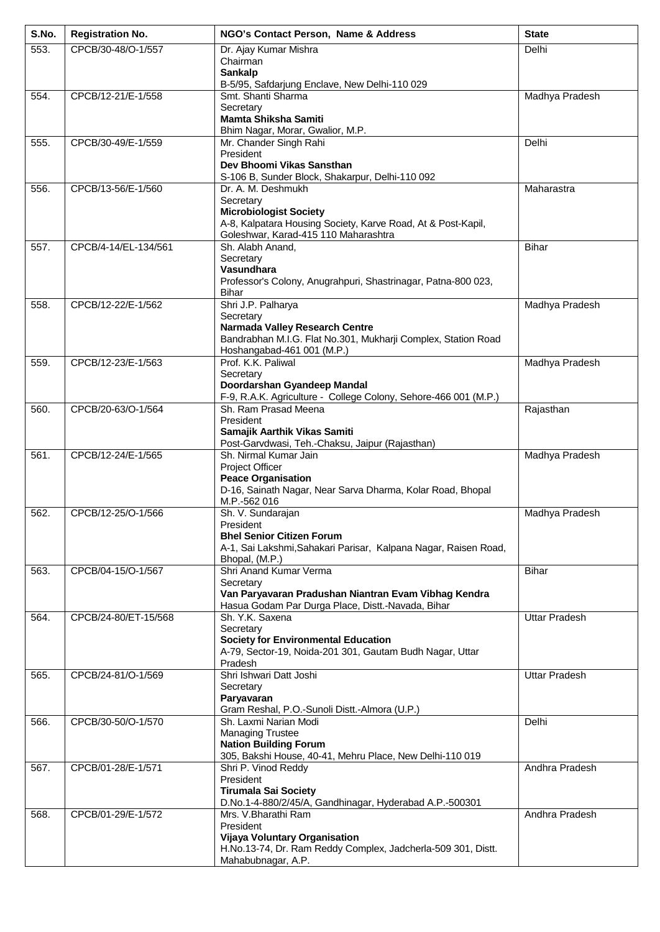| S.No. | <b>Registration No.</b> | NGO's Contact Person, Name & Address                                                                                                                                     | <b>State</b>         |
|-------|-------------------------|--------------------------------------------------------------------------------------------------------------------------------------------------------------------------|----------------------|
| 553.  | CPCB/30-48/O-1/557      | Dr. Ajay Kumar Mishra<br>Chairman<br><b>Sankalp</b>                                                                                                                      | Delhi                |
|       |                         | B-5/95, Safdarjung Enclave, New Delhi-110 029                                                                                                                            |                      |
| 554.  | CPCB/12-21/E-1/558      | Smt. Shanti Sharma<br>Secretary<br><b>Mamta Shiksha Samiti</b>                                                                                                           | Madhya Pradesh       |
| 555.  | CPCB/30-49/E-1/559      | Bhim Nagar, Morar, Gwalior, M.P.<br>Mr. Chander Singh Rahi                                                                                                               | Delhi                |
|       |                         | President<br>Dev Bhoomi Vikas Sansthan<br>S-106 B, Sunder Block, Shakarpur, Delhi-110 092                                                                                |                      |
| 556.  | CPCB/13-56/E-1/560      | Dr. A. M. Deshmukh<br>Secretary<br><b>Microbiologist Society</b><br>A-8, Kalpatara Housing Society, Karve Road, At & Post-Kapil,<br>Goleshwar, Karad-415 110 Maharashtra | Maharastra           |
| 557.  | CPCB/4-14/EL-134/561    | Sh. Alabh Anand,<br>Secretary<br>Vasundhara<br>Professor's Colony, Anugrahpuri, Shastrinagar, Patna-800 023,<br>Bihar                                                    | <b>Bihar</b>         |
| 558.  | CPCB/12-22/E-1/562      | Shri J.P. Palharya<br>Secretary<br>Narmada Valley Research Centre<br>Bandrabhan M.I.G. Flat No.301, Mukharji Complex, Station Road<br>Hoshangabad-461 001 (M.P.)         | Madhya Pradesh       |
| 559.  | CPCB/12-23/E-1/563      | Prof. K.K. Paliwal<br>Secretary<br>Doordarshan Gyandeep Mandal<br>F-9, R.A.K. Agriculture - College Colony, Sehore-466 001 (M.P.)                                        | Madhya Pradesh       |
| 560.  | CPCB/20-63/O-1/564      | Sh. Ram Prasad Meena<br>President<br>Samajik Aarthik Vikas Samiti<br>Post-Garvdwasi, Teh.-Chaksu, Jaipur (Rajasthan)                                                     | Rajasthan            |
| 561.  | CPCB/12-24/E-1/565      | Sh. Nirmal Kumar Jain<br>Project Officer<br><b>Peace Organisation</b><br>D-16, Sainath Nagar, Near Sarva Dharma, Kolar Road, Bhopal<br>M.P.-562 016                      | Madhya Pradesh       |
| 562.  | CPCB/12-25/O-1/566      | Sh. V. Sundarajan<br>President<br><b>Bhel Senior Citizen Forum</b><br>A-1, Sai Lakshmi, Sahakari Parisar, Kalpana Nagar, Raisen Road,<br>Bhopal, (M.P.)                  | Madhya Pradesh       |
| 563.  | CPCB/04-15/O-1/567      | Shri Anand Kumar Verma<br>Secretary<br>Van Paryavaran Pradushan Niantran Evam Vibhag Kendra<br>Hasua Godam Par Durga Place, Distt.-Navada, Bihar                         | <b>Bihar</b>         |
| 564.  | CPCB/24-80/ET-15/568    | Sh. Y.K. Saxena<br>Secretary<br><b>Society for Environmental Education</b><br>A-79, Sector-19, Noida-201 301, Gautam Budh Nagar, Uttar<br>Pradesh                        | <b>Uttar Pradesh</b> |
| 565.  | CPCB/24-81/O-1/569      | Shri Ishwari Datt Joshi<br>Secretary<br>Paryavaran<br>Gram Reshal, P.O.-Sunoli Distt.-Almora (U.P.)                                                                      | <b>Uttar Pradesh</b> |
| 566.  | CPCB/30-50/O-1/570      | Sh. Laxmi Narian Modi<br><b>Managing Trustee</b><br><b>Nation Building Forum</b><br>305, Bakshi House, 40-41, Mehru Place, New Delhi-110 019                             | Delhi                |
| 567.  | CPCB/01-28/E-1/571      | Shri P. Vinod Reddy<br>President<br><b>Tirumala Sai Society</b><br>D.No.1-4-880/2/45/A, Gandhinagar, Hyderabad A.P.-500301                                               | Andhra Pradesh       |
| 568.  | CPCB/01-29/E-1/572      | Mrs. V.Bharathi Ram<br>President<br>Vijaya Voluntary Organisation<br>H.No.13-74, Dr. Ram Reddy Complex, Jadcherla-509 301, Distt.<br>Mahabubnagar, A.P.                  | Andhra Pradesh       |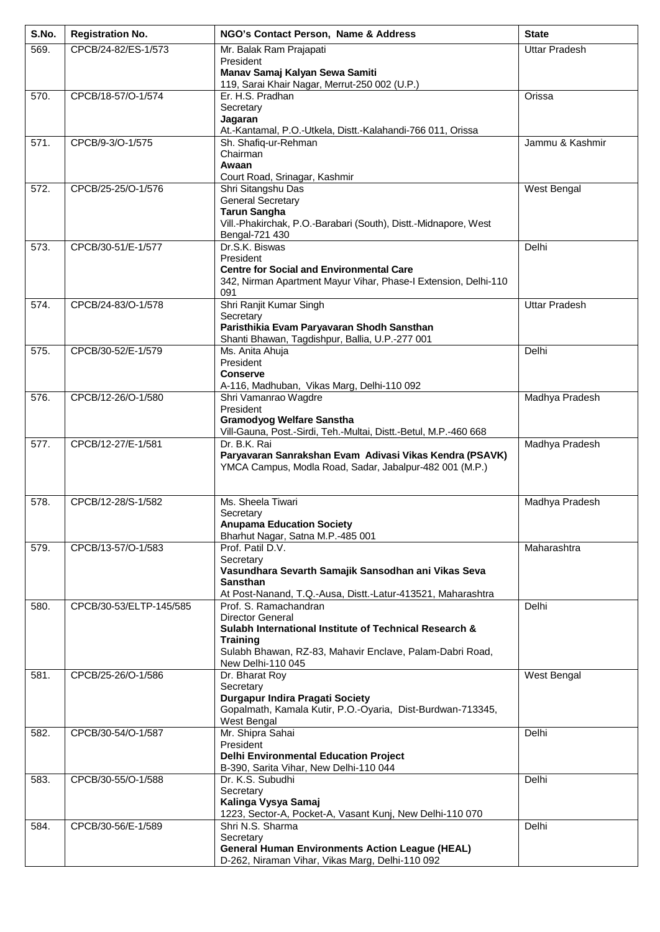| S.No. | <b>Registration No.</b> | NGO's Contact Person, Name & Address                                                   | <b>State</b>         |
|-------|-------------------------|----------------------------------------------------------------------------------------|----------------------|
| 569.  | CPCB/24-82/ES-1/573     | Mr. Balak Ram Prajapati                                                                | <b>Uttar Pradesh</b> |
|       |                         | President<br>Manav Samaj Kalyan Sewa Samiti                                            |                      |
|       |                         | 119, Sarai Khair Nagar, Merrut-250 002 (U.P.)                                          |                      |
| 570.  | CPCB/18-57/O-1/574      | Er. H.S. Pradhan                                                                       | Orissa               |
|       |                         | Secretary<br>Jagaran                                                                   |                      |
|       |                         | At.-Kantamal, P.O.-Utkela, Distt.-Kalahandi-766 011, Orissa                            |                      |
| 571.  | CPCB/9-3/O-1/575        | Sh. Shafiq-ur-Rehman                                                                   | Jammu & Kashmir      |
|       |                         | Chairman<br>Awaan                                                                      |                      |
|       |                         | Court Road, Srinagar, Kashmir                                                          |                      |
| 572.  | CPCB/25-25/O-1/576      | Shri Sitangshu Das                                                                     | West Bengal          |
|       |                         | <b>General Secretary</b>                                                               |                      |
|       |                         | <b>Tarun Sangha</b><br>Vill.-Phakirchak, P.O.-Barabari (South), Distt.-Midnapore, West |                      |
|       |                         | Bengal-721 430                                                                         |                      |
| 573.  | CPCB/30-51/E-1/577      | Dr.S.K. Biswas                                                                         | Delhi                |
|       |                         | President<br><b>Centre for Social and Environmental Care</b>                           |                      |
|       |                         | 342, Nirman Apartment Mayur Vihar, Phase-I Extension, Delhi-110                        |                      |
|       |                         | 091                                                                                    |                      |
| 574.  | CPCB/24-83/O-1/578      | Shri Ranjit Kumar Singh<br>Secretary                                                   | <b>Uttar Pradesh</b> |
|       |                         | Paristhikia Evam Paryavaran Shodh Sansthan                                             |                      |
|       |                         | Shanti Bhawan, Tagdishpur, Ballia, U.P.-277 001                                        |                      |
| 575.  | CPCB/30-52/E-1/579      | Ms. Anita Ahuja<br>President                                                           | Delhi                |
|       |                         | <b>Conserve</b>                                                                        |                      |
|       |                         | A-116, Madhuban, Vikas Marg, Delhi-110 092                                             |                      |
| 576.  | CPCB/12-26/O-1/580      | Shri Vamanrao Wagdre<br>President                                                      | Madhya Pradesh       |
|       |                         | <b>Gramodyog Welfare Sanstha</b>                                                       |                      |
|       |                         | Vill-Gauna, Post.-Sirdi, Teh.-Multai, Distt.-Betul, M.P.-460 668                       |                      |
| 577.  | CPCB/12-27/E-1/581      | Dr. B.K. Rai<br>Paryavaran Sanrakshan Evam Adivasi Vikas Kendra (PSAVK)                | Madhya Pradesh       |
|       |                         | YMCA Campus, Modla Road, Sadar, Jabalpur-482 001 (M.P.)                                |                      |
|       |                         |                                                                                        |                      |
| 578.  | CPCB/12-28/S-1/582      | Ms. Sheela Tiwari                                                                      | Madhya Pradesh       |
|       |                         | Secretary                                                                              |                      |
|       |                         | <b>Anupama Education Society</b>                                                       |                      |
| 579.  | CPCB/13-57/O-1/583      | Bharhut Nagar, Satna M.P.-485 001<br>Prof. Patil D.V.                                  | Maharashtra          |
|       |                         | Secretary                                                                              |                      |
|       |                         | Vasundhara Sevarth Samajik Sansodhan ani Vikas Seva                                    |                      |
|       |                         | <b>Sansthan</b><br>At Post-Nanand, T.Q.-Ausa, Distt.-Latur-413521, Maharashtra         |                      |
| 580.  | CPCB/30-53/ELTP-145/585 | Prof. S. Ramachandran                                                                  | Delhi                |
|       |                         | Director General                                                                       |                      |
|       |                         | Sulabh International Institute of Technical Research &<br><b>Training</b>              |                      |
|       |                         | Sulabh Bhawan, RZ-83, Mahavir Enclave, Palam-Dabri Road,                               |                      |
|       |                         | New Delhi-110 045                                                                      |                      |
| 581.  | CPCB/25-26/O-1/586      | Dr. Bharat Roy<br>Secretary                                                            | West Bengal          |
|       |                         | Durgapur Indira Pragati Society                                                        |                      |
|       |                         | Gopalmath, Kamala Kutir, P.O.-Oyaria, Dist-Burdwan-713345,                             |                      |
| 582.  | CPCB/30-54/O-1/587      | West Bengal<br>Mr. Shipra Sahai                                                        | Delhi                |
|       |                         | President                                                                              |                      |
|       |                         | <b>Delhi Environmental Education Project</b>                                           |                      |
| 583.  | CPCB/30-55/O-1/588      | B-390, Sarita Vihar, New Delhi-110 044<br>Dr. K.S. Subudhi                             | Delhi                |
|       |                         | Secretary                                                                              |                      |
|       |                         | Kalinga Vysya Samaj                                                                    |                      |
| 584.  | CPCB/30-56/E-1/589      | 1223, Sector-A, Pocket-A, Vasant Kunj, New Delhi-110 070<br>Shri N.S. Sharma           | Delhi                |
|       |                         | Secretary                                                                              |                      |
|       |                         | <b>General Human Environments Action League (HEAL)</b>                                 |                      |
|       |                         | D-262, Niraman Vihar, Vikas Marg, Delhi-110 092                                        |                      |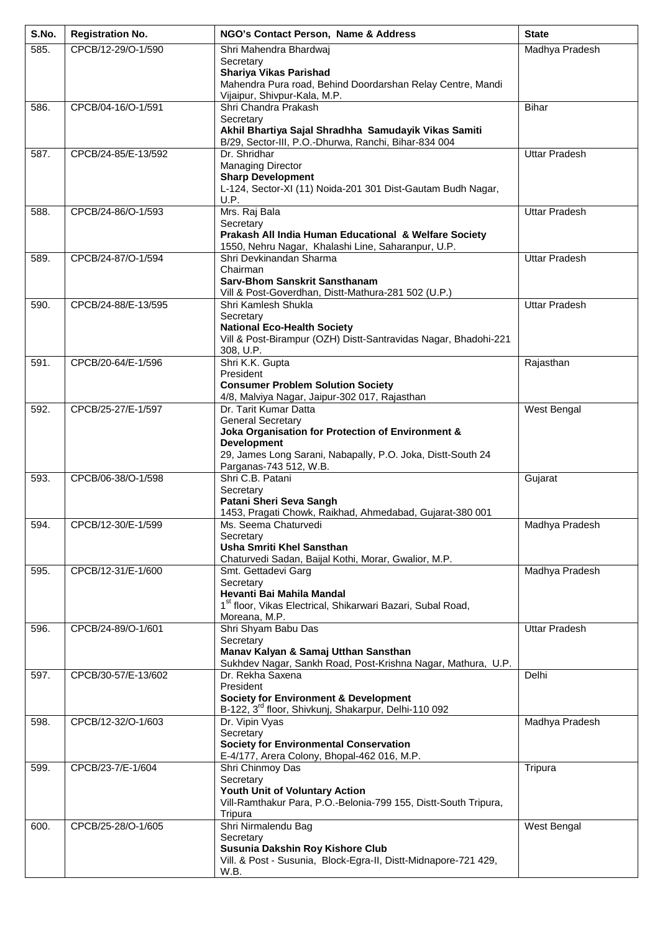| S.No. | <b>Registration No.</b> | NGO's Contact Person, Name & Address                                                                  | <b>State</b>         |
|-------|-------------------------|-------------------------------------------------------------------------------------------------------|----------------------|
| 585.  | CPCB/12-29/O-1/590      | Shri Mahendra Bhardwaj                                                                                | Madhya Pradesh       |
|       |                         | Secretary                                                                                             |                      |
|       |                         | Shariya Vikas Parishad<br>Mahendra Pura road, Behind Doordarshan Relay Centre, Mandi                  |                      |
|       |                         | Vijaipur, Shivpur-Kala, M.P.                                                                          |                      |
| 586.  | CPCB/04-16/O-1/591      | Shri Chandra Prakash                                                                                  | <b>Bihar</b>         |
|       |                         | Secretary                                                                                             |                      |
|       |                         | Akhil Bhartiya Sajal Shradhha Samudayik Vikas Samiti                                                  |                      |
| 587.  | CPCB/24-85/E-13/592     | B/29, Sector-III, P.O.-Dhurwa, Ranchi, Bihar-834 004<br>Dr. Shridhar                                  | <b>Uttar Pradesh</b> |
|       |                         | <b>Managing Director</b>                                                                              |                      |
|       |                         | <b>Sharp Development</b>                                                                              |                      |
|       |                         | L-124, Sector-XI (11) Noida-201 301 Dist-Gautam Budh Nagar,                                           |                      |
| 588.  | CPCB/24-86/O-1/593      | U.P.<br>Mrs. Raj Bala                                                                                 | <b>Uttar Pradesh</b> |
|       |                         | Secretary                                                                                             |                      |
|       |                         | Prakash All India Human Educational & Welfare Society                                                 |                      |
|       |                         | 1550, Nehru Nagar, Khalashi Line, Saharanpur, U.P.                                                    |                      |
| 589.  | CPCB/24-87/O-1/594      | Shri Devkinandan Sharma<br>Chairman                                                                   | <b>Uttar Pradesh</b> |
|       |                         | <b>Sarv-Bhom Sanskrit Sansthanam</b>                                                                  |                      |
|       |                         | Vill & Post-Goverdhan, Distt-Mathura-281 502 (U.P.)                                                   |                      |
| 590.  | CPCB/24-88/E-13/595     | Shri Kamlesh Shukla                                                                                   | <b>Uttar Pradesh</b> |
|       |                         | Secretary                                                                                             |                      |
|       |                         | <b>National Eco-Health Society</b><br>Vill & Post-Birampur (OZH) Distt-Santravidas Nagar, Bhadohi-221 |                      |
|       |                         | 308, U.P.                                                                                             |                      |
| 591.  | CPCB/20-64/E-1/596      | Shri K.K. Gupta                                                                                       | Rajasthan            |
|       |                         | President                                                                                             |                      |
|       |                         | <b>Consumer Problem Solution Society</b><br>4/8, Malviya Nagar, Jaipur-302 017, Rajasthan             |                      |
| 592.  | CPCB/25-27/E-1/597      | Dr. Tarit Kumar Datta                                                                                 | West Bengal          |
|       |                         | <b>General Secretary</b>                                                                              |                      |
|       |                         | Joka Organisation for Protection of Environment &                                                     |                      |
|       |                         | <b>Development</b>                                                                                    |                      |
|       |                         | 29, James Long Sarani, Nabapally, P.O. Joka, Distt-South 24<br>Parganas-743 512, W.B.                 |                      |
| 593.  | CPCB/06-38/O-1/598      | Shri C.B. Patani                                                                                      | Gujarat              |
|       |                         | Secretary                                                                                             |                      |
|       |                         | Patani Sheri Seva Sangh                                                                               |                      |
| 594.  | CPCB/12-30/E-1/599      | 1453, Pragati Chowk, Raikhad, Ahmedabad, Gujarat-380 001<br>Ms. Seema Chaturvedi                      | Madhya Pradesh       |
|       |                         | Secretary                                                                                             |                      |
|       |                         | <b>Usha Smriti Khel Sansthan</b>                                                                      |                      |
|       |                         | Chaturvedi Sadan, Baijal Kothi, Morar, Gwalior, M.P.                                                  |                      |
| 595.  | CPCB/12-31/E-1/600      | Smt. Gettadevi Garg<br>Secretary                                                                      | Madhya Pradesh       |
|       |                         | Hevanti Bai Mahila Mandal                                                                             |                      |
|       |                         | 1 <sup>st</sup> floor, Vikas Electrical, Shikarwari Bazari, Subal Road,                               |                      |
|       |                         | Moreana, M.P.                                                                                         |                      |
| 596.  | CPCB/24-89/O-1/601      | Shri Shyam Babu Das<br>Secretary                                                                      | <b>Uttar Pradesh</b> |
|       |                         | Manav Kalyan & Samaj Utthan Sansthan                                                                  |                      |
|       |                         | Sukhdev Nagar, Sankh Road, Post-Krishna Nagar, Mathura, U.P.                                          |                      |
| 597.  | CPCB/30-57/E-13/602     | Dr. Rekha Saxena                                                                                      | Delhi                |
|       |                         | President<br><b>Society for Environment &amp; Development</b>                                         |                      |
|       |                         | B-122, 3 <sup>rd</sup> floor, Shivkunj, Shakarpur, Delhi-110 092                                      |                      |
| 598.  | CPCB/12-32/O-1/603      | Dr. Vipin Vyas                                                                                        | Madhya Pradesh       |
|       |                         | Secretary                                                                                             |                      |
|       |                         | <b>Society for Environmental Conservation</b><br>E-4/177, Arera Colony, Bhopal-462 016, M.P.          |                      |
| 599.  | CPCB/23-7/E-1/604       | Shri Chinmoy Das                                                                                      | Tripura              |
|       |                         | Secretary                                                                                             |                      |
|       |                         | Youth Unit of Voluntary Action                                                                        |                      |
|       |                         | Vill-Ramthakur Para, P.O.-Belonia-799 155, Distt-South Tripura,                                       |                      |
| 600.  | CPCB/25-28/O-1/605      | Tripura<br>Shri Nirmalendu Bag                                                                        | West Bengal          |
|       |                         | Secretary                                                                                             |                      |
|       |                         | Susunia Dakshin Roy Kishore Club                                                                      |                      |
|       |                         | Vill. & Post - Susunia, Block-Egra-II, Distt-Midnapore-721 429,                                       |                      |
|       |                         | W.B.                                                                                                  |                      |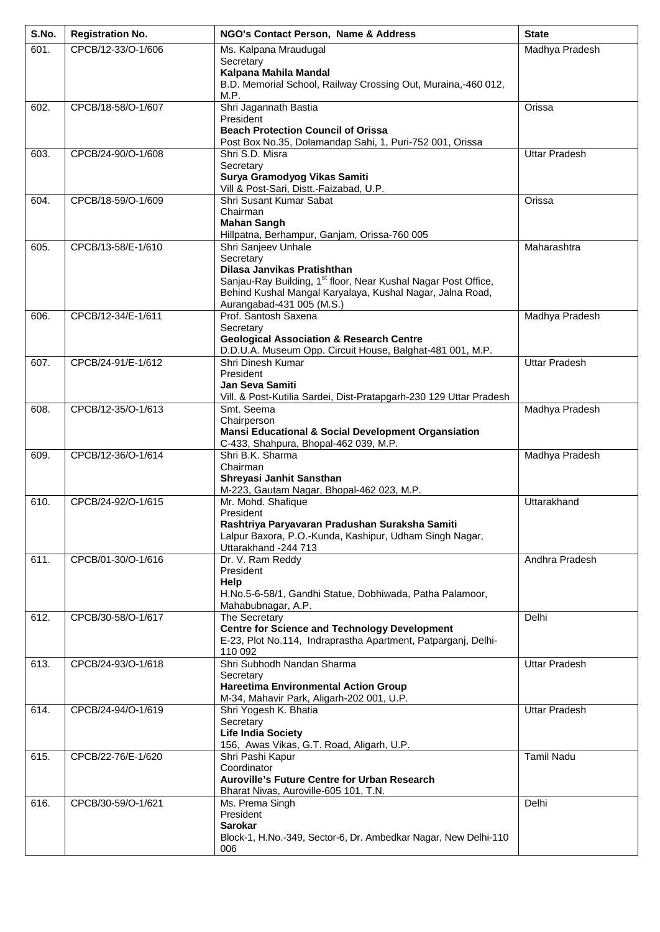| S.No. | <b>Registration No.</b> | NGO's Contact Person, Name & Address                                                                  | <b>State</b>         |
|-------|-------------------------|-------------------------------------------------------------------------------------------------------|----------------------|
| 601.  | CPCB/12-33/O-1/606      | Ms. Kalpana Mraudugal                                                                                 | Madhya Pradesh       |
|       |                         | Secretary                                                                                             |                      |
|       |                         | Kalpana Mahila Mandal<br>B.D. Memorial School, Railway Crossing Out, Muraina,-460 012,                |                      |
|       |                         | M.P.                                                                                                  |                      |
| 602.  | CPCB/18-58/O-1/607      | Shri Jagannath Bastia                                                                                 | Orissa               |
|       |                         | President                                                                                             |                      |
|       |                         | <b>Beach Protection Council of Orissa</b><br>Post Box No.35, Dolamandap Sahi, 1, Puri-752 001, Orissa |                      |
| 603.  | CPCB/24-90/O-1/608      | Shri S.D. Misra                                                                                       | <b>Uttar Pradesh</b> |
|       |                         | Secretary                                                                                             |                      |
|       |                         | Surya Gramodyog Vikas Samiti                                                                          |                      |
| 604.  | CPCB/18-59/O-1/609      | Vill & Post-Sari, Distt.-Faizabad, U.P.<br>Shri Susant Kumar Sabat                                    | Orissa               |
|       |                         | Chairman                                                                                              |                      |
|       |                         | <b>Mahan Sangh</b>                                                                                    |                      |
|       |                         | Hillpatna, Berhampur, Ganjam, Orissa-760 005                                                          |                      |
| 605.  | CPCB/13-58/E-1/610      | Shri Sanjeev Unhale<br>Secretary                                                                      | Maharashtra          |
|       |                         | Dilasa Janvikas Pratishthan                                                                           |                      |
|       |                         | Sanjau-Ray Building, 1 <sup>st</sup> floor, Near Kushal Nagar Post Office,                            |                      |
|       |                         | Behind Kushal Mangal Karyalaya, Kushal Nagar, Jalna Road,                                             |                      |
| 606.  | CPCB/12-34/E-1/611      | Aurangabad-431 005 (M.S.)<br>Prof. Santosh Saxena                                                     | Madhya Pradesh       |
|       |                         | Secretary                                                                                             |                      |
|       |                         | <b>Geological Association &amp; Research Centre</b>                                                   |                      |
|       |                         | D.D.U.A. Museum Opp. Circuit House, Balghat-481 001, M.P.                                             |                      |
| 607.  | CPCB/24-91/E-1/612      | Shri Dinesh Kumar<br>President                                                                        | <b>Uttar Pradesh</b> |
|       |                         | <b>Jan Seva Samiti</b>                                                                                |                      |
|       |                         | Vill. & Post-Kutilia Sardei, Dist-Pratapgarh-230 129 Uttar Pradesh                                    |                      |
| 608.  | CPCB/12-35/O-1/613      | Smt. Seema                                                                                            | Madhya Pradesh       |
|       |                         | Chairperson<br><b>Mansi Educational &amp; Social Development Organsiation</b>                         |                      |
|       |                         | C-433, Shahpura, Bhopal-462 039, M.P.                                                                 |                      |
| 609.  | CPCB/12-36/O-1/614      | Shri B.K. Sharma                                                                                      | Madhya Pradesh       |
|       |                         | Chairman                                                                                              |                      |
|       |                         | Shreyasi Janhit Sansthan<br>M-223, Gautam Nagar, Bhopal-462 023, M.P.                                 |                      |
| 610.  | CPCB/24-92/O-1/615      | Mr. Mohd. Shafique                                                                                    | Uttarakhand          |
|       |                         | President                                                                                             |                      |
|       |                         | Rashtriya Paryavaran Pradushan Suraksha Samiti                                                        |                      |
|       |                         | Lalpur Baxora, P.O.-Kunda, Kashipur, Udham Singh Nagar,<br>Uttarakhand -244 713                       |                      |
| 611.  | CPCB/01-30/O-1/616      | Dr. V. Ram Reddy                                                                                      | Andhra Pradesh       |
|       |                         | President                                                                                             |                      |
|       |                         | Help                                                                                                  |                      |
|       |                         | H.No.5-6-58/1, Gandhi Statue, Dobhiwada, Patha Palamoor,<br>Mahabubnagar, A.P.                        |                      |
| 612.  | CPCB/30-58/O-1/617      | The Secretary                                                                                         | Delhi                |
|       |                         | <b>Centre for Science and Technology Development</b>                                                  |                      |
|       |                         | E-23, Plot No.114, Indraprastha Apartment, Patparganj, Delhi-<br>110 092                              |                      |
| 613.  | CPCB/24-93/O-1/618      | Shri Subhodh Nandan Sharma                                                                            | Uttar Pradesh        |
|       |                         | Secretary                                                                                             |                      |
|       |                         | <b>Hareetima Environmental Action Group</b>                                                           |                      |
| 614.  | CPCB/24-94/O-1/619      | M-34, Mahavir Park, Aligarh-202 001, U.P.<br>Shri Yogesh K. Bhatia                                    | <b>Uttar Pradesh</b> |
|       |                         | Secretary                                                                                             |                      |
|       |                         | <b>Life India Society</b>                                                                             |                      |
|       |                         | 156, Awas Vikas, G.T. Road, Aligarh, U.P.                                                             |                      |
| 615.  | CPCB/22-76/E-1/620      | Shri Pashi Kapur<br>Coordinator                                                                       | <b>Tamil Nadu</b>    |
|       |                         | <b>Auroville's Future Centre for Urban Research</b>                                                   |                      |
|       |                         | Bharat Nivas, Auroville-605 101, T.N.                                                                 |                      |
| 616.  | CPCB/30-59/O-1/621      | Ms. Prema Singh                                                                                       | Delhi                |
|       |                         | President<br><b>Sarokar</b>                                                                           |                      |
|       |                         | Block-1, H.No.-349, Sector-6, Dr. Ambedkar Nagar, New Delhi-110                                       |                      |
|       |                         | 006                                                                                                   |                      |
|       |                         |                                                                                                       |                      |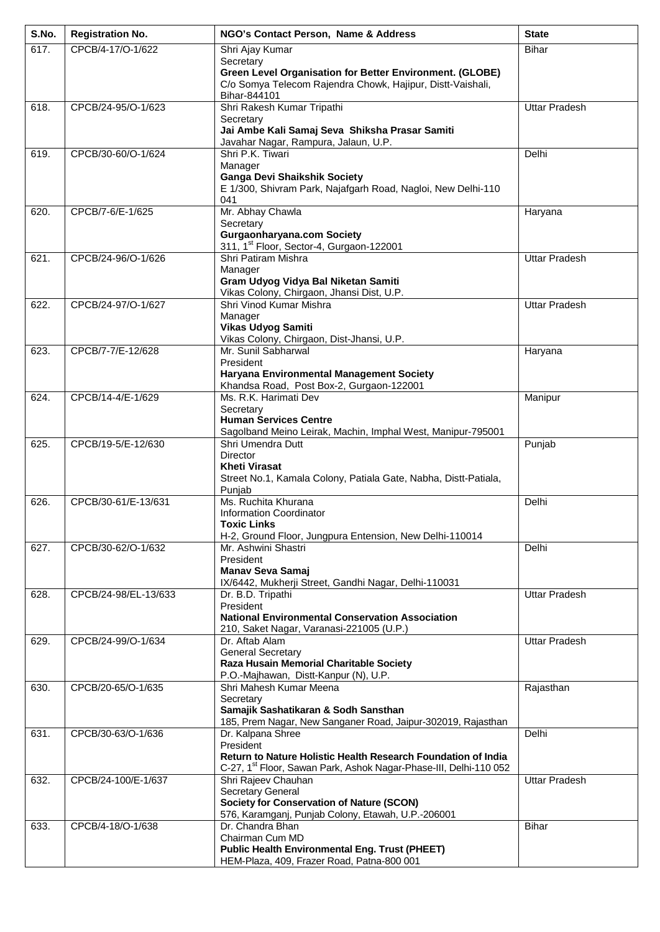| S.No. | <b>Registration No.</b> | NGO's Contact Person, Name & Address                                                                                                                                             | <b>State</b>         |
|-------|-------------------------|----------------------------------------------------------------------------------------------------------------------------------------------------------------------------------|----------------------|
| 617.  | CPCB/4-17/O-1/622       | Shri Ajay Kumar                                                                                                                                                                  | <b>Bihar</b>         |
|       |                         | Secretary<br>Green Level Organisation for Better Environment. (GLOBE)<br>C/o Somya Telecom Rajendra Chowk, Hajipur, Distt-Vaishali,<br>Bihar-844101                              |                      |
| 618.  | CPCB/24-95/O-1/623      | Shri Rakesh Kumar Tripathi<br>Secretary<br>Jai Ambe Kali Samaj Seva Shiksha Prasar Samiti<br>Javahar Nagar, Rampura, Jalaun, U.P.                                                | <b>Uttar Pradesh</b> |
| 619.  | CPCB/30-60/O-1/624      | Shri P.K. Tiwari<br>Manager<br><b>Ganga Devi Shaikshik Society</b><br>E 1/300, Shivram Park, Najafgarh Road, Nagloi, New Delhi-110<br>041                                        | Delhi                |
| 620.  | CPCB/7-6/E-1/625        | Mr. Abhay Chawla<br>Secretary<br><b>Gurgaonharyana.com Society</b><br>311, 1 <sup>st</sup> Floor, Sector-4, Gurgaon-122001                                                       | Haryana              |
| 621.  | CPCB/24-96/O-1/626      | Shri Patiram Mishra<br>Manager<br>Gram Udyog Vidya Bal Niketan Samiti<br>Vikas Colony, Chirgaon, Jhansi Dist, U.P.                                                               | <b>Uttar Pradesh</b> |
| 622.  | CPCB/24-97/O-1/627      | Shri Vinod Kumar Mishra<br>Manager<br>Vikas Udyog Samiti<br>Vikas Colony, Chirgaon, Dist-Jhansi, U.P.                                                                            | <b>Uttar Pradesh</b> |
| 623.  | CPCB/7-7/E-12/628       | Mr. Sunil Sabharwal<br>President<br>Haryana Environmental Management Society<br>Khandsa Road, Post Box-2, Gurgaon-122001                                                         | Haryana              |
| 624.  | CPCB/14-4/E-1/629       | Ms. R.K. Harimati Dev<br>Secretary<br><b>Human Services Centre</b><br>Sagolband Meino Leirak, Machin, Imphal West, Manipur-795001                                                | Manipur              |
| 625.  | CPCB/19-5/E-12/630      | Shri Umendra Dutt<br><b>Director</b><br><b>Kheti Virasat</b><br>Street No.1, Kamala Colony, Patiala Gate, Nabha, Distt-Patiala,<br>Punjab                                        | Punjab               |
| 626.  | CPCB/30-61/E-13/631     | Ms. Ruchita Khurana<br><b>Information Coordinator</b><br><b>Toxic Links</b><br>H-2, Ground Floor, Jungpura Entension, New Delhi-110014                                           | Delhi                |
| 627.  | CPCB/30-62/O-1/632      | Mr. Ashwini Shastri<br>President<br><b>Manav Seva Samaj</b><br>IX/6442, Mukherji Street, Gandhi Nagar, Delhi-110031                                                              | Delhi                |
| 628.  | CPCB/24-98/EL-13/633    | Dr. B.D. Tripathi<br>President<br><b>National Environmental Conservation Association</b><br>210, Saket Nagar, Varanasi-221005 (U.P.)                                             | <b>Uttar Pradesh</b> |
| 629.  | CPCB/24-99/O-1/634      | Dr. Aftab Alam<br><b>General Secretary</b><br>Raza Husain Memorial Charitable Society<br>P.O.-Majhawan, Distt-Kanpur (N), U.P.                                                   | <b>Uttar Pradesh</b> |
| 630.  | CPCB/20-65/O-1/635      | Shri Mahesh Kumar Meena<br>Secretary<br>Samajik Sashatikaran & Sodh Sansthan<br>185, Prem Nagar, New Sanganer Road, Jaipur-302019, Rajasthan                                     | Rajasthan            |
| 631.  | CPCB/30-63/O-1/636      | Dr. Kalpana Shree<br>President<br>Return to Nature Holistic Health Research Foundation of India<br>C-27, 1 <sup>st</sup> Floor, Sawan Park, Ashok Nagar-Phase-III, Delhi-110 052 | Delhi                |
| 632.  | CPCB/24-100/E-1/637     | Shri Rajeev Chauhan<br><b>Secretary General</b><br><b>Society for Conservation of Nature (SCON)</b><br>576, Karamganj, Punjab Colony, Etawah, U.P.-206001                        | <b>Uttar Pradesh</b> |
| 633.  | CPCB/4-18/O-1/638       | Dr. Chandra Bhan<br>Chairman Cum MD<br><b>Public Health Environmental Eng. Trust (PHEET)</b><br>HEM-Plaza, 409, Frazer Road, Patna-800 001                                       | Bihar                |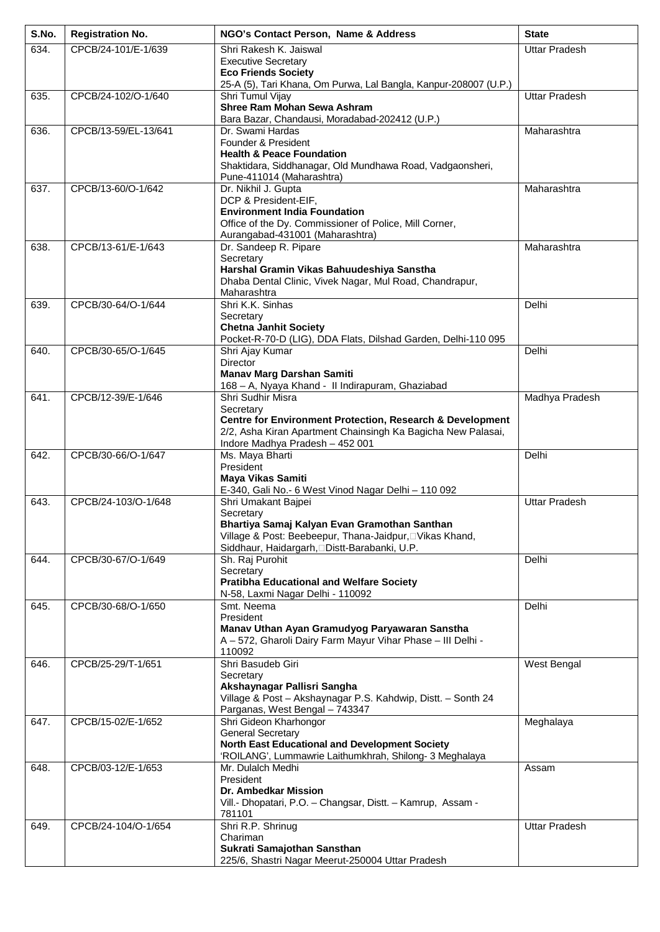| S.No. | <b>Registration No.</b> | NGO's Contact Person, Name & Address                                                                                                 | <b>State</b>         |
|-------|-------------------------|--------------------------------------------------------------------------------------------------------------------------------------|----------------------|
| 634.  | CPCB/24-101/E-1/639     | Shri Rakesh K. Jaiswal                                                                                                               | <b>Uttar Pradesh</b> |
|       |                         | <b>Executive Secretary</b><br><b>Eco Friends Society</b>                                                                             |                      |
|       |                         | 25-A (5), Tari Khana, Om Purwa, Lal Bangla, Kanpur-208007 (U.P.)                                                                     |                      |
| 635.  | CPCB/24-102/O-1/640     | Shri Tumul Vijay<br><b>Shree Ram Mohan Sewa Ashram</b>                                                                               | <b>Uttar Pradesh</b> |
|       |                         | Bara Bazar, Chandausi, Moradabad-202412 (U.P.)                                                                                       |                      |
| 636.  | CPCB/13-59/EL-13/641    | Dr. Swami Hardas<br>Founder & President                                                                                              | Maharashtra          |
|       |                         | <b>Health &amp; Peace Foundation</b>                                                                                                 |                      |
|       |                         | Shaktidara, Siddhanagar, Old Mundhawa Road, Vadgaonsheri,                                                                            |                      |
| 637.  | CPCB/13-60/O-1/642      | Pune-411014 (Maharashtra)<br>Dr. Nikhil J. Gupta                                                                                     | Maharashtra          |
|       |                         | DCP & President-EIF,                                                                                                                 |                      |
|       |                         | <b>Environment India Foundation</b>                                                                                                  |                      |
|       |                         | Office of the Dy. Commissioner of Police, Mill Corner,<br>Aurangabad-431001 (Maharashtra)                                            |                      |
| 638.  | CPCB/13-61/E-1/643      | Dr. Sandeep R. Pipare                                                                                                                | Maharashtra          |
|       |                         | Secretary<br>Harshal Gramin Vikas Bahuudeshiya Sanstha                                                                               |                      |
|       |                         | Dhaba Dental Clinic, Vivek Nagar, Mul Road, Chandrapur,                                                                              |                      |
| 639.  | CPCB/30-64/O-1/644      | Maharashtra<br>Shri K.K. Sinhas                                                                                                      | Delhi                |
|       |                         | Secretary                                                                                                                            |                      |
|       |                         | <b>Chetna Janhit Society</b>                                                                                                         |                      |
| 640.  | CPCB/30-65/O-1/645      | Pocket-R-70-D (LIG), DDA Flats, Dilshad Garden, Delhi-110 095<br>Shri Ajay Kumar                                                     | Delhi                |
|       |                         | Director                                                                                                                             |                      |
|       |                         | <b>Manav Marg Darshan Samiti</b><br>168 - A, Nyaya Khand - II Indirapuram, Ghaziabad                                                 |                      |
| 641.  | CPCB/12-39/E-1/646      | Shri Sudhir Misra                                                                                                                    | Madhya Pradesh       |
|       |                         | Secretary                                                                                                                            |                      |
|       |                         | <b>Centre for Environment Protection, Research &amp; Development</b><br>2/2, Asha Kiran Apartment Chainsingh Ka Bagicha New Palasai, |                      |
|       |                         | Indore Madhya Pradesh - 452 001                                                                                                      |                      |
| 642.  | CPCB/30-66/O-1/647      | Ms. Maya Bharti<br>President                                                                                                         | Delhi                |
|       |                         | Maya Vikas Samiti                                                                                                                    |                      |
| 643.  | CPCB/24-103/O-1/648     | E-340, Gali No.- 6 West Vinod Nagar Delhi - 110 092<br>Shri Umakant Bajpei                                                           | <b>Uttar Pradesh</b> |
|       |                         | Secretary                                                                                                                            |                      |
|       |                         | Bhartiya Samaj Kalyan Evan Gramothan Santhan                                                                                         |                      |
|       |                         | Village & Post: Beebeepur, Thana-Jaidpur, IVikas Khand,<br>Siddhaur, Haidargarh, Distt-Barabanki, U.P.                               |                      |
| 644.  | CPCB/30-67/O-1/649      | Sh. Raj Purohit                                                                                                                      | Delhi                |
|       |                         | Secretary<br><b>Pratibha Educational and Welfare Society</b>                                                                         |                      |
|       |                         | N-58, Laxmi Nagar Delhi - 110092                                                                                                     |                      |
| 645.  | CPCB/30-68/O-1/650      | Smt. Neema<br>President                                                                                                              | Delhi                |
|       |                         | Manav Uthan Ayan Gramudyog Paryawaran Sanstha                                                                                        |                      |
|       |                         | A-572, Gharoli Dairy Farm Mayur Vihar Phase - III Delhi -                                                                            |                      |
| 646.  | CPCB/25-29/T-1/651      | 110092<br>Shri Basudeb Giri                                                                                                          | West Bengal          |
|       |                         | Secretary                                                                                                                            |                      |
|       |                         | Akshaynagar Pallisri Sangha<br>Village & Post - Akshaynagar P.S. Kahdwip, Distt. - Sonth 24                                          |                      |
|       |                         | Parganas, West Bengal - 743347                                                                                                       |                      |
| 647.  | CPCB/15-02/E-1/652      | Shri Gideon Kharhongor<br><b>General Secretary</b>                                                                                   | Meghalaya            |
|       |                         | North East Educational and Development Society                                                                                       |                      |
|       |                         | 'ROILANG', Lummawrie Laithumkhrah, Shilong- 3 Meghalaya                                                                              |                      |
| 648.  | CPCB/03-12/E-1/653      | Mr. Dulalch Medhi<br>President                                                                                                       | Assam                |
|       |                         | <b>Dr. Ambedkar Mission</b>                                                                                                          |                      |
|       |                         | Vill.- Dhopatari, P.O. - Changsar, Distt. - Kamrup, Assam -<br>781101                                                                |                      |
| 649.  | CPCB/24-104/O-1/654     | Shri R.P. Shrinug                                                                                                                    | <b>Uttar Pradesh</b> |
|       |                         | Chariman<br>Sukrati Samajothan Sansthan                                                                                              |                      |
|       |                         | 225/6, Shastri Nagar Meerut-250004 Uttar Pradesh                                                                                     |                      |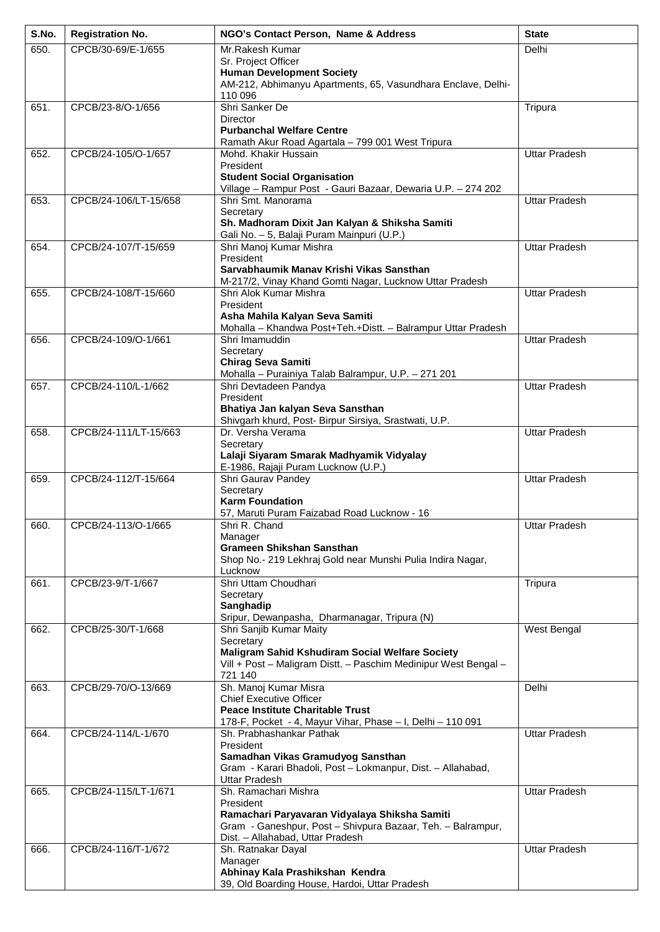| S.No. | <b>Registration No.</b> | NGO's Contact Person, Name & Address                                                                         | <b>State</b>         |
|-------|-------------------------|--------------------------------------------------------------------------------------------------------------|----------------------|
| 650.  | CPCB/30-69/E-1/655      | Mr.Rakesh Kumar                                                                                              | Delhi                |
|       |                         | Sr. Project Officer<br><b>Human Development Society</b>                                                      |                      |
|       |                         | AM-212, Abhimanyu Apartments, 65, Vasundhara Enclave, Delhi-                                                 |                      |
|       |                         | 110 096                                                                                                      |                      |
| 651.  | CPCB/23-8/O-1/656       | Shri Sanker De<br><b>Director</b>                                                                            | Tripura              |
|       |                         | <b>Purbanchal Welfare Centre</b>                                                                             |                      |
|       |                         | Ramath Akur Road Agartala - 799 001 West Tripura                                                             |                      |
| 652.  | CPCB/24-105/O-1/657     | Mohd. Khakir Hussain<br>President                                                                            | <b>Uttar Pradesh</b> |
|       |                         | <b>Student Social Organisation</b>                                                                           |                      |
|       |                         | Village - Rampur Post - Gauri Bazaar, Dewaria U.P. - 274 202                                                 |                      |
| 653.  | CPCB/24-106/LT-15/658   | Shri Smt. Manorama<br>Secretary                                                                              | <b>Uttar Pradesh</b> |
|       |                         | Sh. Madhoram Dixit Jan Kalyan & Shiksha Samiti                                                               |                      |
|       |                         | Gali No. - 5, Balaji Puram Mainpuri (U.P.)                                                                   |                      |
| 654.  | CPCB/24-107/T-15/659    | Shri Manoj Kumar Mishra<br>President                                                                         | <b>Uttar Pradesh</b> |
|       |                         | Sarvabhaumik Manav Krishi Vikas Sansthan                                                                     |                      |
|       |                         | M-217/2, Vinay Khand Gomti Nagar, Lucknow Uttar Pradesh                                                      |                      |
| 655.  | CPCB/24-108/T-15/660    | Shri Alok Kumar Mishra                                                                                       | <b>Uttar Pradesh</b> |
|       |                         | President<br>Asha Mahila Kalyan Seva Samiti                                                                  |                      |
|       |                         | Mohalla - Khandwa Post+Teh.+Distt. - Balrampur Uttar Pradesh                                                 |                      |
| 656.  | CPCB/24-109/O-1/661     | Shri Imamuddin                                                                                               | <b>Uttar Pradesh</b> |
|       |                         | Secretary<br><b>Chirag Seva Samiti</b>                                                                       |                      |
|       |                         | Mohalla - Purainiya Talab Balrampur, U.P. - 271 201                                                          |                      |
| 657.  | CPCB/24-110/L-1/662     | Shri Devtadeen Pandya                                                                                        | <b>Uttar Pradesh</b> |
|       |                         | President<br>Bhatiya Jan kalyan Seva Sansthan                                                                |                      |
|       |                         | Shivgarh khurd, Post- Birpur Sirsiya, Srastwati, U.P.                                                        |                      |
| 658.  | CPCB/24-111/LT-15/663   | Dr. Versha Verama                                                                                            | <b>Uttar Pradesh</b> |
|       |                         | Secretary<br>Lalaji Siyaram Smarak Madhyamik Vidyalay                                                        |                      |
|       |                         | E-1986, Rajaji Puram Lucknow (U.P.)                                                                          |                      |
| 659.  | CPCB/24-112/T-15/664    | Shri Gaurav Pandey                                                                                           | <b>Uttar Pradesh</b> |
|       |                         | Secretary<br><b>Karm Foundation</b>                                                                          |                      |
|       |                         | 57, Maruti Puram Faizabad Road Lucknow - 16                                                                  |                      |
| 660.  | CPCB/24-113/O-1/665     | Shri R. Chand                                                                                                | <b>Uttar Pradesh</b> |
|       |                         | Manager<br><b>Grameen Shikshan Sansthan</b>                                                                  |                      |
|       |                         | Shop No.- 219 Lekhraj Gold near Munshi Pulia Indira Nagar,                                                   |                      |
|       |                         | Lucknow                                                                                                      |                      |
| 661.  | CPCB/23-9/T-1/667       | Shri Uttam Choudhari<br>Secretary                                                                            | Tripura              |
|       |                         | Sanghadip                                                                                                    |                      |
|       |                         | Sripur, Dewanpasha, Dharmanagar, Tripura (N)                                                                 |                      |
| 662.  | CPCB/25-30/T-1/668      | Shri Sanjib Kumar Maity<br>Secretary                                                                         | West Bengal          |
|       |                         | Maligram Sahid Kshudiram Social Welfare Society                                                              |                      |
|       |                         | Vill + Post - Maligram Distt. - Paschim Medinipur West Bengal -<br>721 140                                   |                      |
| 663.  | CPCB/29-70/O-13/669     | Sh. Manoj Kumar Misra                                                                                        | Delhi                |
|       |                         | <b>Chief Executive Officer</b>                                                                               |                      |
|       |                         | <b>Peace Institute Charitable Trust</b>                                                                      |                      |
| 664.  | CPCB/24-114/L-1/670     | 178-F, Pocket - 4, Mayur Vihar, Phase - I, Delhi - 110 091<br>Sh. Prabhashankar Pathak                       | <b>Uttar Pradesh</b> |
|       |                         | President                                                                                                    |                      |
|       |                         | Samadhan Vikas Gramudyog Sansthan                                                                            |                      |
|       |                         | Gram - Karari Bhadoli, Post - Lokmanpur, Dist. - Allahabad,<br><b>Uttar Pradesh</b>                          |                      |
| 665.  | CPCB/24-115/LT-1/671    | Sh. Ramachari Mishra                                                                                         | <b>Uttar Pradesh</b> |
|       |                         | President                                                                                                    |                      |
|       |                         | Ramachari Paryavaran Vidyalaya Shiksha Samiti<br>Gram - Ganeshpur, Post - Shivpura Bazaar, Teh. - Balrampur, |                      |
|       |                         | Dist. - Allahabad, Uttar Pradesh                                                                             |                      |
| 666.  | CPCB/24-116/T-1/672     | Sh. Ratnakar Dayal                                                                                           | <b>Uttar Pradesh</b> |
|       |                         | Manager<br>Abhinay Kala Prashikshan Kendra                                                                   |                      |
|       |                         | 39, Old Boarding House, Hardoi, Uttar Pradesh                                                                |                      |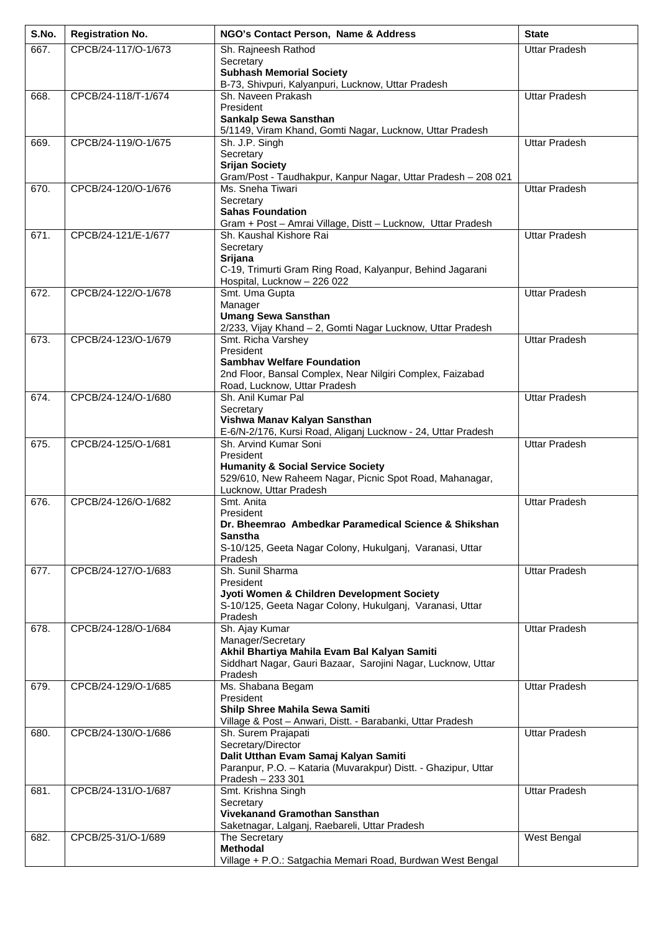| S.No. | <b>Registration No.</b> | NGO's Contact Person, Name & Address                                                                         | <b>State</b>         |
|-------|-------------------------|--------------------------------------------------------------------------------------------------------------|----------------------|
| 667.  | CPCB/24-117/O-1/673     | Sh. Rajneesh Rathod                                                                                          | <b>Uttar Pradesh</b> |
|       |                         | Secretary                                                                                                    |                      |
|       |                         | <b>Subhash Memorial Society</b><br>B-73, Shivpuri, Kalyanpuri, Lucknow, Uttar Pradesh                        |                      |
| 668.  | CPCB/24-118/T-1/674     | Sh. Naveen Prakash                                                                                           | <b>Uttar Pradesh</b> |
|       |                         | President                                                                                                    |                      |
|       |                         | Sankalp Sewa Sansthan                                                                                        |                      |
| 669.  | CPCB/24-119/O-1/675     | 5/1149, Viram Khand, Gomti Nagar, Lucknow, Uttar Pradesh<br>Sh. J.P. Singh                                   | <b>Uttar Pradesh</b> |
|       |                         | Secretary                                                                                                    |                      |
|       |                         | <b>Srijan Society</b>                                                                                        |                      |
|       |                         | Gram/Post - Taudhakpur, Kanpur Nagar, Uttar Pradesh - 208 021                                                |                      |
| 670.  | CPCB/24-120/O-1/676     | Ms. Sneha Tiwari<br>Secretary                                                                                | <b>Uttar Pradesh</b> |
|       |                         | <b>Sahas Foundation</b>                                                                                      |                      |
|       |                         | Gram + Post - Amrai Village, Distt - Lucknow, Uttar Pradesh                                                  |                      |
| 671.  | CPCB/24-121/E-1/677     | Sh. Kaushal Kishore Rai                                                                                      | <b>Uttar Pradesh</b> |
|       |                         | Secretary<br>Srijana                                                                                         |                      |
|       |                         | C-19, Trimurti Gram Ring Road, Kalyanpur, Behind Jagarani                                                    |                      |
|       |                         | Hospital, Lucknow - 226 022                                                                                  |                      |
| 672.  | CPCB/24-122/O-1/678     | Smt. Uma Gupta<br>Manager                                                                                    | <b>Uttar Pradesh</b> |
|       |                         | <b>Umang Sewa Sansthan</b>                                                                                   |                      |
|       |                         | 2/233, Vijay Khand - 2, Gomti Nagar Lucknow, Uttar Pradesh                                                   |                      |
| 673.  | CPCB/24-123/O-1/679     | Smt. Richa Varshey                                                                                           | <b>Uttar Pradesh</b> |
|       |                         | President<br><b>Sambhav Welfare Foundation</b>                                                               |                      |
|       |                         | 2nd Floor, Bansal Complex, Near Nilgiri Complex, Faizabad                                                    |                      |
|       |                         | Road, Lucknow, Uttar Pradesh                                                                                 |                      |
| 674.  | CPCB/24-124/O-1/680     | Sh. Anil Kumar Pal                                                                                           | <b>Uttar Pradesh</b> |
|       |                         | Secretary<br>Vishwa Manav Kalyan Sansthan                                                                    |                      |
|       |                         | E-6/N-2/176, Kursi Road, Aliganj Lucknow - 24, Uttar Pradesh                                                 |                      |
| 675.  | CPCB/24-125/O-1/681     | Sh. Arvind Kumar Soni                                                                                        | <b>Uttar Pradesh</b> |
|       |                         | President<br><b>Humanity &amp; Social Service Society</b>                                                    |                      |
|       |                         | 529/610, New Raheem Nagar, Picnic Spot Road, Mahanagar,                                                      |                      |
|       |                         | Lucknow, Uttar Pradesh                                                                                       |                      |
| 676.  | CPCB/24-126/O-1/682     | Smt. Anita<br>President                                                                                      | <b>Uttar Pradesh</b> |
|       |                         | Dr. Bheemrao Ambedkar Paramedical Science & Shikshan                                                         |                      |
|       |                         | Sanstha                                                                                                      |                      |
|       |                         | S-10/125, Geeta Nagar Colony, Hukulganj, Varanasi, Uttar<br>Pradesh                                          |                      |
| 677.  | CPCB/24-127/O-1/683     | Sh. Sunil Sharma                                                                                             | <b>Uttar Pradesh</b> |
|       |                         | President                                                                                                    |                      |
|       |                         | Jyoti Women & Children Development Society<br>S-10/125, Geeta Nagar Colony, Hukulganj, Varanasi, Uttar       |                      |
|       |                         | Pradesh                                                                                                      |                      |
| 678.  | CPCB/24-128/O-1/684     | Sh. Ajay Kumar                                                                                               | <b>Uttar Pradesh</b> |
|       |                         | Manager/Secretary                                                                                            |                      |
|       |                         | Akhil Bhartiya Mahila Evam Bal Kalyan Samiti<br>Siddhart Nagar, Gauri Bazaar, Sarojini Nagar, Lucknow, Uttar |                      |
|       |                         | Pradesh                                                                                                      |                      |
| 679.  | CPCB/24-129/O-1/685     | Ms. Shabana Begam                                                                                            | <b>Uttar Pradesh</b> |
|       |                         | President<br>Shilp Shree Mahila Sewa Samiti                                                                  |                      |
|       |                         | Village & Post - Anwari, Distt. - Barabanki, Uttar Pradesh                                                   |                      |
| 680.  | CPCB/24-130/O-1/686     | Sh. Surem Prajapati                                                                                          | <b>Uttar Pradesh</b> |
|       |                         | Secretary/Director                                                                                           |                      |
|       |                         | Dalit Utthan Evam Samaj Kalyan Samiti<br>Paranpur, P.O. - Kataria (Muvarakpur) Distt. - Ghazipur, Uttar      |                      |
|       |                         | Pradesh - 233 301                                                                                            |                      |
| 681.  | CPCB/24-131/O-1/687     | Smt. Krishna Singh                                                                                           | <b>Uttar Pradesh</b> |
|       |                         | Secretary<br>Vivekanand Gramothan Sansthan                                                                   |                      |
|       |                         | Saketnagar, Lalganj, Raebareli, Uttar Pradesh                                                                |                      |
| 682.  | CPCB/25-31/O-1/689      | The Secretary                                                                                                | West Bengal          |
|       |                         | <b>Methodal</b>                                                                                              |                      |
|       |                         | Village + P.O.: Satgachia Memari Road, Burdwan West Bengal                                                   |                      |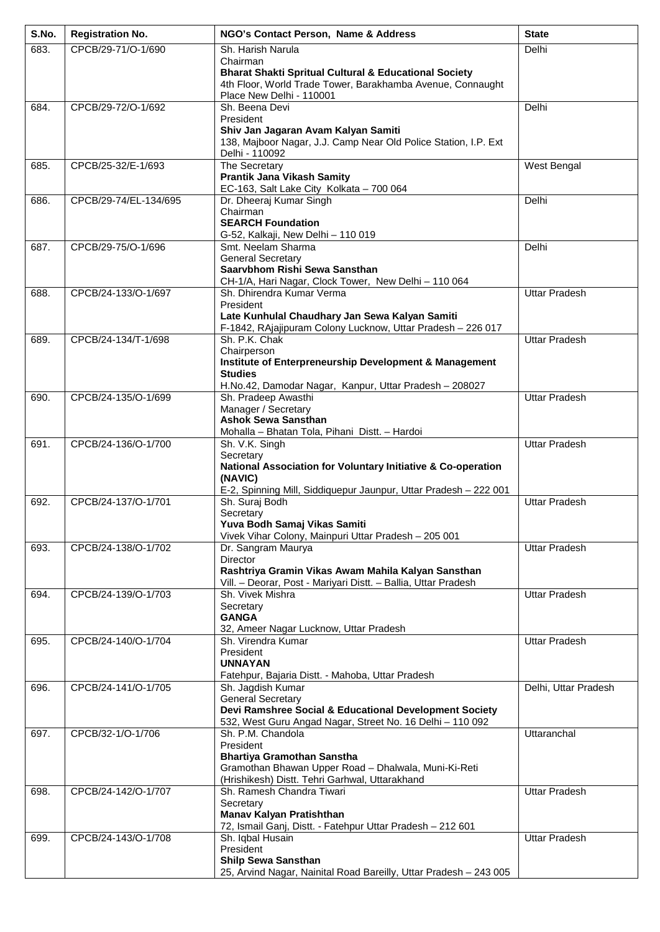| S.No. | <b>Registration No.</b> | NGO's Contact Person, Name & Address                                               | <b>State</b>         |
|-------|-------------------------|------------------------------------------------------------------------------------|----------------------|
| 683.  | CPCB/29-71/O-1/690      | Sh. Harish Narula                                                                  | Delhi                |
|       |                         | Chairman<br><b>Bharat Shakti Spritual Cultural &amp; Educational Society</b>       |                      |
|       |                         | 4th Floor, World Trade Tower, Barakhamba Avenue, Connaught                         |                      |
|       |                         | Place New Delhi - 110001                                                           |                      |
| 684.  | CPCB/29-72/O-1/692      | Sh. Beena Devi                                                                     | Delhi                |
|       |                         | President<br>Shiv Jan Jagaran Avam Kalyan Samiti                                   |                      |
|       |                         | 138, Majboor Nagar, J.J. Camp Near Old Police Station, I.P. Ext                    |                      |
|       |                         | Delhi - 110092                                                                     |                      |
| 685.  | CPCB/25-32/E-1/693      | The Secretary<br><b>Prantik Jana Vikash Samity</b>                                 | West Bengal          |
|       |                         | EC-163, Salt Lake City Kolkata - 700 064                                           |                      |
| 686.  | CPCB/29-74/EL-134/695   | Dr. Dheeraj Kumar Singh                                                            | Delhi                |
|       |                         | Chairman<br><b>SEARCH Foundation</b>                                               |                      |
|       |                         | G-52, Kalkaji, New Delhi - 110 019                                                 |                      |
| 687.  | CPCB/29-75/O-1/696      | Smt. Neelam Sharma                                                                 | Delhi                |
|       |                         | <b>General Secretary</b><br>Saarvbhom Rishi Sewa Sansthan                          |                      |
|       |                         | CH-1/A, Hari Nagar, Clock Tower, New Delhi - 110 064                               |                      |
| 688.  | CPCB/24-133/O-1/697     | Sh. Dhirendra Kumar Verma                                                          | <b>Uttar Pradesh</b> |
|       |                         | President<br>Late Kunhulal Chaudhary Jan Sewa Kalyan Samiti                        |                      |
|       |                         | F-1842, RAjajipuram Colony Lucknow, Uttar Pradesh - 226 017                        |                      |
| 689.  | CPCB/24-134/T-1/698     | Sh. P.K. Chak                                                                      | <b>Uttar Pradesh</b> |
|       |                         | Chairperson                                                                        |                      |
|       |                         | Institute of Enterpreneurship Development & Management<br><b>Studies</b>           |                      |
|       |                         | H.No.42, Damodar Nagar, Kanpur, Uttar Pradesh - 208027                             |                      |
| 690.  | CPCB/24-135/O-1/699     | Sh. Pradeep Awasthi                                                                | <b>Uttar Pradesh</b> |
|       |                         | Manager / Secretary<br><b>Ashok Sewa Sansthan</b>                                  |                      |
|       |                         | Mohalla - Bhatan Tola, Pihani Distt. - Hardoi                                      |                      |
| 691.  | CPCB/24-136/O-1/700     | Sh. V.K. Singh                                                                     | <b>Uttar Pradesh</b> |
|       |                         | Secretary                                                                          |                      |
|       |                         | National Association for Voluntary Initiative & Co-operation<br>(NAVIC)            |                      |
|       |                         | E-2, Spinning Mill, Siddiquepur Jaunpur, Uttar Pradesh - 222 001                   |                      |
| 692.  | CPCB/24-137/O-1/701     | Sh. Suraj Bodh                                                                     | <b>Uttar Pradesh</b> |
|       |                         | Secretary<br>Yuva Bodh Samaj Vikas Samiti                                          |                      |
|       |                         | Vivek Vihar Colony, Mainpuri Uttar Pradesh - 205 001                               |                      |
| 693.  | CPCB/24-138/O-1/702     | Dr. Sangram Maurya                                                                 | <b>Uttar Pradesh</b> |
|       |                         | Director<br>Rashtriya Gramin Vikas Awam Mahila Kalyan Sansthan                     |                      |
|       |                         | Vill. - Deorar, Post - Mariyari Distt. - Ballia, Uttar Pradesh                     |                      |
| 694.  | CPCB/24-139/O-1/703     | Sh. Vivek Mishra                                                                   | <b>Uttar Pradesh</b> |
|       |                         | Secretary<br><b>GANGA</b>                                                          |                      |
|       |                         | 32, Ameer Nagar Lucknow, Uttar Pradesh                                             |                      |
| 695.  | CPCB/24-140/O-1/704     | Sh. Virendra Kumar                                                                 | <b>Uttar Pradesh</b> |
|       |                         | President<br><b>UNNAYAN</b>                                                        |                      |
|       |                         | Fatehpur, Bajaria Distt. - Mahoba, Uttar Pradesh                                   |                      |
| 696.  | CPCB/24-141/O-1/705     | Sh. Jagdish Kumar                                                                  | Delhi, Uttar Pradesh |
|       |                         | <b>General Secretary</b><br>Devi Ramshree Social & Educational Development Society |                      |
|       |                         | 532, West Guru Angad Nagar, Street No. 16 Delhi - 110 092                          |                      |
| 697.  | CPCB/32-1/O-1/706       | Sh. P.M. Chandola                                                                  | Uttaranchal          |
|       |                         | President<br><b>Bhartiya Gramothan Sanstha</b>                                     |                      |
|       |                         | Gramothan Bhawan Upper Road - Dhalwala, Muni-Ki-Reti                               |                      |
|       |                         | (Hrishikesh) Distt. Tehri Garhwal, Uttarakhand                                     |                      |
| 698.  | CPCB/24-142/O-1/707     | Sh. Ramesh Chandra Tiwari<br>Secretary                                             | <b>Uttar Pradesh</b> |
|       |                         | Manav Kalyan Pratishthan                                                           |                      |
|       |                         | 72, Ismail Ganj, Distt. - Fatehpur Uttar Pradesh - 212 601                         |                      |
| 699.  | CPCB/24-143/O-1/708     | Sh. Iqbal Husain<br>President                                                      | <b>Uttar Pradesh</b> |
|       |                         | <b>Shilp Sewa Sansthan</b>                                                         |                      |
|       |                         | 25, Arvind Nagar, Nainital Road Bareilly, Uttar Pradesh - 243 005                  |                      |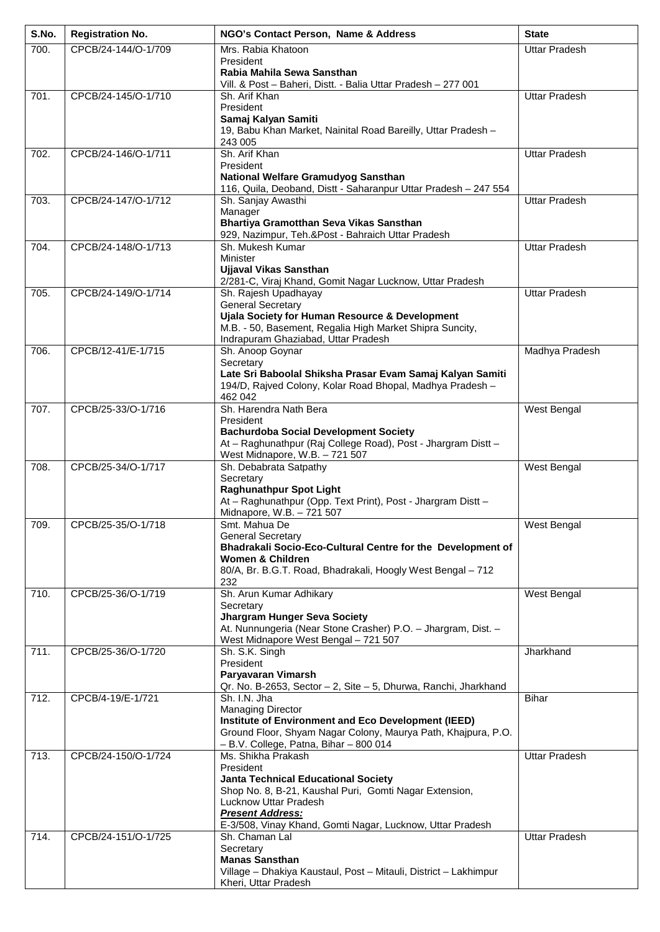| S.No. | <b>Registration No.</b> | NGO's Contact Person, Name & Address                                                                                   | <b>State</b>         |
|-------|-------------------------|------------------------------------------------------------------------------------------------------------------------|----------------------|
| 700.  | CPCB/24-144/O-1/709     | Mrs. Rabia Khatoon                                                                                                     | <b>Uttar Pradesh</b> |
|       |                         | President<br>Rabia Mahila Sewa Sansthan                                                                                |                      |
|       |                         | Vill. & Post - Baheri, Distt. - Balia Uttar Pradesh - 277 001                                                          |                      |
| 701.  | CPCB/24-145/O-1/710     | Sh. Arif Khan<br>President                                                                                             | <b>Uttar Pradesh</b> |
|       |                         | Samaj Kalyan Samiti                                                                                                    |                      |
|       |                         | 19, Babu Khan Market, Nainital Road Bareilly, Uttar Pradesh -                                                          |                      |
| 702.  | CPCB/24-146/O-1/711     | 243 005<br>Sh. Arif Khan                                                                                               | <b>Uttar Pradesh</b> |
|       |                         | President                                                                                                              |                      |
|       |                         | National Welfare Gramudyog Sansthan<br>116, Quila, Deoband, Distt - Saharanpur Uttar Pradesh - 247 554                 |                      |
| 703.  | CPCB/24-147/O-1/712     | Sh. Sanjay Awasthi                                                                                                     | <b>Uttar Pradesh</b> |
|       |                         | Manager                                                                                                                |                      |
|       |                         | Bhartiya Gramotthan Seva Vikas Sansthan<br>929, Nazimpur, Teh.&Post - Bahraich Uttar Pradesh                           |                      |
| 704.  | CPCB/24-148/O-1/713     | Sh. Mukesh Kumar                                                                                                       | <b>Uttar Pradesh</b> |
|       |                         | <b>Minister</b><br><b>Ujjaval Vikas Sansthan</b>                                                                       |                      |
|       |                         | 2/281-C, Viraj Khand, Gomit Nagar Lucknow, Uttar Pradesh                                                               |                      |
| 705.  | CPCB/24-149/O-1/714     | Sh. Rajesh Upadhayay                                                                                                   | <b>Uttar Pradesh</b> |
|       |                         | <b>General Secretary</b><br>Ujala Society for Human Resource & Development                                             |                      |
|       |                         | M.B. - 50, Basement, Regalia High Market Shipra Suncity,                                                               |                      |
| 706.  | CPCB/12-41/E-1/715      | Indrapuram Ghaziabad, Uttar Pradesh<br>Sh. Anoop Goynar                                                                | Madhya Pradesh       |
|       |                         | Secretary                                                                                                              |                      |
|       |                         | Late Sri Baboolal Shiksha Prasar Evam Samaj Kalyan Samiti<br>194/D, Rajved Colony, Kolar Road Bhopal, Madhya Pradesh - |                      |
|       |                         | 462 042                                                                                                                |                      |
| 707.  | CPCB/25-33/O-1/716      | Sh. Harendra Nath Bera                                                                                                 | West Bengal          |
|       |                         | President<br><b>Bachurdoba Social Development Society</b>                                                              |                      |
|       |                         | At - Raghunathpur (Raj College Road), Post - Jhargram Distt -                                                          |                      |
| 708.  | CPCB/25-34/O-1/717      | West Midnapore, W.B. - 721 507<br>Sh. Debabrata Satpathy                                                               | West Bengal          |
|       |                         | Secretary                                                                                                              |                      |
|       |                         | <b>Raghunathpur Spot Light</b>                                                                                         |                      |
|       |                         | At - Raghunathpur (Opp. Text Print), Post - Jhargram Distt -<br>Midnapore, W.B. - 721 507                              |                      |
| 709.  | CPCB/25-35/O-1/718      | Smt. Mahua De                                                                                                          | West Bengal          |
|       |                         | <b>General Secretary</b><br>Bhadrakali Socio-Eco-Cultural Centre for the Development of                                |                      |
|       |                         | <b>Women &amp; Children</b>                                                                                            |                      |
|       |                         | 80/A, Br. B.G.T. Road, Bhadrakali, Hoogly West Bengal - 712<br>232                                                     |                      |
| 710.  | CPCB/25-36/O-1/719      | Sh. Arun Kumar Adhikary                                                                                                | West Bengal          |
|       |                         | Secretary                                                                                                              |                      |
|       |                         | <b>Jhargram Hunger Seva Society</b><br>At. Nunnungeria (Near Stone Crasher) P.O. - Jhargram, Dist. -                   |                      |
|       |                         | West Midnapore West Bengal - 721 507                                                                                   |                      |
| 711.  | CPCB/25-36/O-1/720      | Sh. S.K. Singh<br>President                                                                                            | Jharkhand            |
|       |                         | Paryavaran Vimarsh                                                                                                     |                      |
| 712.  | CPCB/4-19/E-1/721       | Qr. No. B-2653, Sector - 2, Site - 5, Dhurwa, Ranchi, Jharkhand<br>Sh. I.N. Jha                                        | <b>Bihar</b>         |
|       |                         | Managing Director                                                                                                      |                      |
|       |                         | Institute of Environment and Eco Development (IEED)                                                                    |                      |
|       |                         | Ground Floor, Shyam Nagar Colony, Maurya Path, Khajpura, P.O.<br>$- B.V.$ College, Patna, Bihar $- 800014$             |                      |
| 713.  | CPCB/24-150/O-1/724     | Ms. Shikha Prakash                                                                                                     | <b>Uttar Pradesh</b> |
|       |                         | President<br><b>Janta Technical Educational Society</b>                                                                |                      |
|       |                         | Shop No. 8, B-21, Kaushal Puri, Gomti Nagar Extension,                                                                 |                      |
|       |                         | Lucknow Uttar Pradesh<br><b>Present Address:</b>                                                                       |                      |
|       |                         | E-3/508, Vinay Khand, Gomti Nagar, Lucknow, Uttar Pradesh                                                              |                      |
| 714.  | CPCB/24-151/O-1/725     | Sh. Chaman Lal                                                                                                         | <b>Uttar Pradesh</b> |
|       |                         | Secretary<br><b>Manas Sansthan</b>                                                                                     |                      |
|       |                         | Village - Dhakiya Kaustaul, Post - Mitauli, District - Lakhimpur                                                       |                      |
|       |                         | Kheri, Uttar Pradesh                                                                                                   |                      |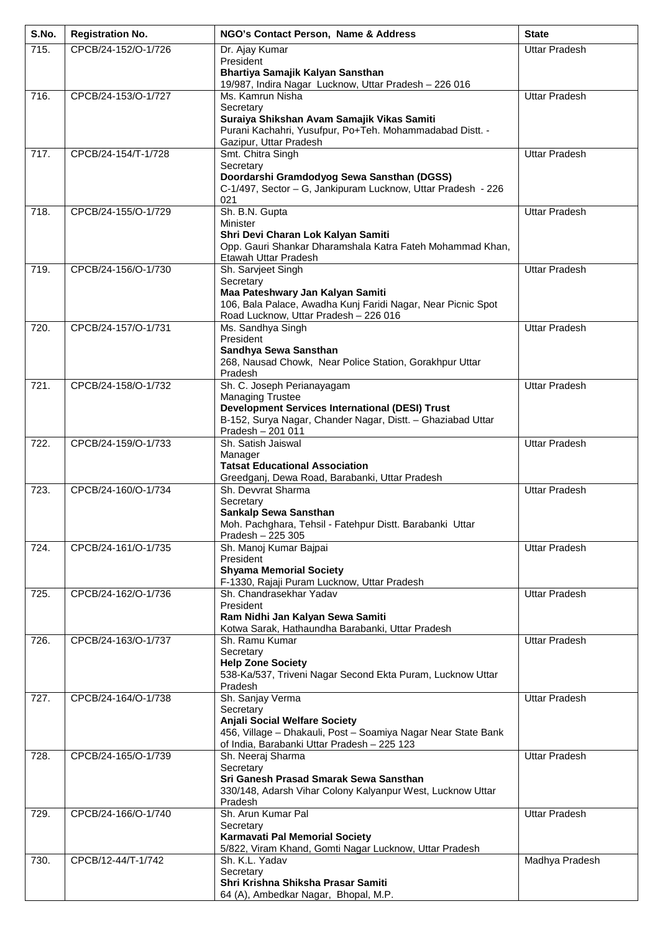| S.No. | <b>Registration No.</b> | NGO's Contact Person, Name & Address                                                                  | <b>State</b>         |
|-------|-------------------------|-------------------------------------------------------------------------------------------------------|----------------------|
| 715.  | CPCB/24-152/O-1/726     | Dr. Ajay Kumar                                                                                        | <b>Uttar Pradesh</b> |
|       |                         | President<br>Bhartiya Samajik Kalyan Sansthan                                                         |                      |
|       |                         | 19/987, Indira Nagar Lucknow, Uttar Pradesh - 226 016                                                 |                      |
| 716.  | CPCB/24-153/O-1/727     | Ms. Kamrun Nisha<br>Secretary                                                                         | <b>Uttar Pradesh</b> |
|       |                         | Suraiya Shikshan Avam Samajik Vikas Samiti                                                            |                      |
|       |                         | Purani Kachahri, Yusufpur, Po+Teh. Mohammadabad Distt. -                                              |                      |
| 717.  | CPCB/24-154/T-1/728     | Gazipur, Uttar Pradesh<br>Smt. Chitra Singh                                                           | <b>Uttar Pradesh</b> |
|       |                         | Secretary                                                                                             |                      |
|       |                         | Doordarshi Gramdodyog Sewa Sansthan (DGSS)                                                            |                      |
|       |                         | C-1/497, Sector - G, Jankipuram Lucknow, Uttar Pradesh - 226<br>021                                   |                      |
| 718.  | CPCB/24-155/O-1/729     | Sh. B.N. Gupta                                                                                        | <b>Uttar Pradesh</b> |
|       |                         | Minister<br>Shri Devi Charan Lok Kalyan Samiti                                                        |                      |
|       |                         | Opp. Gauri Shankar Dharamshala Katra Fateh Mohammad Khan,                                             |                      |
|       |                         | Etawah Uttar Pradesh                                                                                  |                      |
| 719.  | CPCB/24-156/O-1/730     | Sh. Sarvjeet Singh<br>Secretary                                                                       | <b>Uttar Pradesh</b> |
|       |                         | Maa Pateshwary Jan Kalyan Samiti                                                                      |                      |
|       |                         | 106, Bala Palace, Awadha Kunj Faridi Nagar, Near Picnic Spot<br>Road Lucknow, Uttar Pradesh - 226 016 |                      |
| 720.  | CPCB/24-157/O-1/731     | Ms. Sandhya Singh                                                                                     | <b>Uttar Pradesh</b> |
|       |                         | President                                                                                             |                      |
|       |                         | Sandhya Sewa Sansthan<br>268, Nausad Chowk, Near Police Station, Gorakhpur Uttar                      |                      |
|       |                         | Pradesh                                                                                               |                      |
| 721.  | CPCB/24-158/O-1/732     | Sh. C. Joseph Perianayagam<br><b>Managing Trustee</b>                                                 | <b>Uttar Pradesh</b> |
|       |                         | <b>Development Services International (DESI) Trust</b>                                                |                      |
|       |                         | B-152, Surya Nagar, Chander Nagar, Distt. - Ghaziabad Uttar                                           |                      |
| 722.  | CPCB/24-159/O-1/733     | Pradesh - 201 011<br>Sh. Satish Jaiswal                                                               | <b>Uttar Pradesh</b> |
|       |                         | Manager                                                                                               |                      |
|       |                         | <b>Tatsat Educational Association</b><br>Greedganj, Dewa Road, Barabanki, Uttar Pradesh               |                      |
| 723.  | CPCB/24-160/O-1/734     | Sh. Devvrat Sharma                                                                                    | <b>Uttar Pradesh</b> |
|       |                         | Secretary                                                                                             |                      |
|       |                         | Sankalp Sewa Sansthan<br>Moh. Pachghara, Tehsil - Fatehpur Distt. Barabanki Uttar                     |                      |
|       |                         | Pradesh - 225 305                                                                                     |                      |
| 724.  | CPCB/24-161/O-1/735     | Sh. Manoj Kumar Bajpai<br>President                                                                   | <b>Uttar Pradesh</b> |
|       |                         | <b>Shyama Memorial Society</b>                                                                        |                      |
| 725.  | CPCB/24-162/O-1/736     | F-1330, Rajaji Puram Lucknow, Uttar Pradesh<br>Sh. Chandrasekhar Yadav                                | <b>Uttar Pradesh</b> |
|       |                         | President                                                                                             |                      |
|       |                         | Ram Nidhi Jan Kalyan Sewa Samiti                                                                      |                      |
| 726.  | CPCB/24-163/O-1/737     | Kotwa Sarak, Hathaundha Barabanki, Uttar Pradesh<br>Sh. Ramu Kumar                                    | <b>Uttar Pradesh</b> |
|       |                         | Secretary                                                                                             |                      |
|       |                         | <b>Help Zone Society</b><br>538-Ka/537, Triveni Nagar Second Ekta Puram, Lucknow Uttar                |                      |
|       |                         | Pradesh                                                                                               |                      |
| 727.  | CPCB/24-164/O-1/738     | Sh. Sanjay Verma                                                                                      | <b>Uttar Pradesh</b> |
|       |                         | Secretary<br><b>Anjali Social Welfare Society</b>                                                     |                      |
|       |                         | 456, Village - Dhakauli, Post - Soamiya Nagar Near State Bank                                         |                      |
| 728.  | CPCB/24-165/O-1/739     | of India, Barabanki Uttar Pradesh - 225 123<br>Sh. Neeraj Sharma                                      | <b>Uttar Pradesh</b> |
|       |                         | Secretary                                                                                             |                      |
|       |                         | Sri Ganesh Prasad Smarak Sewa Sansthan                                                                |                      |
|       |                         | 330/148, Adarsh Vihar Colony Kalyanpur West, Lucknow Uttar<br>Pradesh                                 |                      |
| 729.  | CPCB/24-166/O-1/740     | Sh. Arun Kumar Pal                                                                                    | <b>Uttar Pradesh</b> |
|       |                         | Secretary<br>Karmavati Pal Memorial Society                                                           |                      |
|       |                         | 5/822, Viram Khand, Gomti Nagar Lucknow, Uttar Pradesh                                                |                      |
| 730.  | CPCB/12-44/T-1/742      | Sh. K.L. Yadav                                                                                        | Madhya Pradesh       |
|       |                         | Secretary<br>Shri Krishna Shiksha Prasar Samiti                                                       |                      |
|       |                         | 64 (A), Ambedkar Nagar, Bhopal, M.P.                                                                  |                      |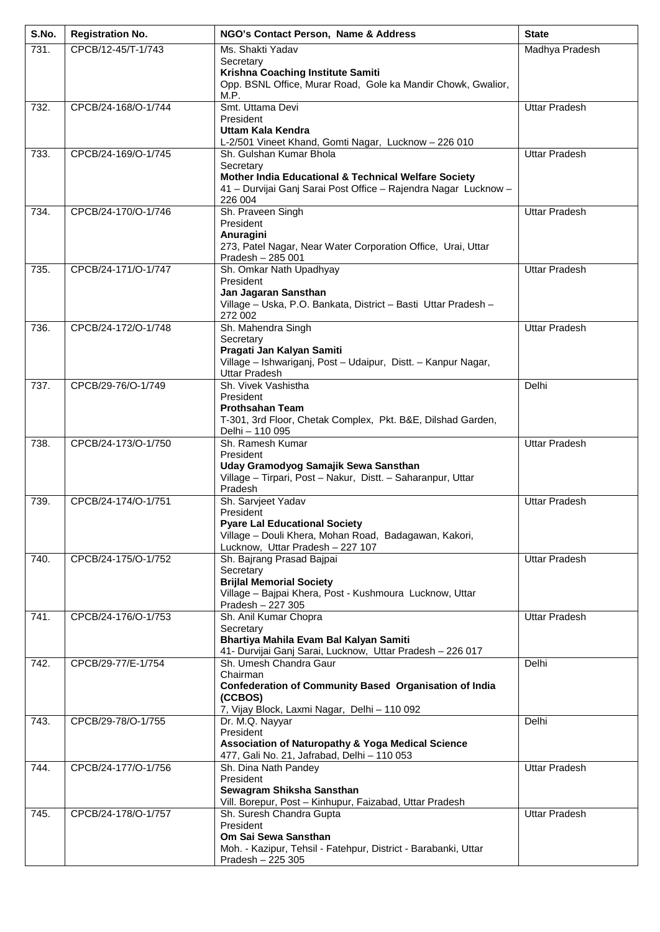| S.No. | <b>Registration No.</b> | NGO's Contact Person, Name & Address                                                      | <b>State</b>         |
|-------|-------------------------|-------------------------------------------------------------------------------------------|----------------------|
| 731.  | CPCB/12-45/T-1/743      | Ms. Shakti Yadav                                                                          | Madhya Pradesh       |
|       |                         | Secretary<br>Krishna Coaching Institute Samiti                                            |                      |
|       |                         | Opp. BSNL Office, Murar Road, Gole ka Mandir Chowk, Gwalior,                              |                      |
| 732.  | CPCB/24-168/O-1/744     | M.P.<br>Smt. Uttama Devi                                                                  | <b>Uttar Pradesh</b> |
|       |                         | President                                                                                 |                      |
|       |                         | Uttam Kala Kendra                                                                         |                      |
| 733.  | CPCB/24-169/O-1/745     | L-2/501 Vineet Khand, Gomti Nagar, Lucknow - 226 010<br>Sh. Gulshan Kumar Bhola           | <b>Uttar Pradesh</b> |
|       |                         | Secretary                                                                                 |                      |
|       |                         | <b>Mother India Educational &amp; Technical Welfare Society</b>                           |                      |
|       |                         | 41 - Durvijai Ganj Sarai Post Office - Rajendra Nagar Lucknow -<br>226 004                |                      |
| 734.  | CPCB/24-170/O-1/746     | Sh. Praveen Singh                                                                         | <b>Uttar Pradesh</b> |
|       |                         | President<br>Anuragini                                                                    |                      |
|       |                         | 273, Patel Nagar, Near Water Corporation Office, Urai, Uttar                              |                      |
| 735.  | CPCB/24-171/O-1/747     | Pradesh - 285 001<br>Sh. Omkar Nath Upadhyay                                              | <b>Uttar Pradesh</b> |
|       |                         | President                                                                                 |                      |
|       |                         | Jan Jagaran Sansthan                                                                      |                      |
|       |                         | Village - Uska, P.O. Bankata, District - Basti Uttar Pradesh -<br>272 002                 |                      |
| 736.  | CPCB/24-172/O-1/748     | Sh. Mahendra Singh                                                                        | <b>Uttar Pradesh</b> |
|       |                         | Secretary<br>Pragati Jan Kalyan Samiti                                                    |                      |
|       |                         | Village - Ishwariganj, Post - Udaipur, Distt. - Kanpur Nagar,                             |                      |
|       |                         | <b>Uttar Pradesh</b>                                                                      |                      |
| 737.  | CPCB/29-76/O-1/749      | Sh. Vivek Vashistha<br>President                                                          | Delhi                |
|       |                         | <b>Prothsahan Team</b>                                                                    |                      |
|       |                         | T-301, 3rd Floor, Chetak Complex, Pkt. B&E, Dilshad Garden,<br>Delhi - 110 095            |                      |
| 738.  | CPCB/24-173/O-1/750     | Sh. Ramesh Kumar                                                                          | <b>Uttar Pradesh</b> |
|       |                         | President<br>Uday Gramodyog Samajik Sewa Sansthan                                         |                      |
|       |                         | Village - Tirpari, Post - Nakur, Distt. - Saharanpur, Uttar                               |                      |
|       |                         | Pradesh                                                                                   |                      |
| 739.  | CPCB/24-174/O-1/751     | Sh. Sarvjeet Yadav<br>President                                                           | <b>Uttar Pradesh</b> |
|       |                         | <b>Pyare Lal Educational Society</b>                                                      |                      |
|       |                         | Village - Douli Khera, Mohan Road, Badagawan, Kakori,<br>Lucknow, Uttar Pradesh - 227 107 |                      |
| 740.  | CPCB/24-175/O-1/752     | Sh. Bajrang Prasad Bajpai                                                                 | <b>Uttar Pradesh</b> |
|       |                         | Secretary<br><b>Brijlal Memorial Society</b>                                              |                      |
|       |                         | Village - Bajpai Khera, Post - Kushmoura Lucknow, Uttar                                   |                      |
|       |                         | Pradesh - 227 305                                                                         |                      |
| 741.  | CPCB/24-176/O-1/753     | Sh. Anil Kumar Chopra<br>Secretary                                                        | <b>Uttar Pradesh</b> |
|       |                         | Bhartiya Mahila Evam Bal Kalyan Samiti                                                    |                      |
| 742.  | CPCB/29-77/E-1/754      | 41- Durvijai Ganj Sarai, Lucknow, Uttar Pradesh - 226 017<br>Sh. Umesh Chandra Gaur       | Delhi                |
|       |                         | Chairman                                                                                  |                      |
|       |                         | <b>Confederation of Community Based Organisation of India</b><br>(CCBOS)                  |                      |
|       |                         | 7, Vijay Block, Laxmi Nagar, Delhi - 110 092                                              |                      |
| 743.  | CPCB/29-78/O-1/755      | Dr. M.Q. Nayyar                                                                           | Delhi                |
|       |                         | President<br><b>Association of Naturopathy &amp; Yoga Medical Science</b>                 |                      |
|       |                         | 477, Gali No. 21, Jafrabad, Delhi - 110 053                                               |                      |
| 744.  | CPCB/24-177/O-1/756     | Sh. Dina Nath Pandey<br>President                                                         | <b>Uttar Pradesh</b> |
|       |                         | Sewagram Shiksha Sansthan                                                                 |                      |
| 745.  | CPCB/24-178/O-1/757     | Vill. Borepur, Post - Kinhupur, Faizabad, Uttar Pradesh                                   | <b>Uttar Pradesh</b> |
|       |                         | Sh. Suresh Chandra Gupta<br>President                                                     |                      |
|       |                         | Om Sai Sewa Sansthan                                                                      |                      |
|       |                         | Moh. - Kazipur, Tehsil - Fatehpur, District - Barabanki, Uttar<br>Pradesh - 225 305       |                      |
|       |                         |                                                                                           |                      |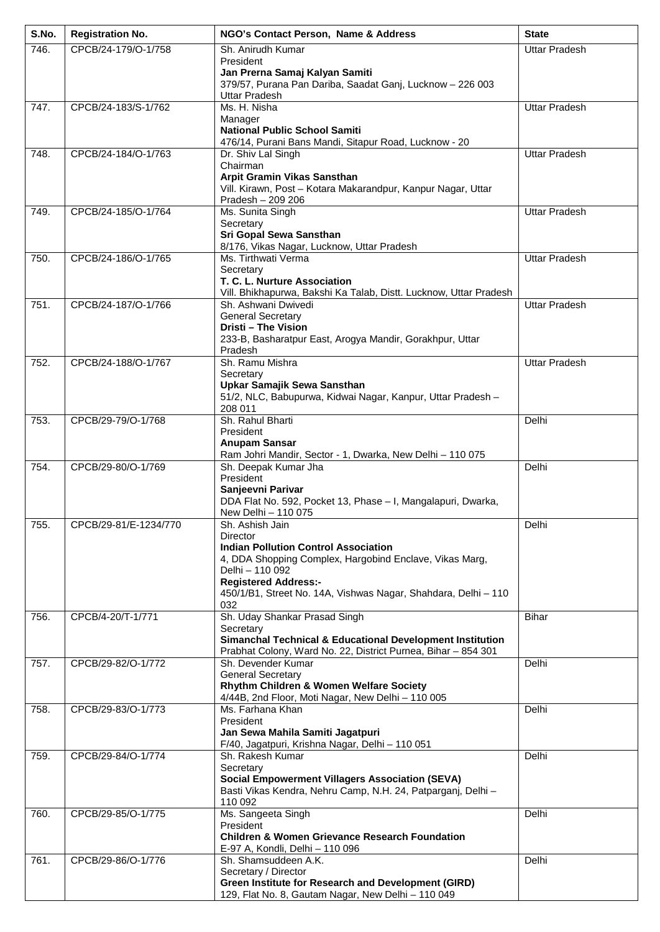| S.No. | <b>Registration No.</b> | NGO's Contact Person, Name & Address                                                                                                  | <b>State</b>         |
|-------|-------------------------|---------------------------------------------------------------------------------------------------------------------------------------|----------------------|
| 746.  | CPCB/24-179/O-1/758     | Sh. Anirudh Kumar                                                                                                                     | <b>Uttar Pradesh</b> |
|       |                         | President<br>Jan Prerna Samaj Kalyan Samiti                                                                                           |                      |
|       |                         | 379/57, Purana Pan Dariba, Saadat Ganj, Lucknow - 226 003<br><b>Uttar Pradesh</b>                                                     |                      |
| 747.  | CPCB/24-183/S-1/762     | Ms. H. Nisha                                                                                                                          | <b>Uttar Pradesh</b> |
|       |                         | Manager<br><b>National Public School Samiti</b>                                                                                       |                      |
|       |                         | 476/14, Purani Bans Mandi, Sitapur Road, Lucknow - 20                                                                                 |                      |
| 748.  | CPCB/24-184/O-1/763     | Dr. Shiv Lal Singh<br>Chairman                                                                                                        | <b>Uttar Pradesh</b> |
|       |                         | Arpit Gramin Vikas Sansthan                                                                                                           |                      |
|       |                         | Vill. Kirawn, Post - Kotara Makarandpur, Kanpur Nagar, Uttar<br>Pradesh - 209 206                                                     |                      |
| 749.  | CPCB/24-185/O-1/764     | Ms. Sunita Singh                                                                                                                      | <b>Uttar Pradesh</b> |
|       |                         | Secretary<br>Sri Gopal Sewa Sansthan                                                                                                  |                      |
|       |                         | 8/176, Vikas Nagar, Lucknow, Uttar Pradesh                                                                                            |                      |
| 750.  | CPCB/24-186/O-1/765     | Ms. Tirthwati Verma<br>Secretary                                                                                                      | <b>Uttar Pradesh</b> |
|       |                         | T. C. L. Nurture Association                                                                                                          |                      |
| 751.  | CPCB/24-187/O-1/766     | Vill. Bhikhapurwa, Bakshi Ka Talab, Distt. Lucknow, Uttar Pradesh<br>Sh. Ashwani Dwivedi                                              | <b>Uttar Pradesh</b> |
|       |                         | <b>General Secretary</b>                                                                                                              |                      |
|       |                         | Dristi - The Vision<br>233-B, Basharatpur East, Arogya Mandir, Gorakhpur, Uttar                                                       |                      |
|       |                         | Pradesh                                                                                                                               |                      |
| 752.  | CPCB/24-188/O-1/767     | Sh. Ramu Mishra<br>Secretary                                                                                                          | <b>Uttar Pradesh</b> |
|       |                         | Upkar Samajik Sewa Sansthan                                                                                                           |                      |
|       |                         | 51/2, NLC, Babupurwa, Kidwai Nagar, Kanpur, Uttar Pradesh -<br>208 011                                                                |                      |
| 753.  | CPCB/29-79/O-1/768      | Sh. Rahul Bharti                                                                                                                      | Delhi                |
|       |                         | President<br><b>Anupam Sansar</b>                                                                                                     |                      |
|       |                         | Ram Johri Mandir, Sector - 1, Dwarka, New Delhi - 110 075                                                                             |                      |
| 754.  | CPCB/29-80/O-1/769      | Sh. Deepak Kumar Jha<br>President                                                                                                     | Delhi                |
|       |                         | Sanjeevni Parivar                                                                                                                     |                      |
|       |                         | DDA Flat No. 592, Pocket 13, Phase - I, Mangalapuri, Dwarka,<br>New Delhi - 110 075                                                   |                      |
| 755.  | CPCB/29-81/E-1234/770   | Sh. Ashish Jain                                                                                                                       | Delhi                |
|       |                         | <b>Director</b><br><b>Indian Pollution Control Association</b>                                                                        |                      |
|       |                         | 4, DDA Shopping Complex, Hargobind Enclave, Vikas Marg,                                                                               |                      |
|       |                         | Delhi - 110 092<br><b>Registered Address:-</b>                                                                                        |                      |
|       |                         | 450/1/B1, Street No. 14A, Vishwas Nagar, Shahdara, Delhi - 110                                                                        |                      |
| 756.  | CPCB/4-20/T-1/771       | 032<br>Sh. Uday Shankar Prasad Singh                                                                                                  | <b>Bihar</b>         |
|       |                         | Secretary                                                                                                                             |                      |
|       |                         | <b>Simanchal Technical &amp; Educational Development Institution</b><br>Prabhat Colony, Ward No. 22, District Purnea, Bihar - 854 301 |                      |
| 757.  | CPCB/29-82/O-1/772      | Sh. Devender Kumar                                                                                                                    | Delhi                |
|       |                         | <b>General Secretary</b><br>Rhythm Children & Women Welfare Society                                                                   |                      |
|       |                         | 4/44B, 2nd Floor, Moti Nagar, New Delhi - 110 005                                                                                     |                      |
| 758.  | CPCB/29-83/O-1/773      | Ms. Farhana Khan<br>President                                                                                                         | Delhi                |
|       |                         | Jan Sewa Mahila Samiti Jagatpuri                                                                                                      |                      |
| 759.  | CPCB/29-84/O-1/774      | F/40, Jagatpuri, Krishna Nagar, Delhi - 110 051<br>Sh. Rakesh Kumar                                                                   | Delhi                |
|       |                         | Secretary                                                                                                                             |                      |
|       |                         | <b>Social Empowerment Villagers Association (SEVA)</b><br>Basti Vikas Kendra, Nehru Camp, N.H. 24, Patparganj, Delhi -                |                      |
|       |                         | 110 092                                                                                                                               |                      |
| 760.  | CPCB/29-85/O-1/775      | Ms. Sangeeta Singh<br>President                                                                                                       | Delhi                |
|       |                         | <b>Children &amp; Women Grievance Research Foundation</b>                                                                             |                      |
| 761.  | CPCB/29-86/O-1/776      | E-97 A, Kondli, Delhi - 110 096<br>Sh. Shamsuddeen A.K.                                                                               | Delhi                |
|       |                         | Secretary / Director                                                                                                                  |                      |
|       |                         | <b>Green Institute for Research and Development (GIRD)</b><br>129, Flat No. 8, Gautam Nagar, New Delhi - 110 049                      |                      |
|       |                         |                                                                                                                                       |                      |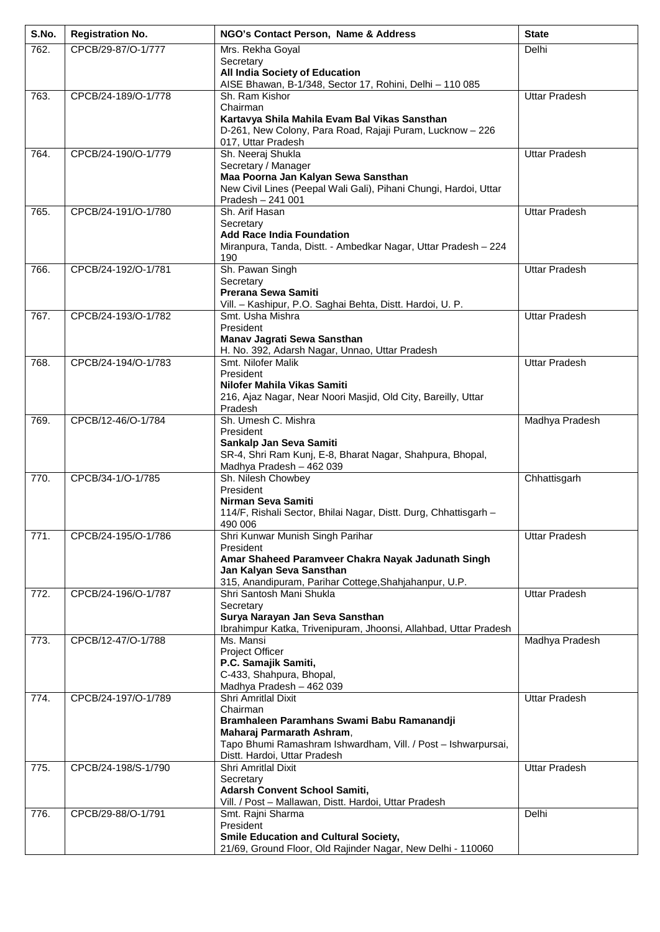| S.No. | <b>Registration No.</b> | NGO's Contact Person, Name & Address                                                                        | <b>State</b>         |
|-------|-------------------------|-------------------------------------------------------------------------------------------------------------|----------------------|
| 762.  | CPCB/29-87/O-1/777      | Mrs. Rekha Goyal                                                                                            | Delhi                |
|       |                         | Secretary<br>All India Society of Education                                                                 |                      |
|       |                         | AISE Bhawan, B-1/348, Sector 17, Rohini, Delhi - 110 085                                                    |                      |
| 763.  | CPCB/24-189/O-1/778     | Sh. Ram Kishor<br>Chairman                                                                                  | <b>Uttar Pradesh</b> |
|       |                         | Kartavya Shila Mahila Evam Bal Vikas Sansthan                                                               |                      |
|       |                         | D-261, New Colony, Para Road, Rajaji Puram, Lucknow - 226                                                   |                      |
| 764.  | CPCB/24-190/O-1/779     | 017, Uttar Pradesh<br>Sh. Neeraj Shukla                                                                     | <b>Uttar Pradesh</b> |
|       |                         | Secretary / Manager                                                                                         |                      |
|       |                         | Maa Poorna Jan Kalyan Sewa Sansthan                                                                         |                      |
|       |                         | New Civil Lines (Peepal Wali Gali), Pihani Chungi, Hardoi, Uttar<br>Pradesh - 241 001                       |                      |
| 765.  | CPCB/24-191/O-1/780     | Sh. Arif Hasan                                                                                              | <b>Uttar Pradesh</b> |
|       |                         | Secretary<br><b>Add Race India Foundation</b>                                                               |                      |
|       |                         | Miranpura, Tanda, Distt. - Ambedkar Nagar, Uttar Pradesh - 224                                              |                      |
|       |                         | 190                                                                                                         |                      |
| 766.  | CPCB/24-192/O-1/781     | Sh. Pawan Singh<br>Secretary                                                                                | <b>Uttar Pradesh</b> |
|       |                         | Prerana Sewa Samiti                                                                                         |                      |
| 767.  | CPCB/24-193/O-1/782     | Vill. - Kashipur, P.O. Saghai Behta, Distt. Hardoi, U. P.<br>Smt. Usha Mishra                               | <b>Uttar Pradesh</b> |
|       |                         | President                                                                                                   |                      |
|       |                         | Manav Jagrati Sewa Sansthan                                                                                 |                      |
| 768.  | CPCB/24-194/O-1/783     | H. No. 392, Adarsh Nagar, Unnao, Uttar Pradesh<br>Smt. Nilofer Malik                                        | <b>Uttar Pradesh</b> |
|       |                         | President                                                                                                   |                      |
|       |                         | Nilofer Mahila Vikas Samiti                                                                                 |                      |
|       |                         | 216, Ajaz Nagar, Near Noori Masjid, Old City, Bareilly, Uttar<br>Pradesh                                    |                      |
| 769.  | CPCB/12-46/O-1/784      | Sh. Umesh C. Mishra                                                                                         | Madhya Pradesh       |
|       |                         | President<br>Sankalp Jan Seva Samiti                                                                        |                      |
|       |                         | SR-4, Shri Ram Kunj, E-8, Bharat Nagar, Shahpura, Bhopal,                                                   |                      |
|       |                         | Madhya Pradesh - 462 039                                                                                    |                      |
| 770.  | CPCB/34-1/O-1/785       | Sh. Nilesh Chowbey<br>President                                                                             | Chhattisgarh         |
|       |                         | Nirman Seva Samiti                                                                                          |                      |
|       |                         | 114/F, Rishali Sector, Bhilai Nagar, Distt. Durg, Chhattisgarh -<br>490 006                                 |                      |
| 771.  | CPCB/24-195/O-1/786     | Shri Kunwar Munish Singh Parihar                                                                            | <b>Uttar Pradesh</b> |
|       |                         | President<br>Amar Shaheed Paramveer Chakra Nayak Jadunath Singh                                             |                      |
|       |                         | Jan Kalyan Seva Sansthan                                                                                    |                      |
|       |                         | 315, Anandipuram, Parihar Cottege, Shahjahanpur, U.P.                                                       |                      |
| 772.  | CPCB/24-196/O-1/787     | Shri Santosh Mani Shukla<br>Secretary                                                                       | <b>Uttar Pradesh</b> |
|       |                         | Surya Narayan Jan Seva Sansthan                                                                             |                      |
| 773.  | CPCB/12-47/O-1/788      | Ibrahimpur Katka, Trivenipuram, Jhoonsi, Allahbad, Uttar Pradesh<br>Ms. Mansi                               | Madhya Pradesh       |
|       |                         | Project Officer                                                                                             |                      |
|       |                         | P.C. Samajik Samiti,                                                                                        |                      |
|       |                         | C-433, Shahpura, Bhopal,<br>Madhya Pradesh - 462 039                                                        |                      |
| 774.  | CPCB/24-197/O-1/789     | Shri Amritlal Dixit                                                                                         | <b>Uttar Pradesh</b> |
|       |                         | Chairman<br>Bramhaleen Paramhans Swami Babu Ramanandji                                                      |                      |
|       |                         | Maharaj Parmarath Ashram,                                                                                   |                      |
|       |                         | Tapo Bhumi Ramashram Ishwardham, Vill. / Post - Ishwarpursai,                                               |                      |
| 775.  | CPCB/24-198/S-1/790     | Distt. Hardoi, Uttar Pradesh<br>Shri Amritlal Dixit                                                         | <b>Uttar Pradesh</b> |
|       |                         | Secretary                                                                                                   |                      |
|       |                         | Adarsh Convent School Samiti,<br>Vill. / Post - Mallawan, Distt. Hardoi, Uttar Pradesh                      |                      |
| 776.  | CPCB/29-88/O-1/791      | Smt. Rajni Sharma                                                                                           | Delhi                |
|       |                         | President                                                                                                   |                      |
|       |                         | <b>Smile Education and Cultural Society,</b><br>21/69, Ground Floor, Old Rajinder Nagar, New Delhi - 110060 |                      |
|       |                         |                                                                                                             |                      |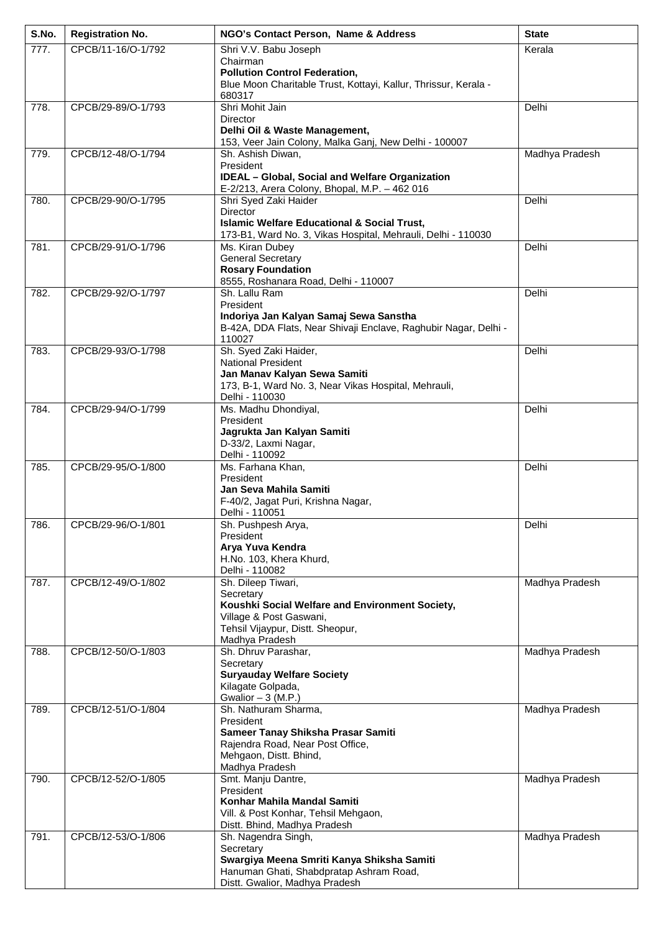| S.No. | <b>Registration No.</b> | NGO's Contact Person, Name & Address                                                                                                                                | <b>State</b>   |
|-------|-------------------------|---------------------------------------------------------------------------------------------------------------------------------------------------------------------|----------------|
| 777.  | CPCB/11-16/O-1/792      | Shri V.V. Babu Joseph<br>Chairman<br><b>Pollution Control Federation,</b><br>Blue Moon Charitable Trust, Kottayi, Kallur, Thrissur, Kerala -<br>680317              | Kerala         |
| 778.  | CPCB/29-89/O-1/793      | Shri Mohit Jain<br>Director<br>Delhi Oil & Waste Management,<br>153, Veer Jain Colony, Malka Ganj, New Delhi - 100007                                               | Delhi          |
| 779.  | CPCB/12-48/O-1/794      | Sh. Ashish Diwan,<br>President<br><b>IDEAL - Global, Social and Welfare Organization</b><br>E-2/213, Arera Colony, Bhopal, M.P. - 462 016                           | Madhya Pradesh |
| 780.  | CPCB/29-90/O-1/795      | Shri Syed Zaki Haider<br>Director<br><b>Islamic Welfare Educational &amp; Social Trust,</b><br>173-B1, Ward No. 3, Vikas Hospital, Mehrauli, Delhi - 110030         | Delhi          |
| 781.  | CPCB/29-91/O-1/796      | Ms. Kiran Dubey<br><b>General Secretary</b><br><b>Rosary Foundation</b><br>8555, Roshanara Road, Delhi - 110007                                                     | Delhi          |
| 782.  | CPCB/29-92/O-1/797      | Sh. Lallu Ram<br>President<br>Indoriya Jan Kalyan Samaj Sewa Sanstha<br>B-42A, DDA Flats, Near Shivaji Enclave, Raghubir Nagar, Delhi -<br>110027                   | Delhi          |
| 783.  | CPCB/29-93/O-1/798      | Sh. Syed Zaki Haider,<br><b>National President</b><br>Jan Manav Kalyan Sewa Samiti<br>173, B-1, Ward No. 3, Near Vikas Hospital, Mehrauli,<br>Delhi - 110030        | Delhi          |
| 784.  | CPCB/29-94/O-1/799      | Ms. Madhu Dhondiyal,<br>President<br>Jagrukta Jan Kalyan Samiti<br>D-33/2, Laxmi Nagar,<br>Delhi - 110092                                                           | Delhi          |
| 785.  | CPCB/29-95/O-1/800      | Ms. Farhana Khan,<br>President<br>Jan Seva Mahila Samiti<br>F-40/2, Jagat Puri, Krishna Nagar,<br>Delhi - 110051                                                    | Delhi          |
| 786.  | CPCB/29-96/O-1/801      | Sh. Pushpesh Arya,<br>President<br>Arya Yuva Kendra<br>H.No. 103, Khera Khurd,<br>Delhi - 110082                                                                    | Delhi          |
| 787.  | CPCB/12-49/O-1/802      | Sh. Dileep Tiwari,<br>Secretary<br>Koushki Social Welfare and Environment Society,<br>Village & Post Gaswani,<br>Tehsil Vijaypur, Distt. Sheopur,<br>Madhya Pradesh | Madhya Pradesh |
| 788.  | CPCB/12-50/O-1/803      | Sh. Dhruv Parashar,<br>Secretary<br><b>Suryauday Welfare Society</b><br>Kilagate Golpada,<br>Gwalior $-3$ (M.P.)                                                    | Madhya Pradesh |
| 789.  | CPCB/12-51/O-1/804      | Sh. Nathuram Sharma,<br>President<br>Sameer Tanay Shiksha Prasar Samiti<br>Rajendra Road, Near Post Office,<br>Mehgaon, Distt. Bhind,<br>Madhya Pradesh             | Madhya Pradesh |
| 790.  | CPCB/12-52/O-1/805      | Smt. Manju Dantre,<br>President<br>Konhar Mahila Mandal Samiti<br>Vill. & Post Konhar, Tehsil Mehgaon,<br>Distt. Bhind, Madhya Pradesh                              | Madhya Pradesh |
| 791.  | CPCB/12-53/O-1/806      | Sh. Nagendra Singh,<br>Secretary<br>Swargiya Meena Smriti Kanya Shiksha Samiti<br>Hanuman Ghati, Shabdpratap Ashram Road,<br>Distt. Gwalior, Madhya Pradesh         | Madhya Pradesh |